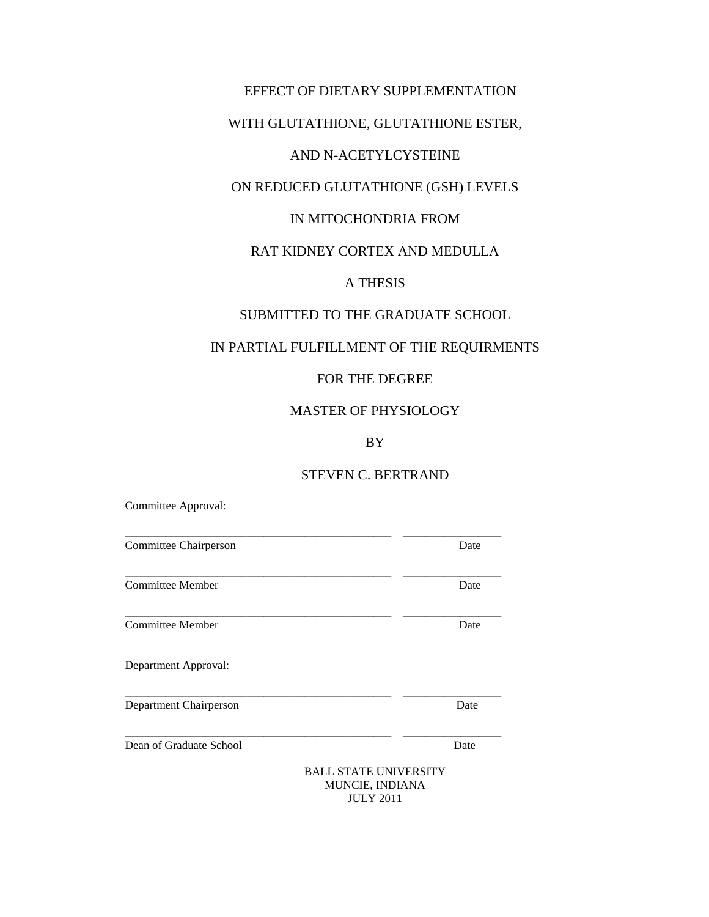# EFFECT OF DIETARY SUPPLEMENTATION

# WITH GLUTATHIONE, GLUTATHIONE ESTER,

# AND N-ACETYLCYSTEINE

# ON REDUCED GLUTATHIONE (GSH) LEVELS

# IN MITOCHONDRIA FROM

# RAT KIDNEY CORTEX AND MEDULLA

# A THESIS

# SUBMITTED TO THE GRADUATE SCHOOL

# IN PARTIAL FULFILLMENT OF THE REQUIRMENTS

# FOR THE DEGREE

### MASTER OF PHYSIOLOGY

# BY

# STEVEN C. BERTRAND

Committee Approval:

| Committee Chairperson   |                                                        | Date |
|-------------------------|--------------------------------------------------------|------|
| Committee Member        |                                                        | Date |
| <b>Committee Member</b> |                                                        | Date |
| Department Approval:    |                                                        |      |
| Department Chairperson  |                                                        | Date |
| Dean of Graduate School |                                                        | Date |
|                         | <b>BALL STATE UNIVERSITY</b><br><b>MUNCIE. INDIANA</b> |      |

JULY 2011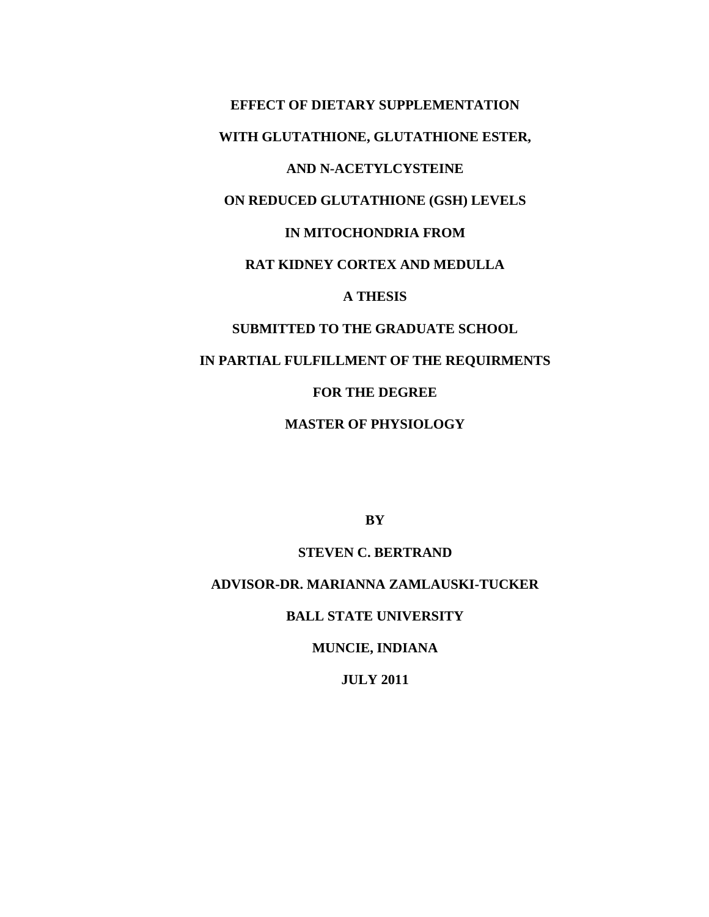**EFFECT OF DIETARY SUPPLEMENTATION WITH GLUTATHIONE, GLUTATHIONE ESTER, AND N-ACETYLCYSTEINE ON REDUCED GLUTATHIONE (GSH) LEVELS IN MITOCHONDRIA FROM RAT KIDNEY CORTEX AND MEDULLA A THESIS SUBMITTED TO THE GRADUATE SCHOOL IN PARTIAL FULFILLMENT OF THE REQUIRMENTS FOR THE DEGREE**

**MASTER OF PHYSIOLOGY**

**BY**

### **STEVEN C. BERTRAND**

# **ADVISOR-DR. MARIANNA ZAMLAUSKI-TUCKER**

### **BALL STATE UNIVERSITY**

## **MUNCIE, INDIANA**

## **JULY 2011**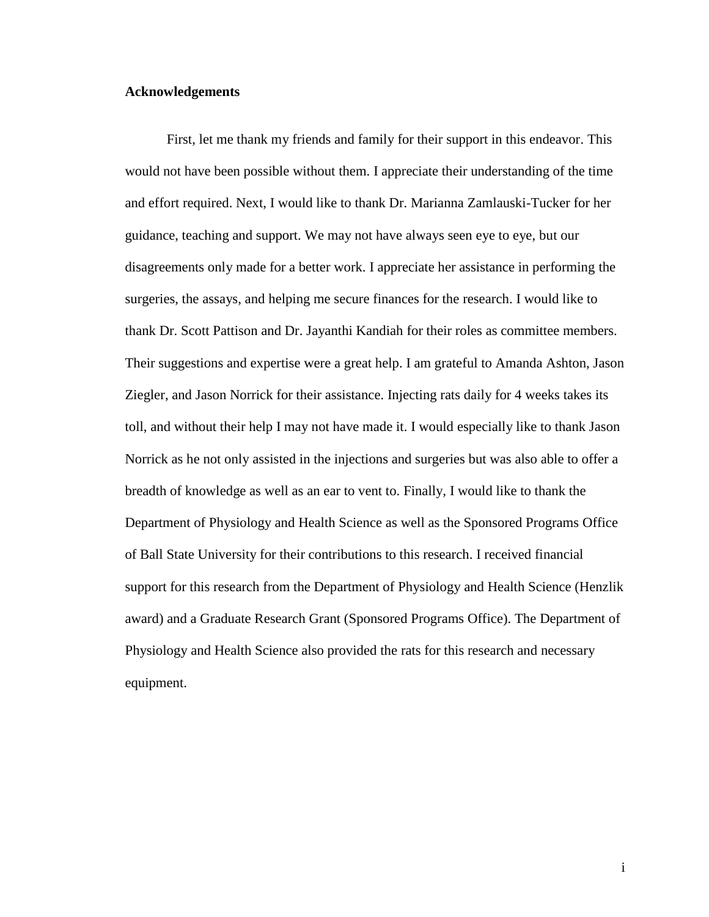#### **Acknowledgements**

First, let me thank my friends and family for their support in this endeavor. This would not have been possible without them. I appreciate their understanding of the time and effort required. Next, I would like to thank Dr. Marianna Zamlauski-Tucker for her guidance, teaching and support. We may not have always seen eye to eye, but our disagreements only made for a better work. I appreciate her assistance in performing the surgeries, the assays, and helping me secure finances for the research. I would like to thank Dr. Scott Pattison and Dr. Jayanthi Kandiah for their roles as committee members. Their suggestions and expertise were a great help. I am grateful to Amanda Ashton, Jason Ziegler, and Jason Norrick for their assistance. Injecting rats daily for 4 weeks takes its toll, and without their help I may not have made it. I would especially like to thank Jason Norrick as he not only assisted in the injections and surgeries but was also able to offer a breadth of knowledge as well as an ear to vent to. Finally, I would like to thank the Department of Physiology and Health Science as well as the Sponsored Programs Office of Ball State University for their contributions to this research. I received financial support for this research from the Department of Physiology and Health Science (Henzlik award) and a Graduate Research Grant (Sponsored Programs Office). The Department of Physiology and Health Science also provided the rats for this research and necessary equipment.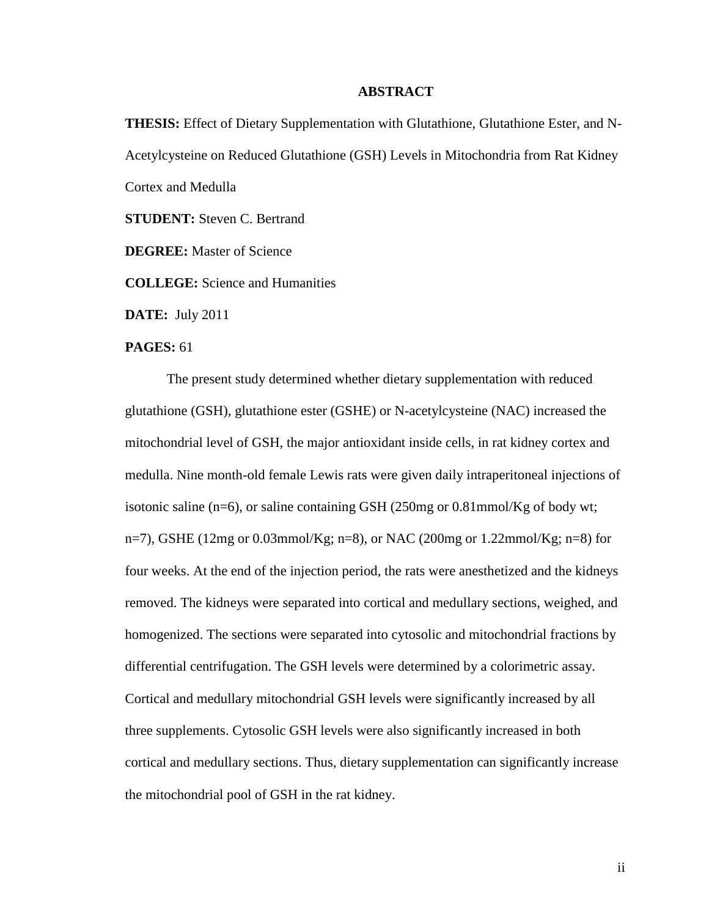#### **ABSTRACT**

**THESIS:** Effect of Dietary Supplementation with Glutathione, Glutathione Ester, and N-Acetylcysteine on Reduced Glutathione (GSH) Levels in Mitochondria from Rat Kidney Cortex and Medulla

**STUDENT:** Steven C. Bertrand

**DEGREE:** Master of Science

**COLLEGE:** Science and Humanities

**DATE:** July 2011

#### **PAGES:** 61

The present study determined whether dietary supplementation with reduced glutathione (GSH), glutathione ester (GSHE) or N-acetylcysteine (NAC) increased the mitochondrial level of GSH, the major antioxidant inside cells, in rat kidney cortex and medulla. Nine month-old female Lewis rats were given daily intraperitoneal injections of isotonic saline (n=6), or saline containing GSH (250mg or  $0.81$ mmol/Kg of body wt; n=7), GSHE (12mg or 0.03mmol/Kg; n=8), or NAC (200mg or 1.22mmol/Kg; n=8) for four weeks. At the end of the injection period, the rats were anesthetized and the kidneys removed. The kidneys were separated into cortical and medullary sections, weighed, and homogenized. The sections were separated into cytosolic and mitochondrial fractions by differential centrifugation. The GSH levels were determined by a colorimetric assay. Cortical and medullary mitochondrial GSH levels were significantly increased by all three supplements. Cytosolic GSH levels were also significantly increased in both cortical and medullary sections. Thus, dietary supplementation can significantly increase the mitochondrial pool of GSH in the rat kidney.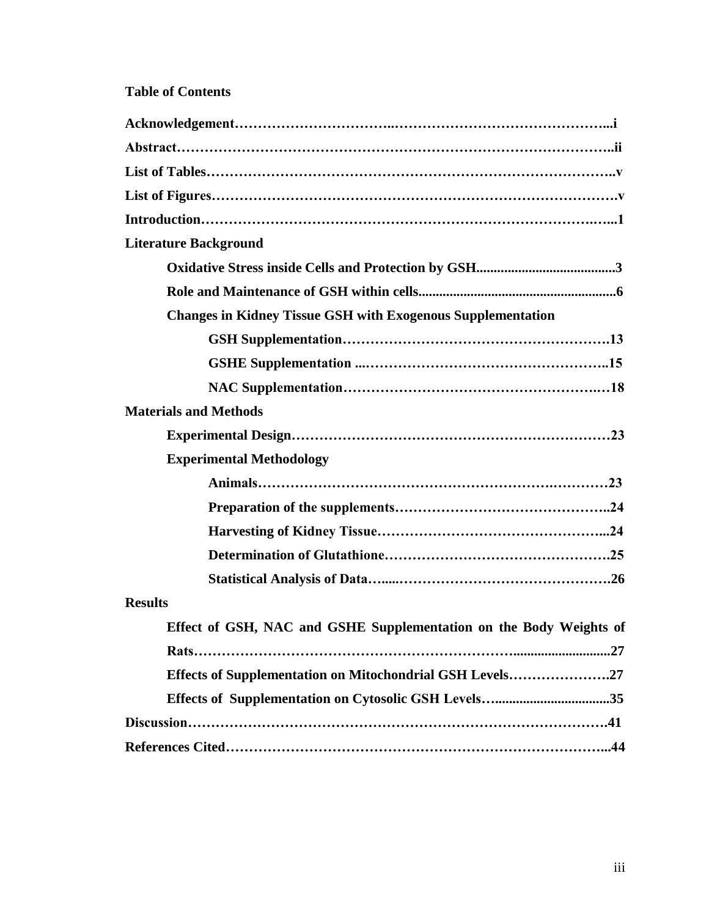# **Table of Contents**

| <b>Literature Background</b>                                       |
|--------------------------------------------------------------------|
|                                                                    |
|                                                                    |
| <b>Changes in Kidney Tissue GSH with Exogenous Supplementation</b> |
|                                                                    |
|                                                                    |
|                                                                    |
| <b>Materials and Methods</b>                                       |
|                                                                    |
| <b>Experimental Methodology</b>                                    |
|                                                                    |
|                                                                    |
|                                                                    |
|                                                                    |
|                                                                    |
| <b>Results</b>                                                     |
| Effect of GSH, NAC and GSHE Supplementation on the Body Weights of |
|                                                                    |
| Effects of Supplementation on Mitochondrial GSH Levels27           |
|                                                                    |
|                                                                    |
|                                                                    |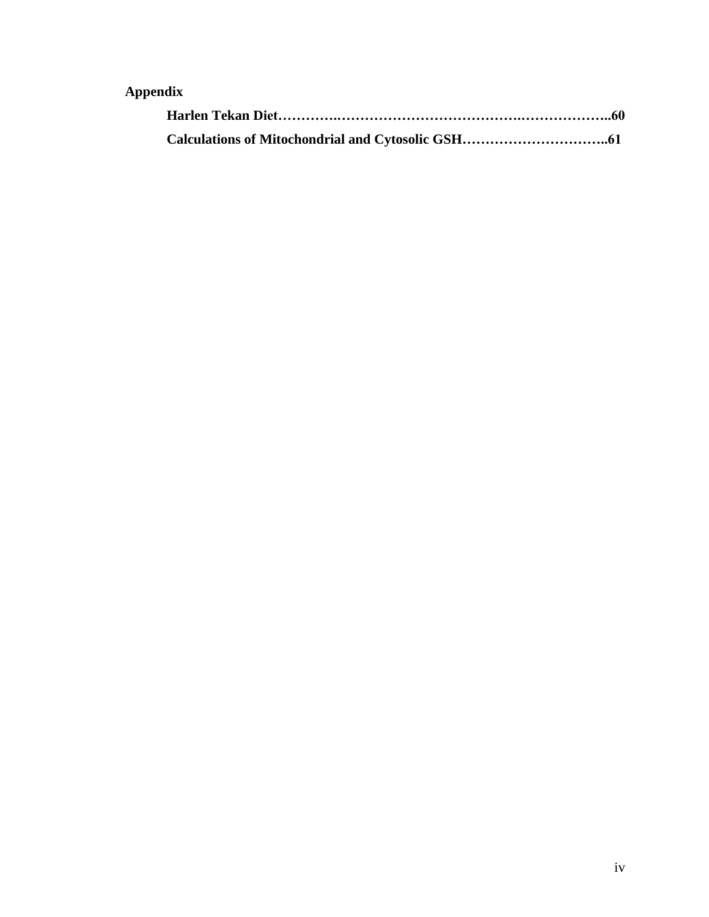# **Appendix**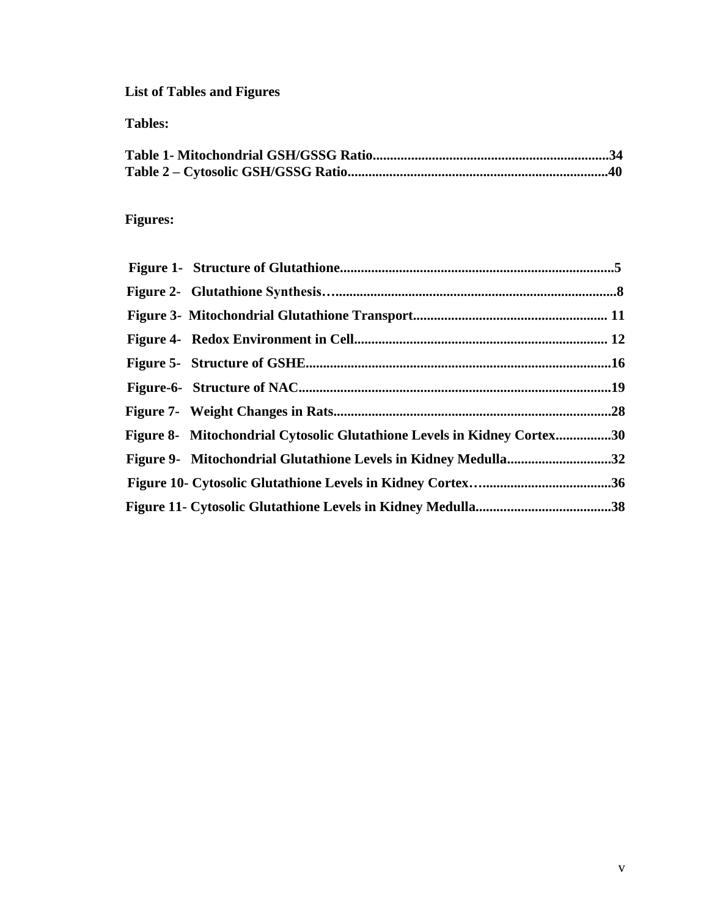**List of Tables and Figures**

**Tables:**

# **Figures:**

| Figure 8- Mitochondrial Cytosolic Glutathione Levels in Kidney Cortex30 |  |
|-------------------------------------------------------------------------|--|
| Figure 9- Mitochondrial Glutathione Levels in Kidney Medulla32          |  |
|                                                                         |  |
|                                                                         |  |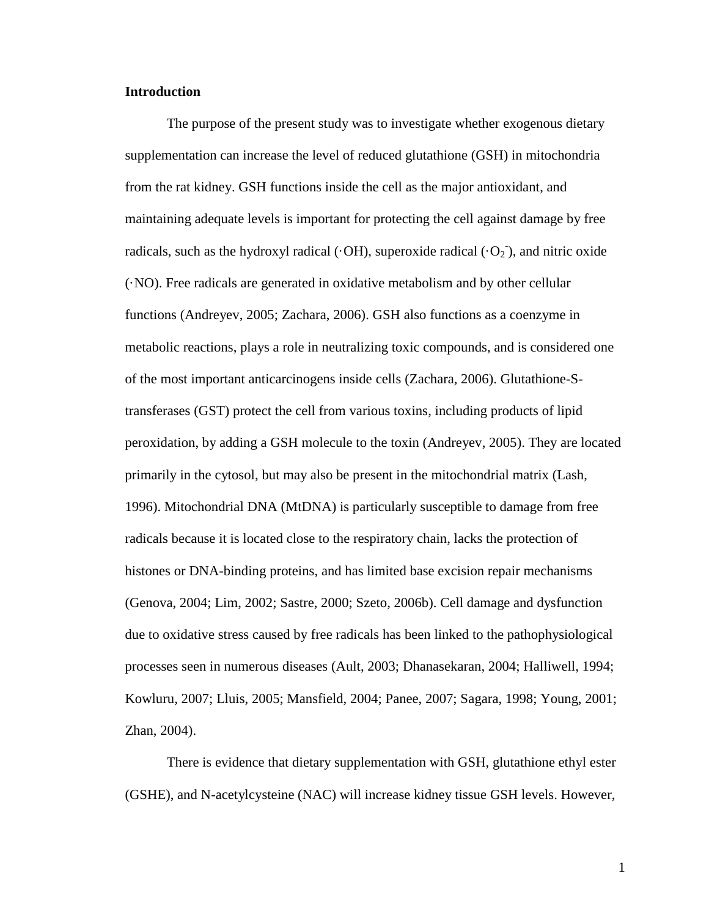### **Introduction**

The purpose of the present study was to investigate whether exogenous dietary supplementation can increase the level of reduced glutathione (GSH) in mitochondria from the rat kidney. GSH functions inside the cell as the major antioxidant, and maintaining adequate levels is important for protecting the cell against damage by free radicals, such as the hydroxyl radical ( $\cdot$ OH), superoxide radical ( $\cdot$ O<sub>2</sub>), and nitric oxide (·NO). Free radicals are generated in oxidative metabolism and by other cellular functions (Andreyev, 2005; Zachara, 2006). GSH also functions as a coenzyme in metabolic reactions, plays a role in neutralizing toxic compounds, and is considered one of the most important anticarcinogens inside cells (Zachara, 2006). Glutathione-Stransferases (GST) protect the cell from various toxins, including products of lipid peroxidation, by adding a GSH molecule to the toxin (Andreyev, 2005). They are located primarily in the cytosol, but may also be present in the mitochondrial matrix (Lash, 1996). Mitochondrial DNA (MtDNA) is particularly susceptible to damage from free radicals because it is located close to the respiratory chain, lacks the protection of histones or DNA-binding proteins, and has limited base excision repair mechanisms (Genova, 2004; Lim, 2002; Sastre, 2000; Szeto, 2006b). Cell damage and dysfunction due to oxidative stress caused by free radicals has been linked to the pathophysiological processes seen in numerous diseases (Ault, 2003; Dhanasekaran, 2004; Halliwell, 1994; Kowluru, 2007; Lluis, 2005; Mansfield, 2004; Panee, 2007; Sagara, 1998; Young, 2001; Zhan, 2004).

There is evidence that dietary supplementation with GSH, glutathione ethyl ester (GSHE), and N-acetylcysteine (NAC) will increase kidney tissue GSH levels. However,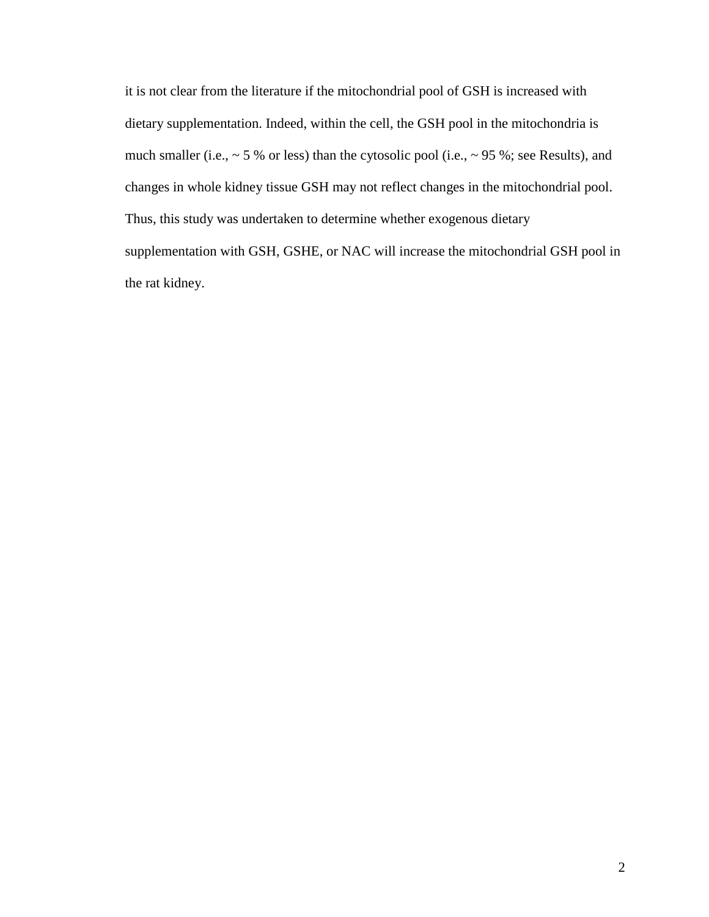it is not clear from the literature if the mitochondrial pool of GSH is increased with dietary supplementation. Indeed, within the cell, the GSH pool in the mitochondria is much smaller (i.e.,  $\sim$  5 % or less) than the cytosolic pool (i.e.,  $\sim$  95 %; see Results), and changes in whole kidney tissue GSH may not reflect changes in the mitochondrial pool. Thus, this study was undertaken to determine whether exogenous dietary supplementation with GSH, GSHE, or NAC will increase the mitochondrial GSH pool in the rat kidney.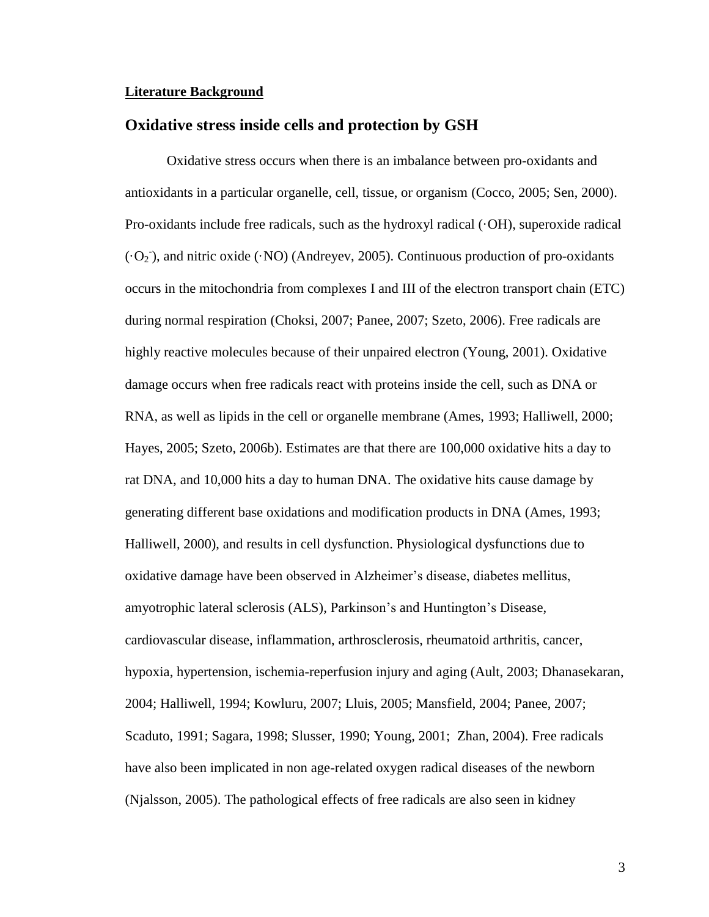#### **Literature Background**

### **Oxidative stress inside cells and protection by GSH**

Oxidative stress occurs when there is an imbalance between pro-oxidants and antioxidants in a particular organelle, cell, tissue, or organism (Cocco, 2005; Sen, 2000). Pro-oxidants include free radicals, such as the hydroxyl radical  $(OH)$ , superoxide radical  $(O_2)$ , and nitric oxide (·NO) (Andreyev, 2005). Continuous production of pro-oxidants occurs in the mitochondria from complexes I and III of the electron transport chain (ETC) during normal respiration (Choksi, 2007; Panee, 2007; Szeto, 2006). Free radicals are highly reactive molecules because of their unpaired electron (Young, 2001). Oxidative damage occurs when free radicals react with proteins inside the cell, such as DNA or RNA, as well as lipids in the cell or organelle membrane (Ames, 1993; Halliwell, 2000; Hayes, 2005; Szeto, 2006b). Estimates are that there are 100,000 oxidative hits a day to rat DNA, and 10,000 hits a day to human DNA. The oxidative hits cause damage by generating different base oxidations and modification products in DNA (Ames, 1993; Halliwell, 2000), and results in cell dysfunction. Physiological dysfunctions due to oxidative damage have been observed in Alzheimer's disease, diabetes mellitus, amyotrophic lateral sclerosis (ALS), Parkinson's and Huntington's Disease, cardiovascular disease, inflammation, arthrosclerosis, rheumatoid arthritis, cancer, hypoxia, hypertension, ischemia-reperfusion injury and aging (Ault, 2003; Dhanasekaran, 2004; Halliwell, 1994; Kowluru, 2007; Lluis, 2005; Mansfield, 2004; Panee, 2007; Scaduto, 1991; Sagara, 1998; Slusser, 1990; Young, 2001; Zhan, 2004). Free radicals have also been implicated in non age-related oxygen radical diseases of the newborn (Njalsson, 2005). The pathological effects of free radicals are also seen in kidney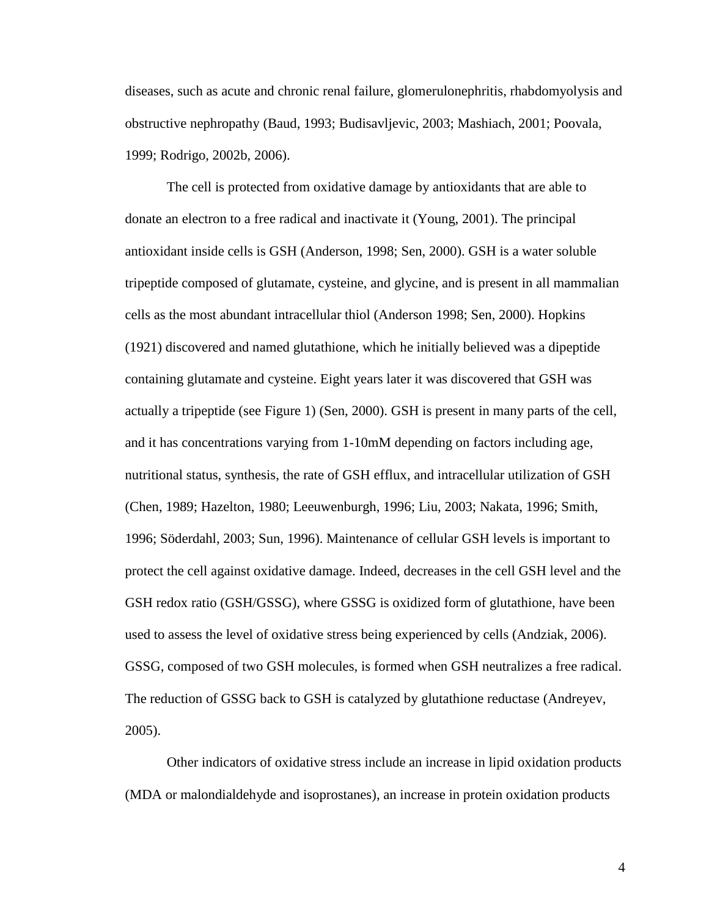diseases, such as acute and chronic renal failure, glomerulonephritis, rhabdomyolysis and obstructive nephropathy (Baud, 1993; Budisavljevic, 2003; Mashiach, 2001; Poovala, 1999; Rodrigo, 2002b, 2006).

The cell is protected from oxidative damage by antioxidants that are able to donate an electron to a free radical and inactivate it (Young, 2001). The principal antioxidant inside cells is GSH (Anderson, 1998; Sen, 2000). GSH is a water soluble tripeptide composed of glutamate, cysteine, and glycine, and is present in all mammalian cells as the most abundant intracellular thiol (Anderson 1998; Sen, 2000). Hopkins (1921) discovered and named glutathione, which he initially believed was a dipeptide containing glutamate and cysteine. Eight years later it was discovered that GSH was actually a tripeptide (see Figure 1) (Sen, 2000). GSH is present in many parts of the cell, and it has concentrations varying from 1-10mM depending on factors including age, nutritional status, synthesis, the rate of GSH efflux, and intracellular utilization of GSH (Chen, 1989; Hazelton, 1980; Leeuwenburgh, 1996; Liu, 2003; Nakata, 1996; Smith, 1996; Söderdahl, 2003; Sun, 1996). Maintenance of cellular GSH levels is important to protect the cell against oxidative damage. Indeed, decreases in the cell GSH level and the GSH redox ratio (GSH/GSSG), where GSSG is oxidized form of glutathione, have been used to assess the level of oxidative stress being experienced by cells (Andziak, 2006). GSSG, composed of two GSH molecules, is formed when GSH neutralizes a free radical. The reduction of GSSG back to GSH is catalyzed by glutathione reductase (Andreyev, 2005).

Other indicators of oxidative stress include an increase in lipid oxidation products (MDA or malondialdehyde and isoprostanes), an increase in protein oxidation products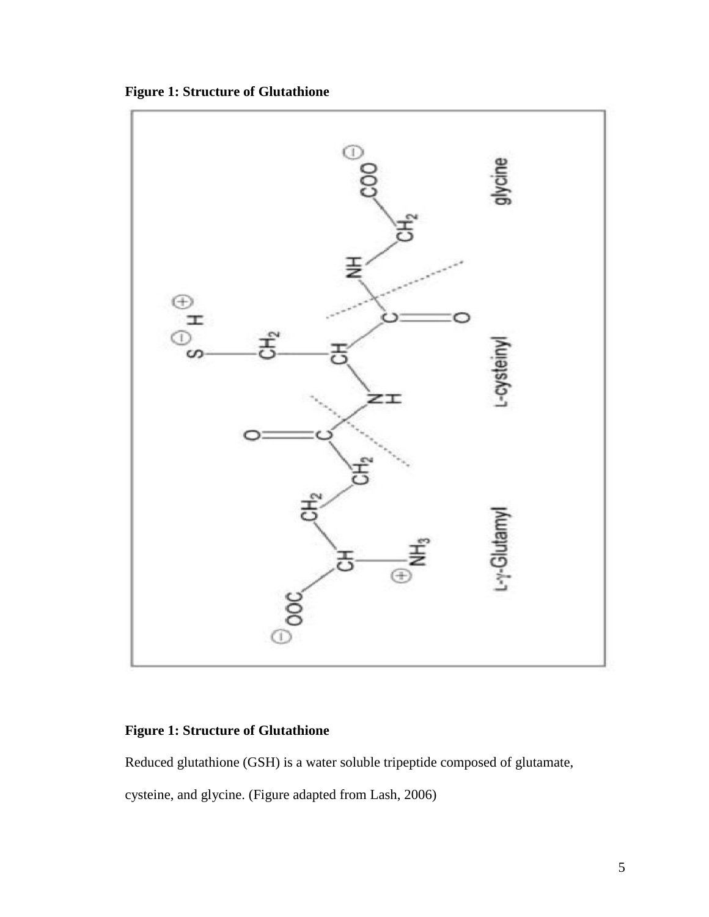**Figure 1: Structure of Glutathione**



# **Figure 1: Structure of Glutathione**

Reduced glutathione (GSH) is a water soluble tripeptide composed of glutamate, cysteine, and glycine. (Figure adapted from Lash, 2006)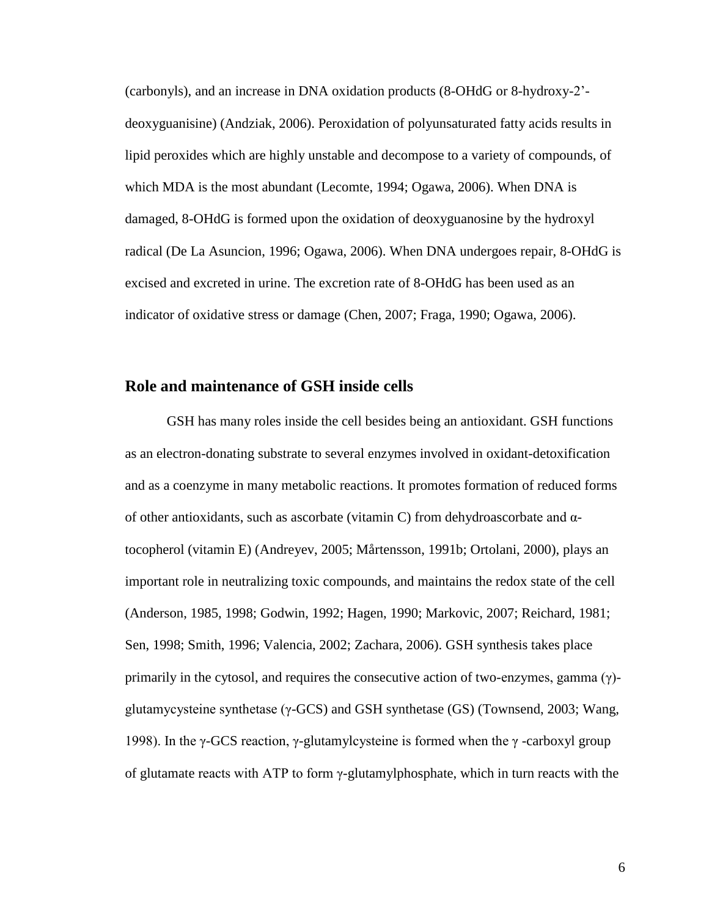(carbonyls), and an increase in DNA oxidation products (8-OHdG or 8-hydroxy-2' deoxyguanisine) (Andziak, 2006). Peroxidation of polyunsaturated fatty acids results in lipid peroxides which are highly unstable and decompose to a variety of compounds, of which MDA is the most abundant (Lecomte, 1994; Ogawa, 2006). When DNA is damaged, 8-OHdG is formed upon the oxidation of deoxyguanosine by the hydroxyl radical (De La Asuncion, 1996; Ogawa, 2006). When DNA undergoes repair, 8-OHdG is excised and excreted in urine. The excretion rate of 8-OHdG has been used as an indicator of oxidative stress or damage (Chen, 2007; Fraga, 1990; Ogawa, 2006).

### **Role and maintenance of GSH inside cells**

GSH has many roles inside the cell besides being an antioxidant. GSH functions as an electron-donating substrate to several enzymes involved in oxidant-detoxification and as a coenzyme in many metabolic reactions. It promotes formation of reduced forms of other antioxidants, such as ascorbate (vitamin C) from dehydroascorbate and αtocopherol (vitamin E) (Andreyev, 2005; Mårtensson, 1991b; Ortolani, 2000), plays an important role in neutralizing toxic compounds, and maintains the redox state of the cell (Anderson, 1985, 1998; Godwin, 1992; Hagen, 1990; Markovic, 2007; Reichard, 1981; Sen, 1998; Smith, 1996; Valencia, 2002; Zachara, 2006). GSH synthesis takes place primarily in the cytosol, and requires the consecutive action of two-enzymes, gamma (γ) glutamycysteine synthetase (γ-GCS) and GSH synthetase (GS) (Townsend, 2003; Wang, 1998). In the γ-GCS reaction, γ-glutamylcysteine is formed when the γ-carboxyl group of glutamate reacts with ATP to form  $\gamma$ -glutamylphosphate, which in turn reacts with the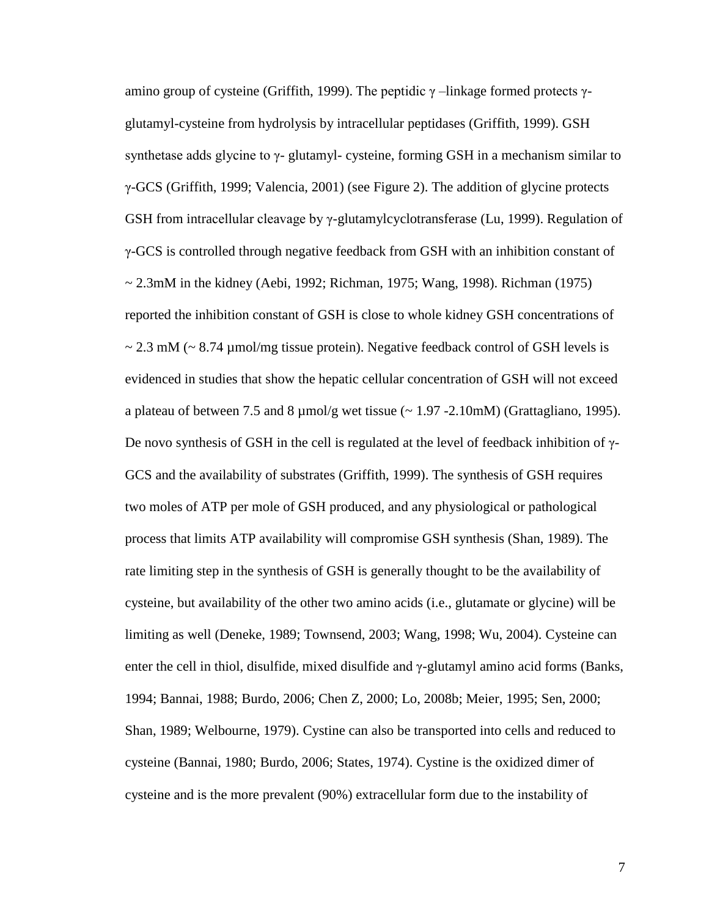amino group of cysteine (Griffith, 1999). The peptidic  $γ$  –linkage formed protects  $γ$ glutamyl-cysteine from hydrolysis by intracellular peptidases (Griffith, 1999). GSH synthetase adds glycine to  $\gamma$ - glutamyl- cysteine, forming GSH in a mechanism similar to γ-GCS (Griffith, 1999; Valencia, 2001) (see Figure 2). The addition of glycine protects GSH from intracellular cleavage by γ-glutamylcyclotransferase (Lu, 1999). Regulation of γ-GCS is controlled through negative feedback from GSH with an inhibition constant of  $\sim$  2.3mM in the kidney (Aebi, 1992; Richman, 1975; Wang, 1998). Richman (1975) reported the inhibition constant of GSH is close to whole kidney GSH concentrations of  $\sim$  2.3 mM ( $\sim$  8.74 µmol/mg tissue protein). Negative feedback control of GSH levels is evidenced in studies that show the hepatic cellular concentration of GSH will not exceed a plateau of between 7.5 and 8  $\mu$ mol/g wet tissue (~ 1.97 -2.10mM) (Grattagliano, 1995). De novo synthesis of GSH in the cell is regulated at the level of feedback inhibition of  $γ$ -GCS and the availability of substrates (Griffith, 1999). The synthesis of GSH requires two moles of ATP per mole of GSH produced, and any physiological or pathological process that limits ATP availability will compromise GSH synthesis (Shan, 1989). The rate limiting step in the synthesis of GSH is generally thought to be the availability of cysteine, but availability of the other two amino acids (i.e., glutamate or glycine) will be limiting as well (Deneke, 1989; Townsend, 2003; Wang, 1998; Wu, 2004). Cysteine can enter the cell in thiol, disulfide, mixed disulfide and  $\gamma$ -glutamyl amino acid forms (Banks, 1994; Bannai, 1988; Burdo, 2006; Chen Z, 2000; Lo, 2008b; Meier, 1995; Sen, 2000; Shan, 1989; Welbourne, 1979). Cystine can also be transported into cells and reduced to cysteine (Bannai, 1980; Burdo, 2006; States, 1974). Cystine is the oxidized dimer of cysteine and is the more prevalent (90%) extracellular form due to the instability of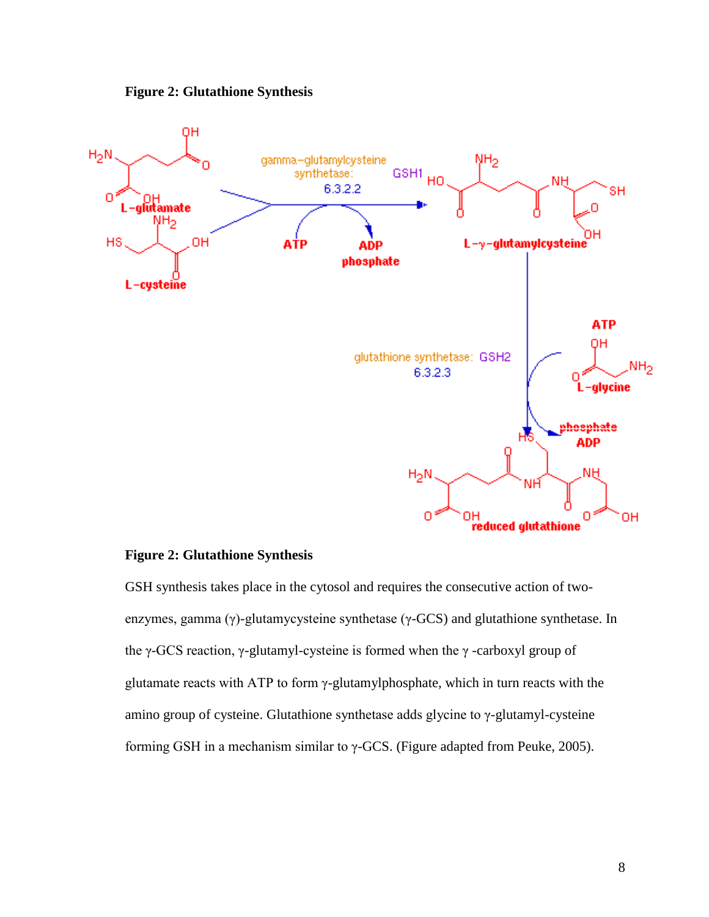



### **Figure 2: Glutathione Synthesis**

GSH synthesis takes place in the cytosol and requires the consecutive action of twoenzymes, gamma (γ)-glutamycysteine synthetase (γ-GCS) and glutathione synthetase. In the γ-GCS reaction, γ-glutamyl-cysteine is formed when the γ -carboxyl group of glutamate reacts with ATP to form γ-glutamylphosphate, which in turn reacts with the amino group of cysteine. Glutathione synthetase adds glycine to γ-glutamyl-cysteine forming GSH in a mechanism similar to γ-GCS. (Figure adapted from Peuke, 2005).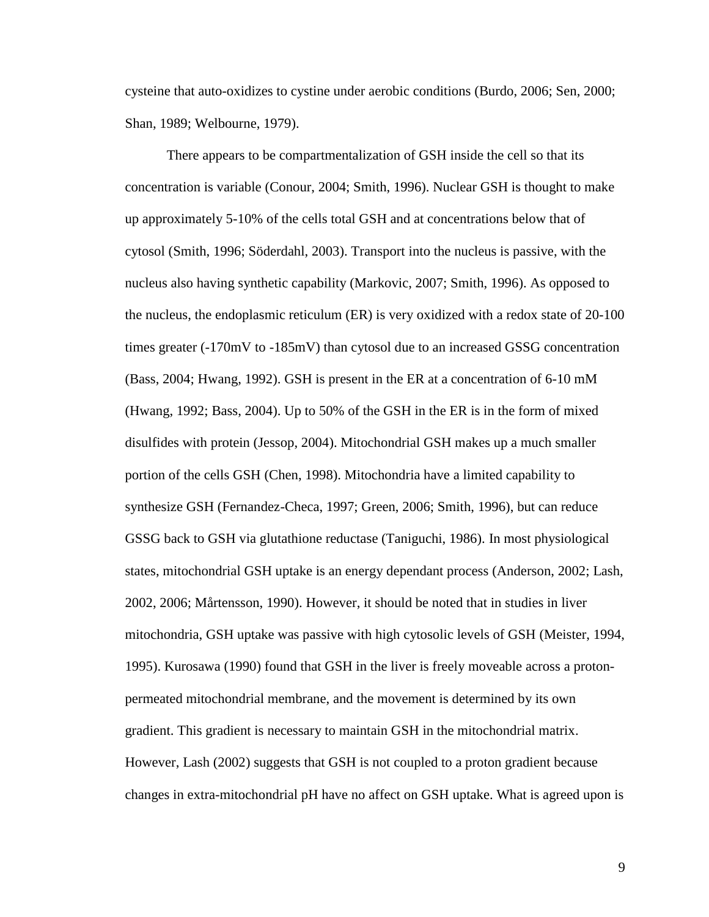cysteine that auto-oxidizes to cystine under aerobic conditions (Burdo, 2006; Sen, 2000; Shan, 1989; Welbourne, 1979).

There appears to be compartmentalization of GSH inside the cell so that its concentration is variable (Conour, 2004; Smith, 1996). Nuclear GSH is thought to make up approximately 5-10% of the cells total GSH and at concentrations below that of cytosol (Smith, 1996; Söderdahl, 2003). Transport into the nucleus is passive, with the nucleus also having synthetic capability (Markovic, 2007; Smith, 1996). As opposed to the nucleus, the endoplasmic reticulum (ER) is very oxidized with a redox state of 20-100 times greater (-170mV to -185mV) than cytosol due to an increased GSSG concentration (Bass, 2004; Hwang, 1992). GSH is present in the ER at a concentration of 6-10 mM (Hwang, 1992; Bass, 2004). Up to 50% of the GSH in the ER is in the form of mixed disulfides with protein (Jessop, 2004). Mitochondrial GSH makes up a much smaller portion of the cells GSH (Chen, 1998). Mitochondria have a limited capability to synthesize GSH (Fernandez-Checa, 1997; Green, 2006; Smith, 1996), but can reduce GSSG back to GSH via glutathione reductase (Taniguchi, 1986). In most physiological states, mitochondrial GSH uptake is an energy dependant process (Anderson, 2002; Lash, 2002, 2006; Mårtensson, 1990). However, it should be noted that in studies in liver mitochondria, GSH uptake was passive with high cytosolic levels of GSH (Meister, 1994, 1995). Kurosawa (1990) found that GSH in the liver is freely moveable across a protonpermeated mitochondrial membrane, and the movement is determined by its own gradient. This gradient is necessary to maintain GSH in the mitochondrial matrix. However, Lash (2002) suggests that GSH is not coupled to a proton gradient because changes in extra-mitochondrial pH have no affect on GSH uptake. What is agreed upon is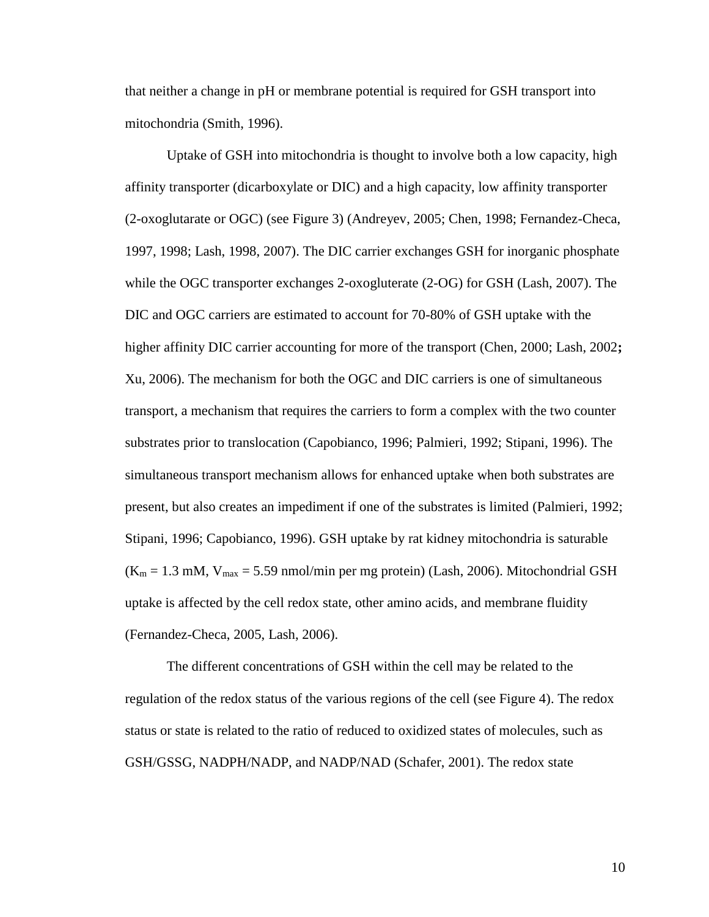that neither a change in pH or membrane potential is required for GSH transport into mitochondria (Smith, 1996).

Uptake of GSH into mitochondria is thought to involve both a low capacity, high affinity transporter (dicarboxylate or DIC) and a high capacity, low affinity transporter (2-oxoglutarate or OGC) (see Figure 3) (Andreyev, 2005; Chen, 1998; Fernandez-Checa, 1997, 1998; Lash, 1998, 2007). The DIC carrier exchanges GSH for inorganic phosphate while the OGC transporter exchanges 2-oxogluterate (2-OG) for GSH (Lash, 2007). The DIC and OGC carriers are estimated to account for 70-80% of GSH uptake with the higher affinity DIC carrier accounting for more of the transport (Chen, 2000; Lash, 2002**;** Xu, 2006). The mechanism for both the OGC and DIC carriers is one of simultaneous transport, a mechanism that requires the carriers to form a complex with the two counter substrates prior to translocation (Capobianco, 1996; Palmieri, 1992; Stipani, 1996). The simultaneous transport mechanism allows for enhanced uptake when both substrates are present, but also creates an impediment if one of the substrates is limited (Palmieri, 1992; Stipani, 1996; Capobianco, 1996). GSH uptake by rat kidney mitochondria is saturable  $(K_m = 1.3 \text{ mM}, V_{max} = 5.59 \text{ nmol/min per mg protein})$  (Lash, 2006). Mitochondrial GSH uptake is affected by the cell redox state, other amino acids, and membrane fluidity (Fernandez-Checa, 2005, Lash, 2006).

The different concentrations of GSH within the cell may be related to the regulation of the redox status of the various regions of the cell (see Figure 4). The redox status or state is related to the ratio of reduced to oxidized states of molecules, such as GSH/GSSG, NADPH/NADP, and NADP/NAD (Schafer, 2001). The redox state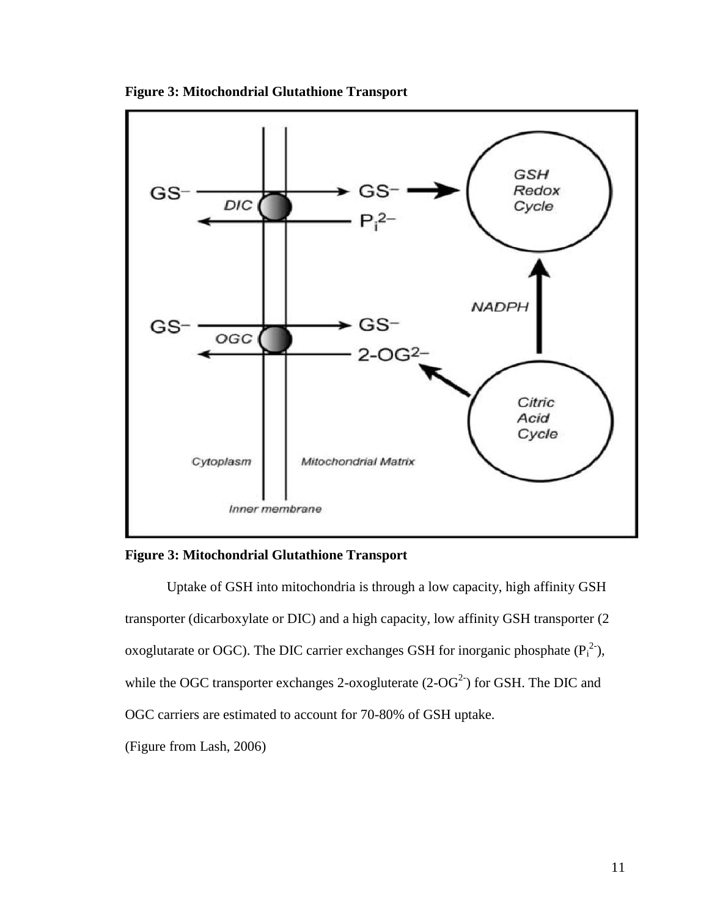

**Figure 3: Mitochondrial Glutathione Transport**



Uptake of GSH into mitochondria is through a low capacity, high affinity GSH transporter (dicarboxylate or DIC) and a high capacity, low affinity GSH transporter (2 oxoglutarate or OGC). The DIC carrier exchanges GSH for inorganic phosphate  $(P_i^2)$ , while the OGC transporter exchanges 2-oxogluterate  $(2\text{-}OG^2)$  for GSH. The DIC and OGC carriers are estimated to account for 70-80% of GSH uptake. (Figure from Lash, 2006)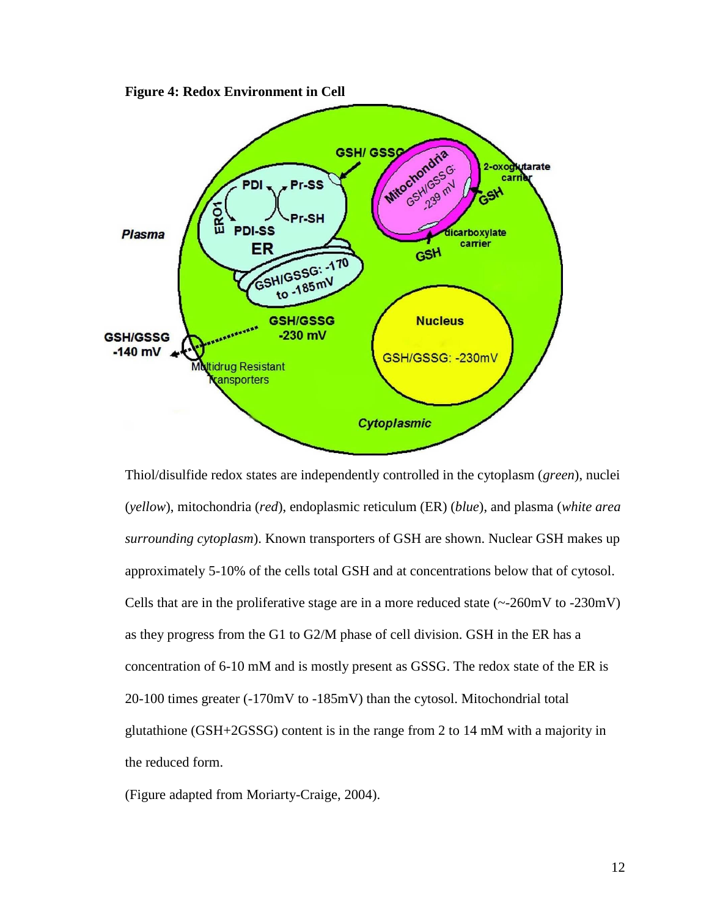

**Figure 4: Redox Environment in Cell**

Thiol/disulfide redox states are independently controlled in the cytoplasm (*green*), nuclei (*yellow*), mitochondria (*red*), endoplasmic reticulum (ER) (*blue*), and plasma (*white area surrounding cytoplasm*). Known transporters of GSH are shown. Nuclear GSH makes up approximately 5-10% of the cells total GSH and at concentrations below that of cytosol. Cells that are in the proliferative stage are in a more reduced state  $(-260 \text{mV to } -230 \text{mV})$ as they progress from the G1 to G2/M phase of cell division. GSH in the ER has a concentration of 6-10 mM and is mostly present as GSSG. The redox state of the ER is 20-100 times greater (-170mV to -185mV) than the cytosol. Mitochondrial total glutathione (GSH+2GSSG) content is in the range from 2 to 14 mM with a majority in the reduced form.

(Figure adapted from Moriarty-Craige, 2004).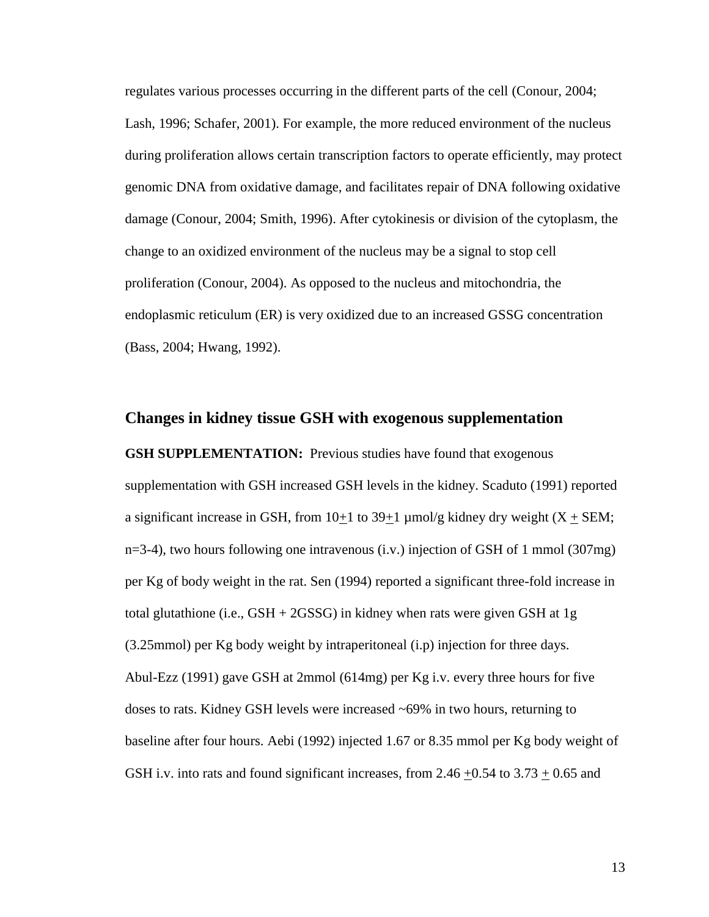regulates various processes occurring in the different parts of the cell (Conour, 2004; Lash, 1996; Schafer, 2001). For example, the more reduced environment of the nucleus during proliferation allows certain transcription factors to operate efficiently, may protect genomic DNA from oxidative damage, and facilitates repair of DNA following oxidative damage (Conour, 2004; Smith, 1996). After cytokinesis or division of the cytoplasm, the change to an oxidized environment of the nucleus may be a signal to stop cell proliferation (Conour, 2004). As opposed to the nucleus and mitochondria, the endoplasmic reticulum (ER) is very oxidized due to an increased GSSG concentration (Bass, 2004; Hwang, 1992).

### **Changes in kidney tissue GSH with exogenous supplementation**

**GSH SUPPLEMENTATION:** Previous studies have found that exogenous supplementation with GSH increased GSH levels in the kidney. Scaduto (1991) reported a significant increase in GSH, from  $10+1$  to  $39+1$  µmol/g kidney dry weight (X  $\pm$  SEM; n=3-4), two hours following one intravenous (i.v.) injection of GSH of 1 mmol (307mg) per Kg of body weight in the rat. Sen (1994) reported a significant three-fold increase in total glutathione (i.e., GSH + 2GSSG) in kidney when rats were given GSH at 1g (3.25mmol) per Kg body weight by intraperitoneal (i.p) injection for three days. Abul-Ezz (1991) gave GSH at 2mmol (614mg) per Kg i.v. every three hours for five doses to rats. Kidney GSH levels were increased ~69% in two hours, returning to baseline after four hours. Aebi (1992) injected 1.67 or 8.35 mmol per Kg body weight of GSH i.v. into rats and found significant increases, from 2.46  $+0.54$  to 3.73  $+0.65$  and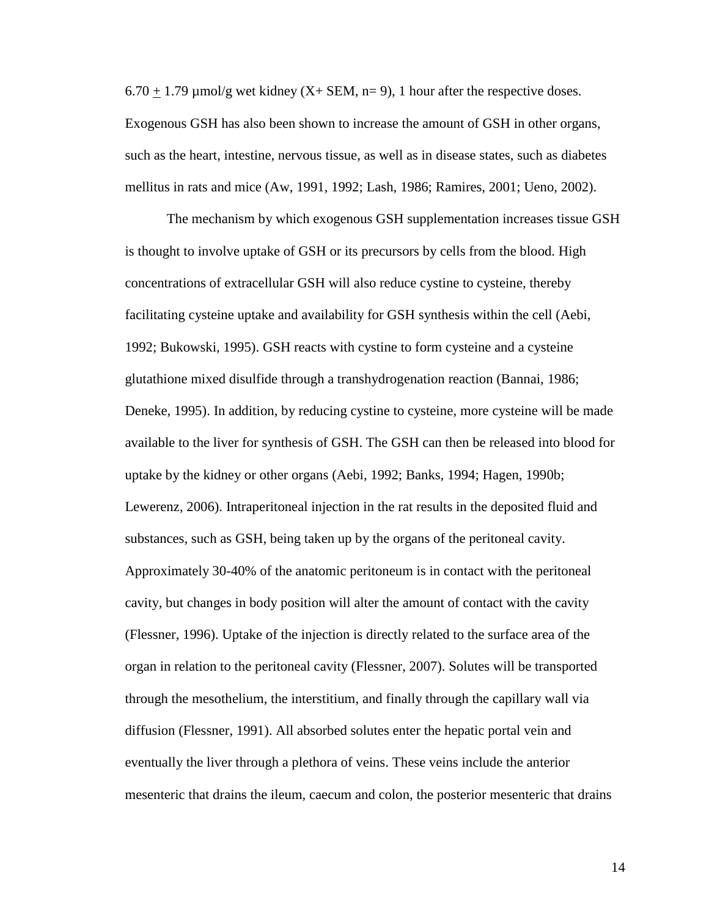$6.70 + 1.79$  µmol/g wet kidney (X+ SEM, n= 9), 1 hour after the respective doses. Exogenous GSH has also been shown to increase the amount of GSH in other organs, such as the heart, intestine, nervous tissue, as well as in disease states, such as diabetes mellitus in rats and mice (Aw, 1991, 1992; Lash, 1986; Ramires, 2001; Ueno, 2002).

The mechanism by which exogenous GSH supplementation increases tissue GSH is thought to involve uptake of GSH or its precursors by cells from the blood. High concentrations of extracellular GSH will also reduce cystine to cysteine, thereby facilitating cysteine uptake and availability for GSH synthesis within the cell (Aebi, 1992; Bukowski, 1995). GSH reacts with cystine to form cysteine and a cysteine glutathione mixed disulfide through a transhydrogenation reaction (Bannai, 1986; Deneke, 1995). In addition, by reducing cystine to cysteine, more cysteine will be made available to the liver for synthesis of GSH. The GSH can then be released into blood for uptake by the kidney or other organs (Aebi, 1992; Banks, 1994; Hagen, 1990b; Lewerenz, 2006). Intraperitoneal injection in the rat results in the deposited fluid and substances, such as GSH, being taken up by the organs of the peritoneal cavity. Approximately 30-40% of the anatomic peritoneum is in contact with the peritoneal cavity, but changes in body position will alter the amount of contact with the cavity (Flessner, 1996). Uptake of the injection is directly related to the surface area of the organ in relation to the peritoneal cavity (Flessner, 2007). Solutes will be transported through the mesothelium, the interstitium, and finally through the capillary wall via diffusion (Flessner, 1991). All absorbed solutes enter the hepatic portal vein and eventually the liver through a plethora of veins. These veins include the anterior mesenteric that drains the ileum, caecum and colon, the posterior mesenteric that drains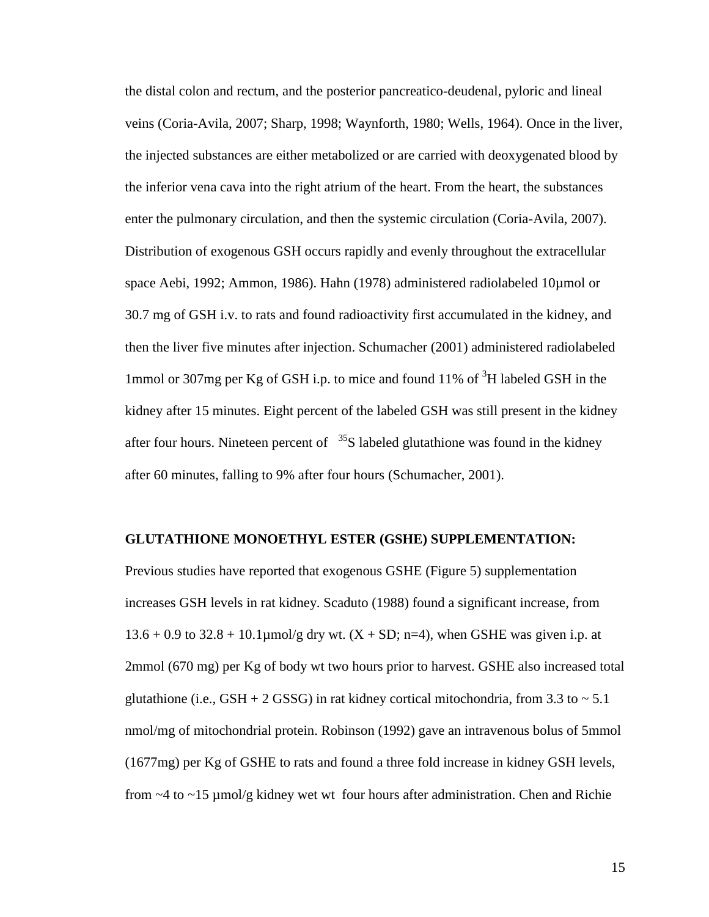the distal colon and rectum, and the posterior pancreatico-deudenal, pyloric and lineal veins (Coria-Avila, 2007; Sharp, 1998; Waynforth, 1980; Wells, 1964). Once in the liver, the injected substances are either metabolized or are carried with deoxygenated blood by the inferior vena cava into the right atrium of the heart. From the heart, the substances enter the pulmonary circulation, and then the systemic circulation (Coria-Avila, 2007). Distribution of exogenous GSH occurs rapidly and evenly throughout the extracellular space Aebi, 1992; Ammon, 1986). Hahn (1978) administered radiolabeled 10µmol or 30.7 mg of GSH i.v. to rats and found radioactivity first accumulated in the kidney, and then the liver five minutes after injection. Schumacher (2001) administered radiolabeled 1mmol or 307mg per Kg of GSH i.p. to mice and found 11% of <sup>3</sup>H labeled GSH in the kidney after 15 minutes. Eight percent of the labeled GSH was still present in the kidney after four hours. Nineteen percent of  $35S$  labeled glutathione was found in the kidney after 60 minutes, falling to 9% after four hours (Schumacher, 2001).

#### **GLUTATHIONE MONOETHYL ESTER (GSHE) SUPPLEMENTATION:**

Previous studies have reported that exogenous GSHE (Figure 5) supplementation increases GSH levels in rat kidney. Scaduto (1988) found a significant increase, from  $13.6 + 0.9$  to  $32.8 + 10.1 \mu$ mol/g dry wt.  $(X + SD; n=4)$ , when GSHE was given i.p. at 2mmol (670 mg) per Kg of body wt two hours prior to harvest. GSHE also increased total glutathione (i.e., GSH + 2 GSSG) in rat kidney cortical mitochondria, from 3.3 to  $\sim$  5.1 nmol/mg of mitochondrial protein. Robinson (1992) gave an intravenous bolus of 5mmol (1677mg) per Kg of GSHE to rats and found a three fold increase in kidney GSH levels, from  $\sim$  4 to  $\sim$  15 µmol/g kidney wet wt four hours after administration. Chen and Richie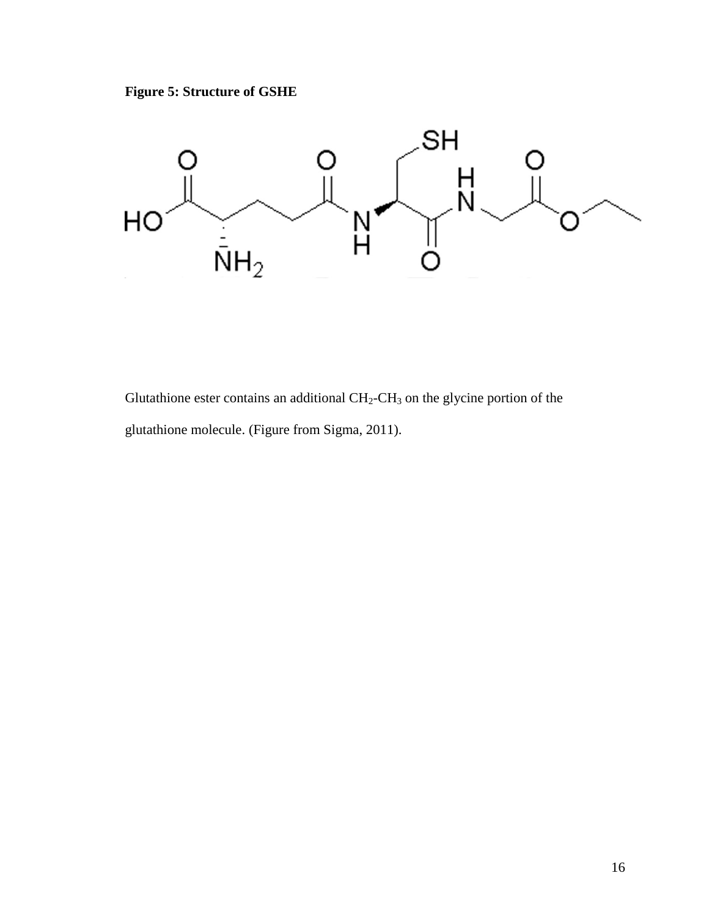



Glutathione ester contains an additional  $CH_2-CH_3$  on the glycine portion of the glutathione molecule. (Figure from Sigma, 2011).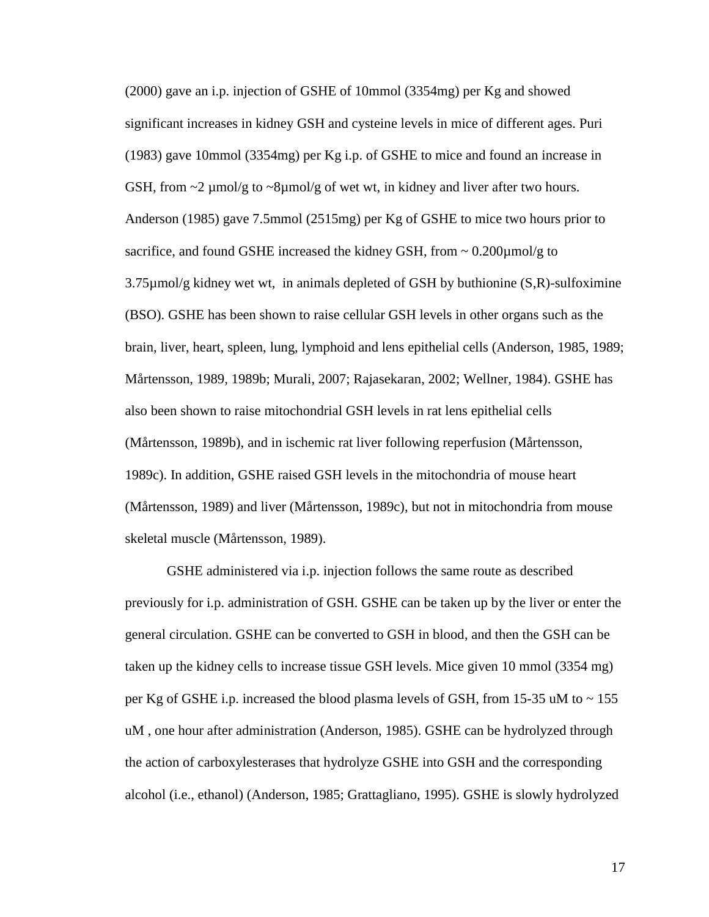(2000) gave an i.p. injection of GSHE of 10mmol (3354mg) per Kg and showed significant increases in kidney GSH and cysteine levels in mice of different ages. Puri (1983) gave 10mmol (3354mg) per Kg i.p. of GSHE to mice and found an increase in GSH, from  $\sim$ 2 µmol/g to  $\sim$ 8µmol/g of wet wt, in kidney and liver after two hours. Anderson (1985) gave 7.5mmol (2515mg) per Kg of GSHE to mice two hours prior to sacrifice, and found GSHE increased the kidney GSH, from  $\sim 0.200 \mu m o l/g$  to 3.75µmol/g kidney wet wt, in animals depleted of GSH by buthionine (S,R)-sulfoximine (BSO). GSHE has been shown to raise cellular GSH levels in other organs such as the brain, liver, heart, spleen, lung, lymphoid and lens epithelial cells (Anderson, 1985, 1989; Mårtensson, 1989, 1989b; Murali, 2007; Rajasekaran, 2002; Wellner, 1984). GSHE has also been shown to raise mitochondrial GSH levels in rat lens epithelial cells (Mårtensson, 1989b), and in ischemic rat liver following reperfusion (Mårtensson, 1989c). In addition, GSHE raised GSH levels in the mitochondria of mouse heart (Mårtensson, 1989) and liver (Mårtensson, 1989c), but not in mitochondria from mouse skeletal muscle (Mårtensson, 1989).

GSHE administered via i.p. injection follows the same route as described previously for i.p. administration of GSH. GSHE can be taken up by the liver or enter the general circulation. GSHE can be converted to GSH in blood, and then the GSH can be taken up the kidney cells to increase tissue GSH levels. Mice given 10 mmol (3354 mg) per Kg of GSHE i.p. increased the blood plasma levels of GSH, from 15-35 uM to  $\sim$  155 uM , one hour after administration (Anderson, 1985). GSHE can be hydrolyzed through the action of carboxylesterases that hydrolyze GSHE into GSH and the corresponding alcohol (i.e., ethanol) (Anderson, 1985; Grattagliano, 1995). GSHE is slowly hydrolyzed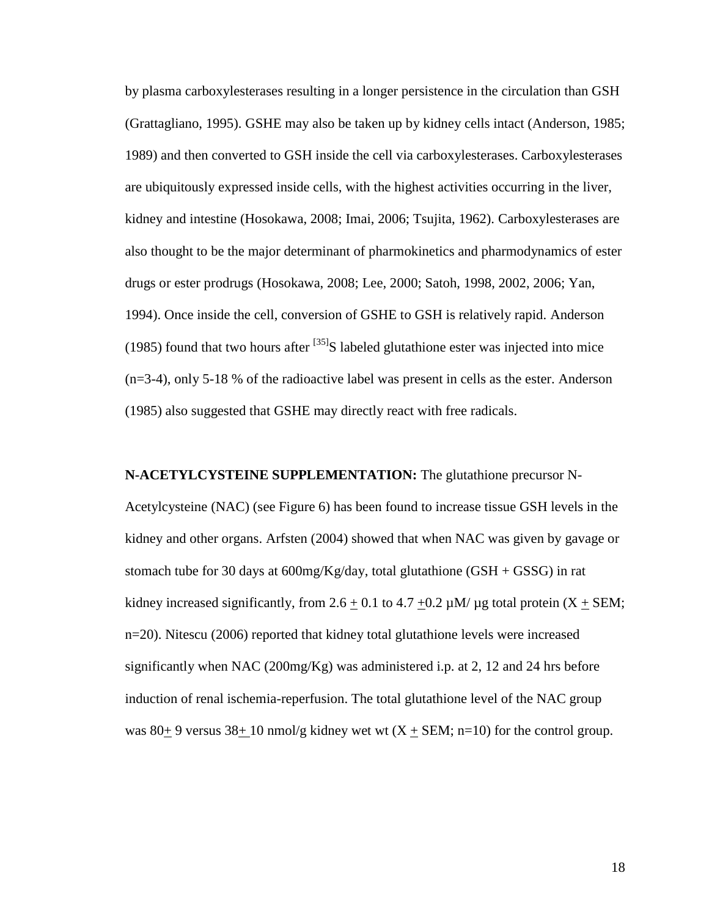by plasma carboxylesterases resulting in a longer persistence in the circulation than GSH (Grattagliano, 1995). GSHE may also be taken up by kidney cells intact (Anderson, 1985; 1989) and then converted to GSH inside the cell via carboxylesterases. Carboxylesterases are ubiquitously expressed inside cells, with the highest activities occurring in the liver, kidney and intestine (Hosokawa, 2008; Imai, 2006; Tsujita, 1962). Carboxylesterases are also thought to be the major determinant of pharmokinetics and pharmodynamics of ester drugs or ester prodrugs (Hosokawa, 2008; Lee, 2000; Satoh, 1998, 2002, 2006; Yan, 1994). Once inside the cell, conversion of GSHE to GSH is relatively rapid. Anderson (1985) found that two hours after  $^{[35]}S$  labeled glutathione ester was injected into mice (n=3-4), only 5-18 % of the radioactive label was present in cells as the ester. Anderson (1985) also suggested that GSHE may directly react with free radicals.

**N-ACETYLCYSTEINE SUPPLEMENTATION:** The glutathione precursor N-Acetylcysteine (NAC) (see Figure 6) has been found to increase tissue GSH levels in the kidney and other organs. Arfsten (2004) showed that when NAC was given by gavage or stomach tube for 30 days at  $600$ mg/Kg/day, total glutathione (GSH + GSSG) in rat kidney increased significantly, from 2.6  $\pm$  0.1 to 4.7  $\pm$ 0.2  $\mu$ M/  $\mu$ g total protein (X  $\pm$  SEM; n=20). Nitescu (2006) reported that kidney total glutathione levels were increased significantly when NAC (200mg/Kg) was administered i.p. at 2, 12 and 24 hrs before induction of renal ischemia-reperfusion. The total glutathione level of the NAC group was 80 $\pm$  9 versus 38 $\pm$  10 nmol/g kidney wet wt (X  $\pm$  SEM; n=10) for the control group.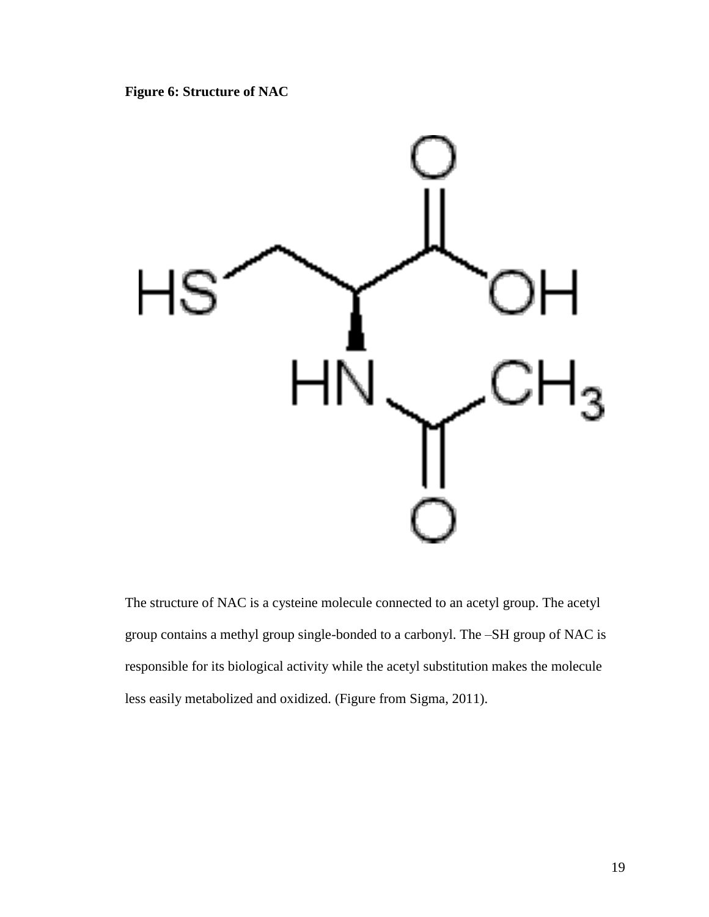**Figure 6: Structure of NAC**



The structure of NAC is a cysteine molecule connected to an acetyl group. The acetyl group contains a methyl group single-bonded to a carbonyl. The –SH group of NAC is responsible for its biological activity while the acetyl substitution makes the molecule less easily metabolized and oxidized. (Figure from Sigma, 2011).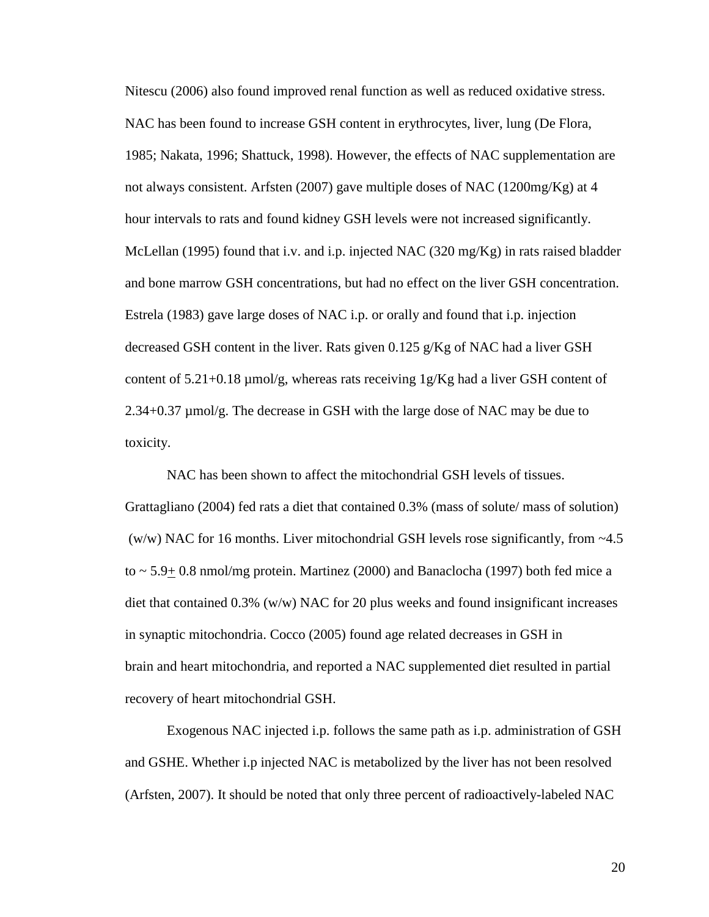Nitescu (2006) also found improved renal function as well as reduced oxidative stress. NAC has been found to increase GSH content in erythrocytes, liver, lung (De Flora, 1985; Nakata, 1996; Shattuck, 1998). However, the effects of NAC supplementation are not always consistent. Arfsten (2007) gave multiple doses of NAC (1200mg/Kg) at 4 hour intervals to rats and found kidney GSH levels were not increased significantly. McLellan (1995) found that i.v. and i.p. injected NAC (320 mg/Kg) in rats raised bladder and bone marrow GSH concentrations, but had no effect on the liver GSH concentration. Estrela (1983) gave large doses of NAC i.p. or orally and found that i.p. injection decreased GSH content in the liver. Rats given 0.125 g/Kg of NAC had a liver GSH content of  $5.21+0.18$  µmol/g, whereas rats receiving  $1g/Kg$  had a liver GSH content of 2.34+0.37 µmol/g. The decrease in GSH with the large dose of NAC may be due to toxicity.

NAC has been shown to affect the mitochondrial GSH levels of tissues. Grattagliano (2004) fed rats a diet that contained 0.3% (mass of solute/ mass of solution) (w/w) NAC for 16 months. Liver mitochondrial GSH levels rose significantly, from  $\sim$  4.5 to  $\sim$  5.9+ 0.8 nmol/mg protein. Martinez (2000) and Banaclocha (1997) both fed mice a diet that contained  $0.3\%$  (w/w) NAC for 20 plus weeks and found insignificant increases in synaptic mitochondria. Cocco (2005) found age related decreases in GSH in brain and heart mitochondria, and reported a NAC supplemented diet resulted in partial recovery of heart mitochondrial GSH.

Exogenous NAC injected i.p. follows the same path as i.p. administration of GSH and GSHE. Whether i.p injected NAC is metabolized by the liver has not been resolved (Arfsten, 2007). It should be noted that only three percent of radioactively-labeled NAC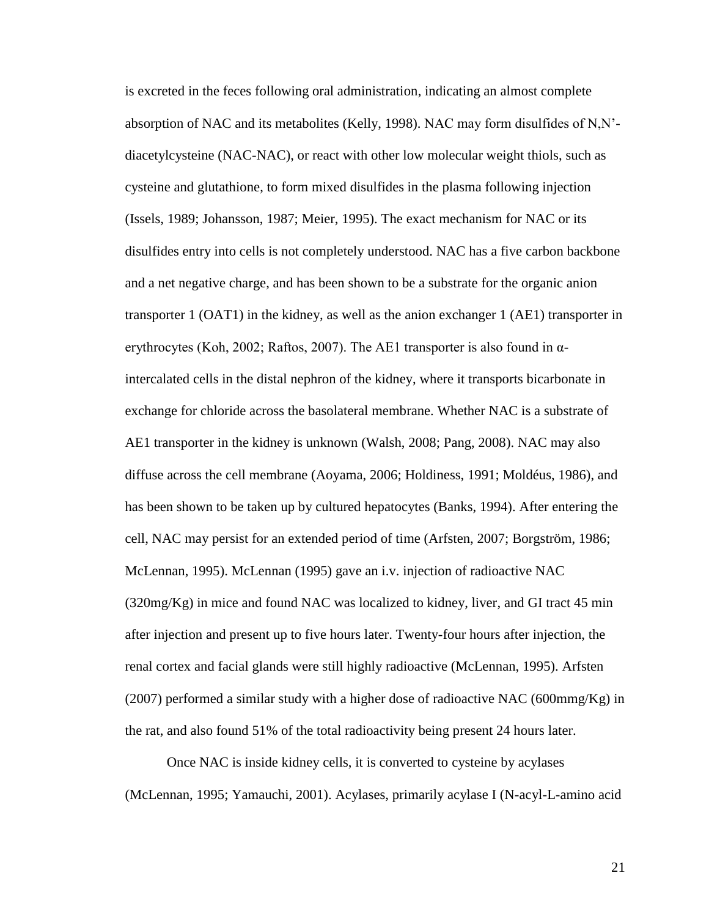is excreted in the feces following oral administration, indicating an almost complete absorption of NAC and its metabolites (Kelly, 1998). NAC may form disulfides of N,N' diacetylcysteine (NAC-NAC), or react with other low molecular weight thiols, such as cysteine and glutathione, to form mixed disulfides in the plasma following injection (Issels, 1989; Johansson, 1987; Meier, 1995). The exact mechanism for NAC or its disulfides entry into cells is not completely understood. NAC has a five carbon backbone and a net negative charge, and has been shown to be a substrate for the organic anion transporter 1 (OAT1) in the kidney, as well as the anion exchanger 1 (AE1) transporter in erythrocytes (Koh, 2002; Raftos, 2007). The AE1 transporter is also found in  $\alpha$ intercalated cells in the distal nephron of the kidney, where it transports bicarbonate in exchange for chloride across the basolateral membrane. Whether NAC is a substrate of AE1 transporter in the kidney is unknown (Walsh, 2008; Pang, 2008). NAC may also diffuse across the cell membrane (Aoyama, 2006; Holdiness, 1991; Moldéus, 1986), and has been shown to be taken up by cultured hepatocytes (Banks, 1994). After entering the cell, NAC may persist for an extended period of time (Arfsten, 2007; Borgström, 1986; McLennan, 1995). McLennan (1995) gave an i.v. injection of radioactive NAC (320mg/Kg) in mice and found NAC was localized to kidney, liver, and GI tract 45 min after injection and present up to five hours later. Twenty-four hours after injection, the renal cortex and facial glands were still highly radioactive (McLennan, 1995). Arfsten (2007) performed a similar study with a higher dose of radioactive NAC (600mmg/Kg) in the rat, and also found 51% of the total radioactivity being present 24 hours later.

Once NAC is inside kidney cells, it is converted to cysteine by acylases (McLennan, 1995; Yamauchi, 2001). Acylases, primarily acylase I (N-acyl-L-amino acid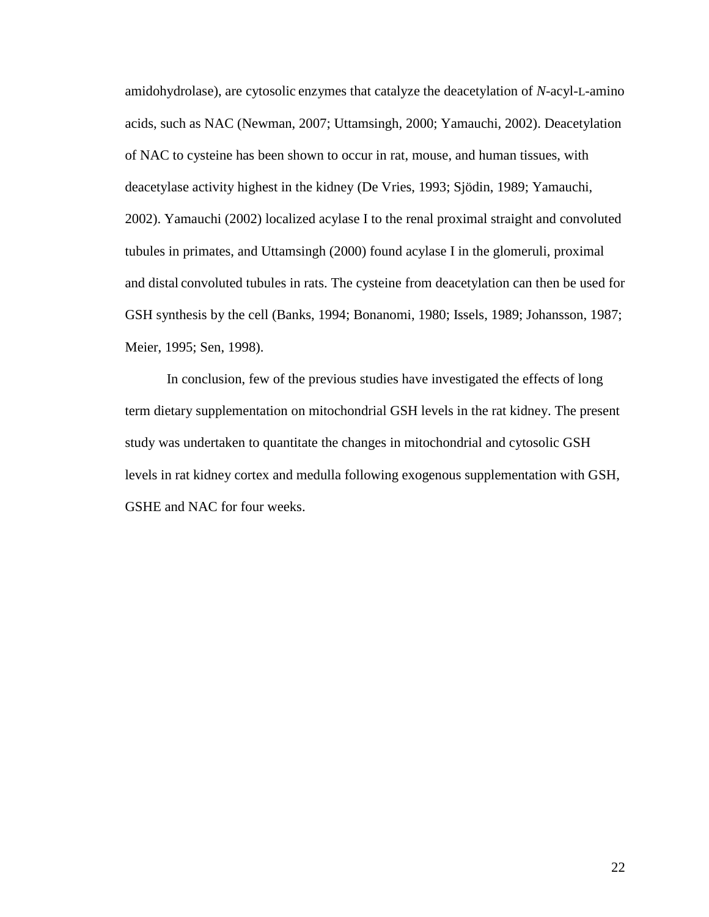amidohydrolase), are cytosolic enzymes that catalyze the deacetylation of *N*-acyl-L-amino acids, such as NAC (Newman, 2007; Uttamsingh, 2000; Yamauchi, 2002). Deacetylation of NAC to cysteine has been shown to occur in rat, mouse, and human tissues, with deacetylase activity highest in the kidney (De Vries, 1993; Sjödin, 1989; Yamauchi, 2002). Yamauchi (2002) localized acylase I to the renal proximal straight and convoluted tubules in primates, and Uttamsingh (2000) found acylase I in the glomeruli, proximal and distal convoluted tubules in rats. The cysteine from deacetylation can then be used for GSH synthesis by the cell (Banks, 1994; Bonanomi, 1980; Issels, 1989; Johansson, 1987; Meier, 1995; Sen, 1998).

In conclusion, few of the previous studies have investigated the effects of long term dietary supplementation on mitochondrial GSH levels in the rat kidney. The present study was undertaken to quantitate the changes in mitochondrial and cytosolic GSH levels in rat kidney cortex and medulla following exogenous supplementation with GSH, GSHE and NAC for four weeks.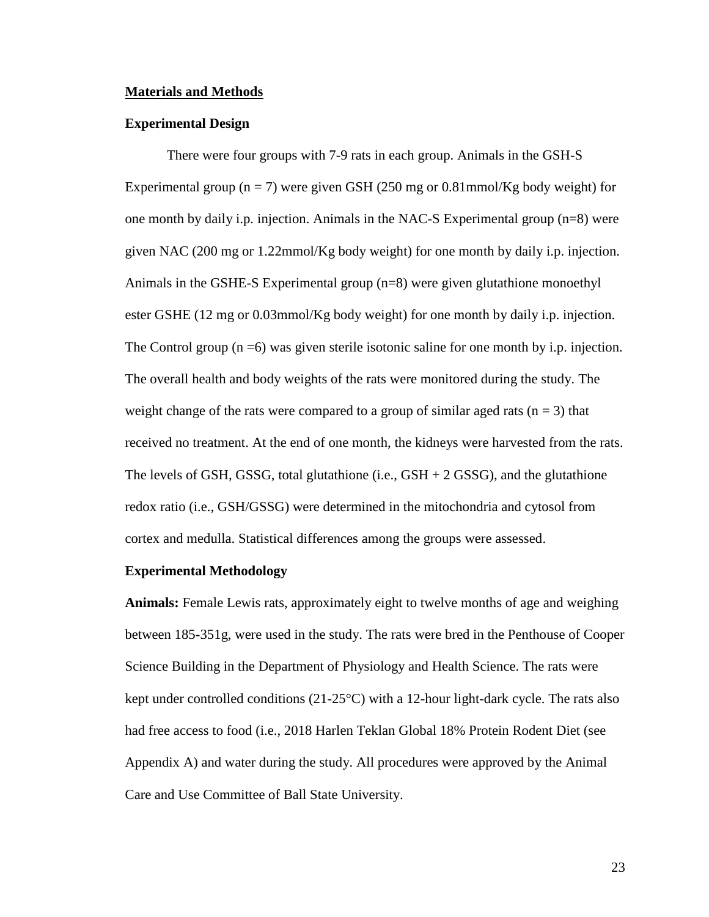#### **Materials and Methods**

#### **Experimental Design**

There were four groups with 7-9 rats in each group. Animals in the GSH-S Experimental group ( $n = 7$ ) were given GSH (250 mg or 0.81mmol/Kg body weight) for one month by daily i.p. injection. Animals in the NAC-S Experimental group (n=8) were given NAC (200 mg or 1.22mmol/Kg body weight) for one month by daily i.p. injection. Animals in the GSHE-S Experimental group (n=8) were given glutathione monoethyl ester GSHE (12 mg or 0.03mmol/Kg body weight) for one month by daily i.p. injection. The Control group  $(n = 6)$  was given sterile isotonic saline for one month by i.p. injection. The overall health and body weights of the rats were monitored during the study. The weight change of the rats were compared to a group of similar aged rats  $(n = 3)$  that received no treatment. At the end of one month, the kidneys were harvested from the rats. The levels of GSH, GSSG, total glutathione (i.e.,  $GSH + 2$  GSSG), and the glutathione redox ratio (i.e., GSH/GSSG) were determined in the mitochondria and cytosol from cortex and medulla. Statistical differences among the groups were assessed.

### **Experimental Methodology**

**Animals:** Female Lewis rats, approximately eight to twelve months of age and weighing between 185-351g, were used in the study. The rats were bred in the Penthouse of Cooper Science Building in the Department of Physiology and Health Science. The rats were kept under controlled conditions (21-25°C) with a 12-hour light-dark cycle. The rats also had free access to food (i.e., 2018 Harlen Teklan Global 18% Protein Rodent Diet (see Appendix A) and water during the study. All procedures were approved by the Animal Care and Use Committee of Ball State University.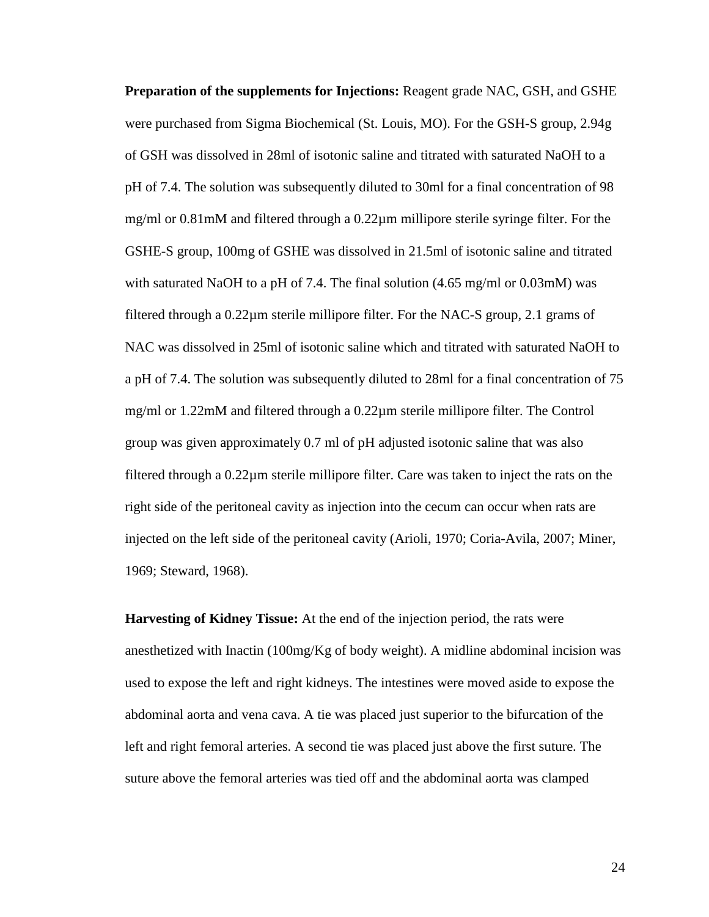**Preparation of the supplements for Injections:** Reagent grade NAC, GSH, and GSHE were purchased from Sigma Biochemical (St. Louis, MO). For the GSH-S group, 2.94g of GSH was dissolved in 28ml of isotonic saline and titrated with saturated NaOH to a pH of 7.4. The solution was subsequently diluted to 30ml for a final concentration of 98 mg/ml or 0.81mM and filtered through a 0.22µm millipore sterile syringe filter. For the GSHE-S group, 100mg of GSHE was dissolved in 21.5ml of isotonic saline and titrated with saturated NaOH to a pH of 7.4. The final solution (4.65 mg/ml or 0.03mM) was filtered through a 0.22µm sterile millipore filter. For the NAC-S group, 2.1 grams of NAC was dissolved in 25ml of isotonic saline which and titrated with saturated NaOH to a pH of 7.4. The solution was subsequently diluted to 28ml for a final concentration of 75 mg/ml or 1.22mM and filtered through a 0.22µm sterile millipore filter. The Control group was given approximately 0.7 ml of pH adjusted isotonic saline that was also filtered through a 0.22µm sterile millipore filter. Care was taken to inject the rats on the right side of the peritoneal cavity as injection into the cecum can occur when rats are injected on the left side of the peritoneal cavity (Arioli, 1970; Coria-Avila, 2007; Miner, 1969; Steward, 1968).

**Harvesting of Kidney Tissue:** At the end of the injection period, the rats were anesthetized with Inactin (100mg/Kg of body weight). A midline abdominal incision was used to expose the left and right kidneys. The intestines were moved aside to expose the abdominal aorta and vena cava. A tie was placed just superior to the bifurcation of the left and right femoral arteries. A second tie was placed just above the first suture. The suture above the femoral arteries was tied off and the abdominal aorta was clamped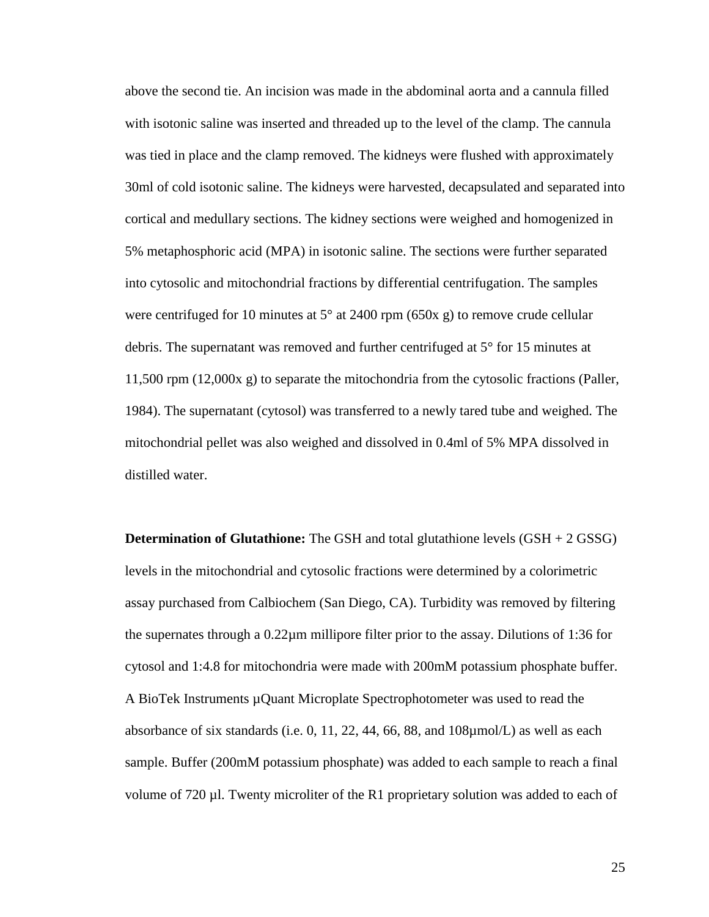above the second tie. An incision was made in the abdominal aorta and a cannula filled with isotonic saline was inserted and threaded up to the level of the clamp. The cannula was tied in place and the clamp removed. The kidneys were flushed with approximately 30ml of cold isotonic saline. The kidneys were harvested, decapsulated and separated into cortical and medullary sections. The kidney sections were weighed and homogenized in 5% metaphosphoric acid (MPA) in isotonic saline. The sections were further separated into cytosolic and mitochondrial fractions by differential centrifugation. The samples were centrifuged for 10 minutes at 5° at 2400 rpm (650x g) to remove crude cellular debris. The supernatant was removed and further centrifuged at 5° for 15 minutes at 11,500 rpm (12,000x g) to separate the mitochondria from the cytosolic fractions (Paller, 1984). The supernatant (cytosol) was transferred to a newly tared tube and weighed. The mitochondrial pellet was also weighed and dissolved in 0.4ml of 5% MPA dissolved in distilled water.

**Determination of Glutathione:** The GSH and total glutathione levels (GSH + 2 GSSG) levels in the mitochondrial and cytosolic fractions were determined by a colorimetric assay purchased from Calbiochem (San Diego, CA). Turbidity was removed by filtering the supernates through a 0.22µm millipore filter prior to the assay. Dilutions of 1:36 for cytosol and 1:4.8 for mitochondria were made with 200mM potassium phosphate buffer. A BioTek Instruments µQuant Microplate Spectrophotometer was used to read the absorbance of six standards (i.e. 0, 11, 22, 44, 66, 88, and 108µmol/L) as well as each sample. Buffer (200mM potassium phosphate) was added to each sample to reach a final volume of 720  $\mu$ l. Twenty microliter of the R1 proprietary solution was added to each of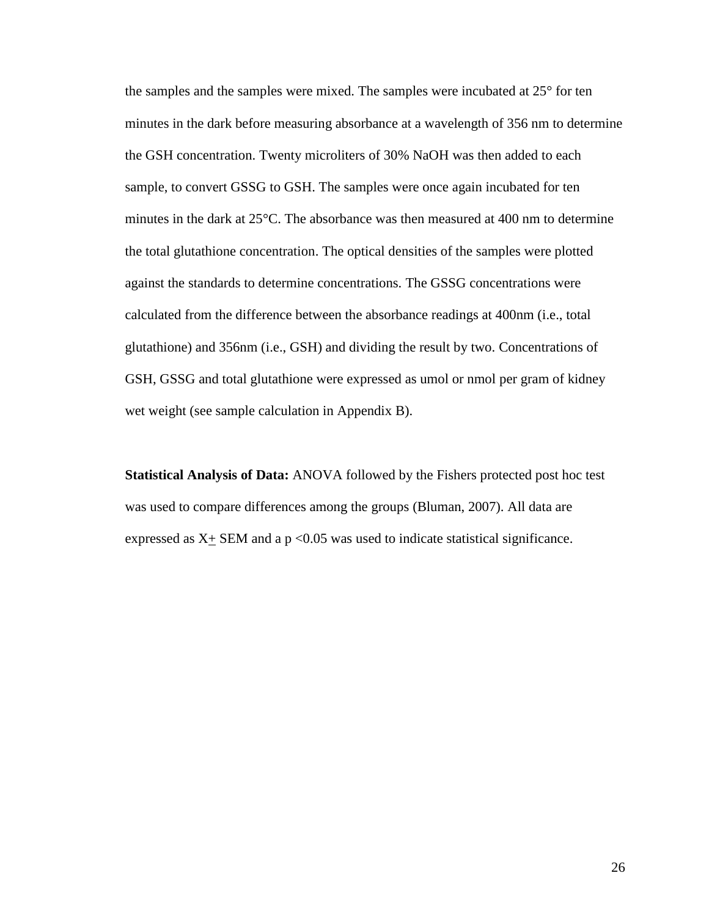the samples and the samples were mixed. The samples were incubated at 25° for ten minutes in the dark before measuring absorbance at a wavelength of 356 nm to determine the GSH concentration. Twenty microliters of 30% NaOH was then added to each sample, to convert GSSG to GSH. The samples were once again incubated for ten minutes in the dark at 25°C. The absorbance was then measured at 400 nm to determine the total glutathione concentration. The optical densities of the samples were plotted against the standards to determine concentrations. The GSSG concentrations were calculated from the difference between the absorbance readings at 400nm (i.e., total glutathione) and 356nm (i.e., GSH) and dividing the result by two. Concentrations of GSH, GSSG and total glutathione were expressed as umol or nmol per gram of kidney wet weight (see sample calculation in Appendix B).

**Statistical Analysis of Data:** ANOVA followed by the Fishers protected post hoc test was used to compare differences among the groups (Bluman, 2007). All data are expressed as  $X_{\pm}$  SEM and a p <0.05 was used to indicate statistical significance.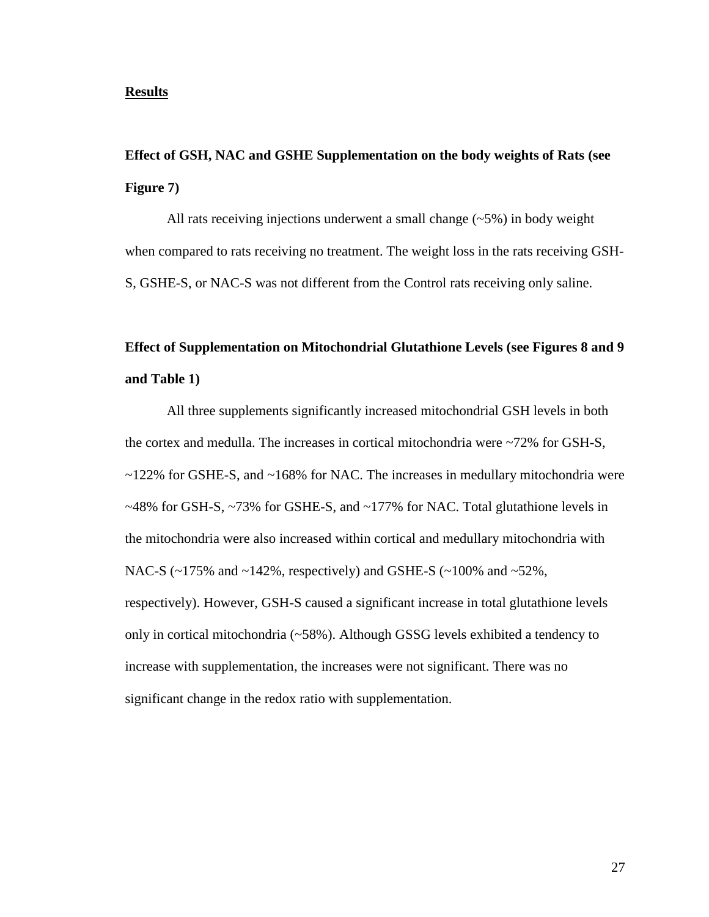### **Results**

# **Effect of GSH, NAC and GSHE Supplementation on the body weights of Rats (see Figure 7)**

All rats receiving injections underwent a small change (~5%) in body weight when compared to rats receiving no treatment. The weight loss in the rats receiving GSH-S, GSHE-S, or NAC-S was not different from the Control rats receiving only saline.

# **Effect of Supplementation on Mitochondrial Glutathione Levels (see Figures 8 and 9 and Table 1)**

All three supplements significantly increased mitochondrial GSH levels in both the cortex and medulla. The increases in cortical mitochondria were ~72% for GSH-S, ~122% for GSHE-S, and ~168% for NAC. The increases in medullary mitochondria were  $\sim$ 48% for GSH-S,  $\sim$ 73% for GSHE-S, and  $\sim$ 177% for NAC. Total glutathione levels in the mitochondria were also increased within cortical and medullary mitochondria with NAC-S ( $\sim$ 175% and  $\sim$ 142%, respectively) and GSHE-S ( $\sim$ 100% and  $\sim$ 52%, respectively). However, GSH-S caused a significant increase in total glutathione levels only in cortical mitochondria (~58%). Although GSSG levels exhibited a tendency to increase with supplementation, the increases were not significant. There was no significant change in the redox ratio with supplementation.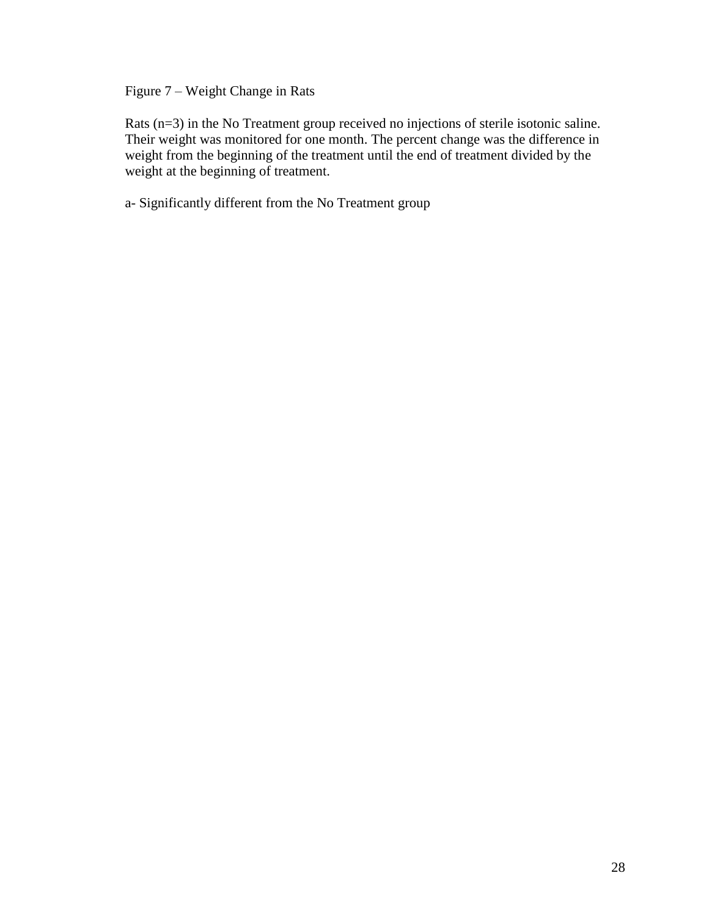Figure 7 – Weight Change in Rats

Rats (n=3) in the No Treatment group received no injections of sterile isotonic saline. Their weight was monitored for one month. The percent change was the difference in weight from the beginning of the treatment until the end of treatment divided by the weight at the beginning of treatment.

a- Significantly different from the No Treatment group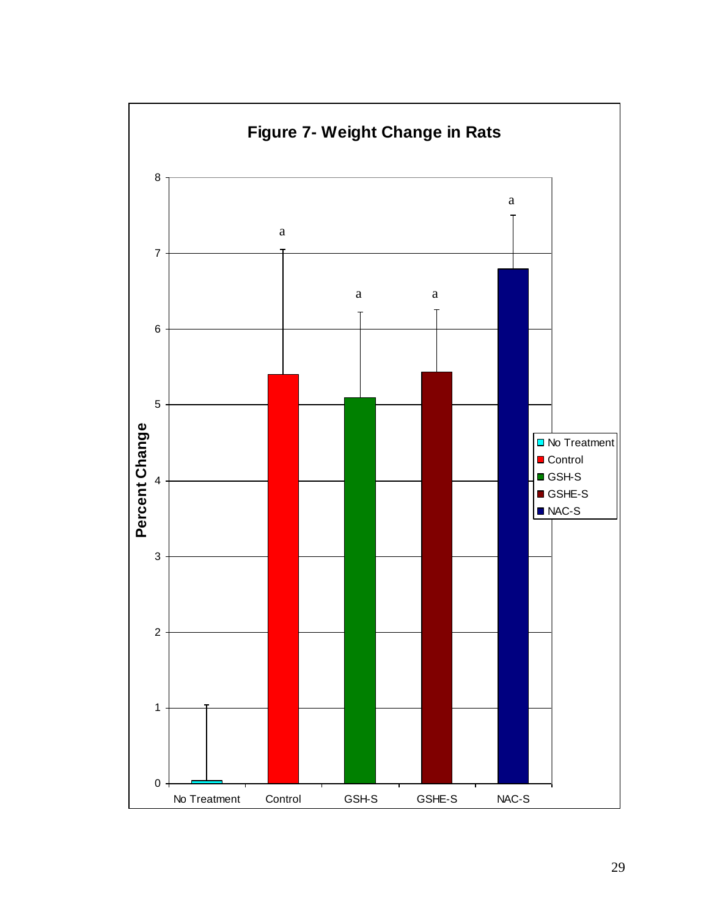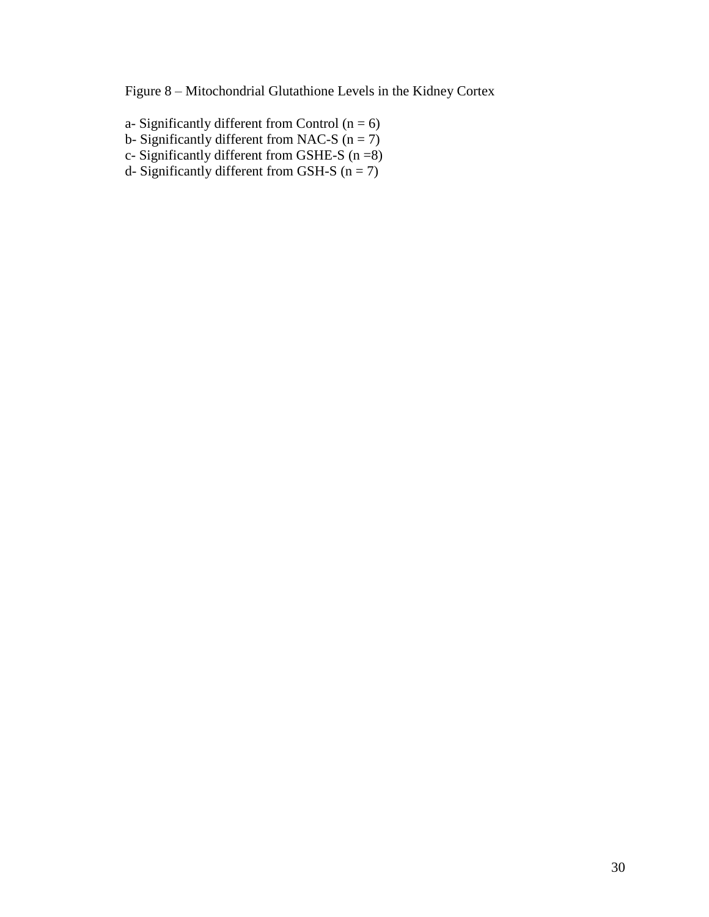Figure 8 – Mitochondrial Glutathione Levels in the Kidney Cortex

- a- Significantly different from Control  $(n = 6)$
- b- Significantly different from NAC-S  $(n = 7)$
- c- Significantly different from GSHE-S  $(n = 8)$
- d- Significantly different from GSH-S  $(n = 7)$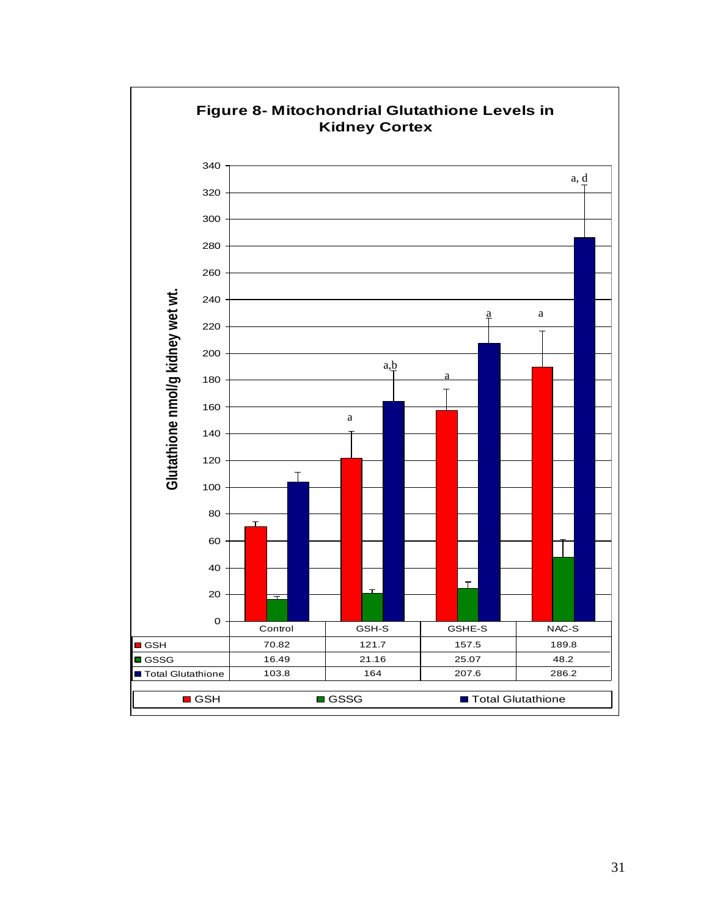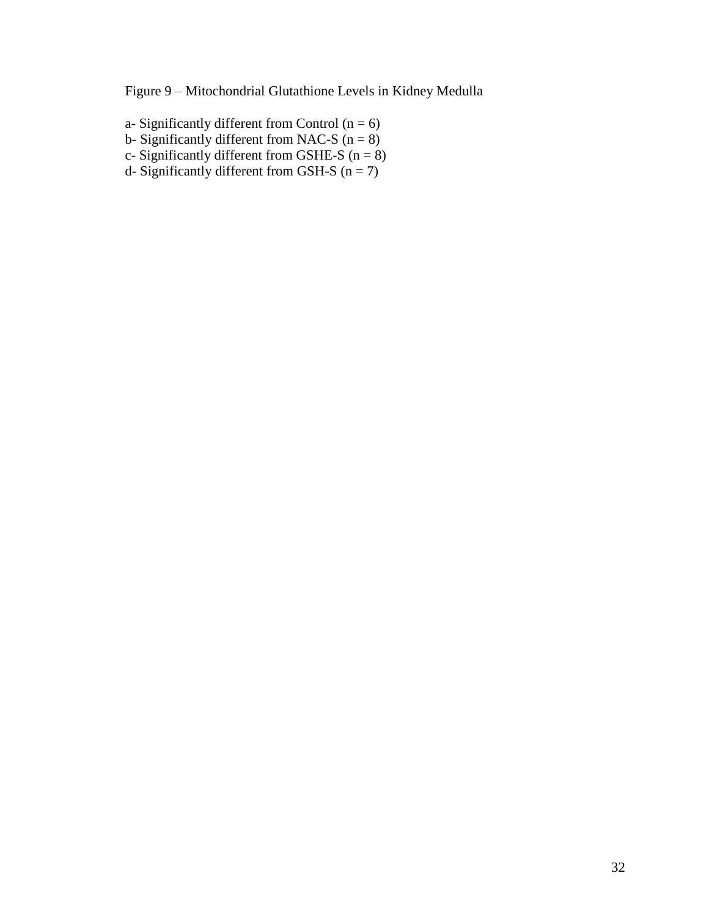Figure 9 – Mitochondrial Glutathione Levels in Kidney Medulla

- a- Significantly different from Control  $(n = 6)$
- b- Significantly different from NAC-S  $(n = 8)$
- c- Significantly different from GSHE-S  $(n = 8)$
- d- Significantly different from GSH-S  $(n = 7)$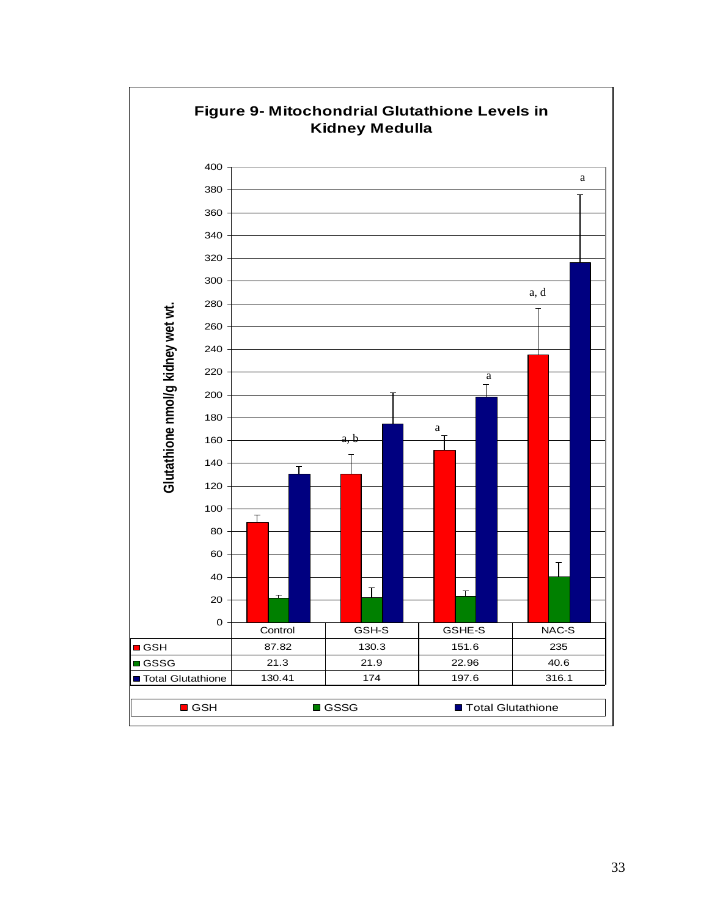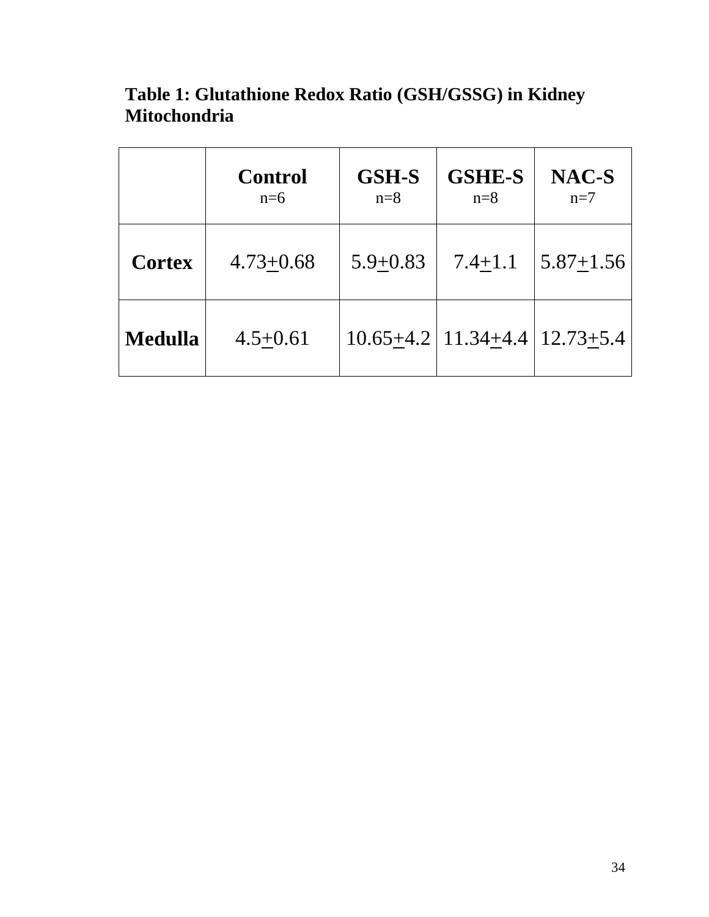|                | <b>Control</b><br>$n=6$ | <b>GSH-S</b><br>$n=8$ | <b>GSHE-S</b><br>$n=8$                | NAC-S<br>$n=7$ |
|----------------|-------------------------|-----------------------|---------------------------------------|----------------|
| <b>Cortex</b>  | $4.73 + 0.68$           | $5.9 + 0.83$          | $7.4 + 1.1$                           | $5.87 + 1.56$  |
| <b>Medulla</b> | $4.5 + 0.61$            |                       | $10.65 + 4.2$   11.34+4.4   12.73+5.4 |                |

**Table 1: Glutathione Redox Ratio (GSH/GSSG) in Kidney Mitochondria**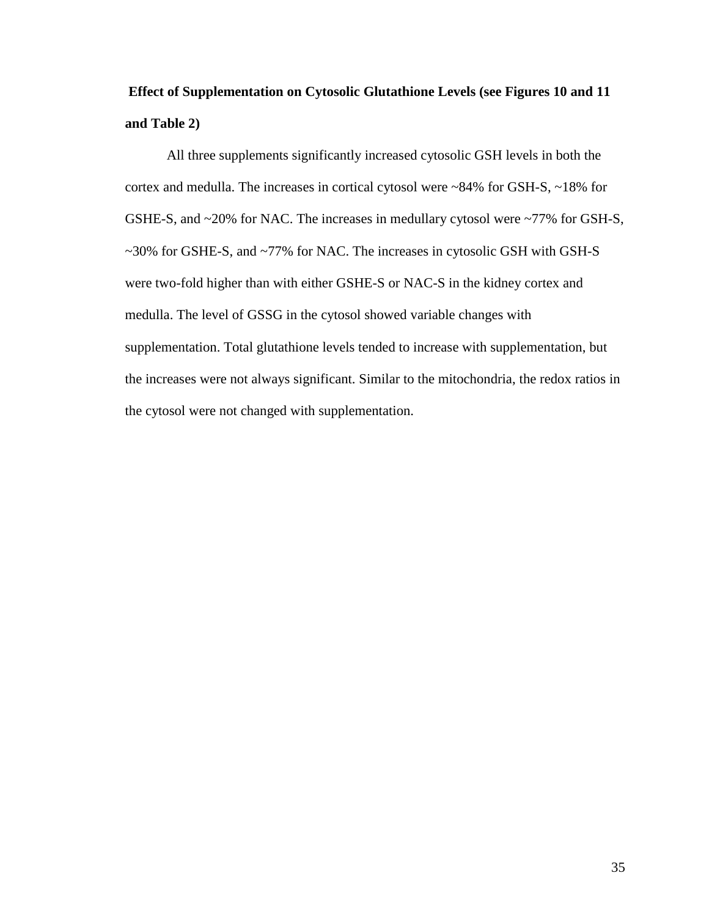# **Effect of Supplementation on Cytosolic Glutathione Levels (see Figures 10 and 11 and Table 2)**

All three supplements significantly increased cytosolic GSH levels in both the cortex and medulla. The increases in cortical cytosol were ~84% for GSH-S, ~18% for GSHE-S, and ~20% for NAC. The increases in medullary cytosol were ~77% for GSH-S, ~30% for GSHE-S, and ~77% for NAC. The increases in cytosolic GSH with GSH-S were two-fold higher than with either GSHE-S or NAC-S in the kidney cortex and medulla. The level of GSSG in the cytosol showed variable changes with supplementation. Total glutathione levels tended to increase with supplementation, but the increases were not always significant. Similar to the mitochondria, the redox ratios in the cytosol were not changed with supplementation.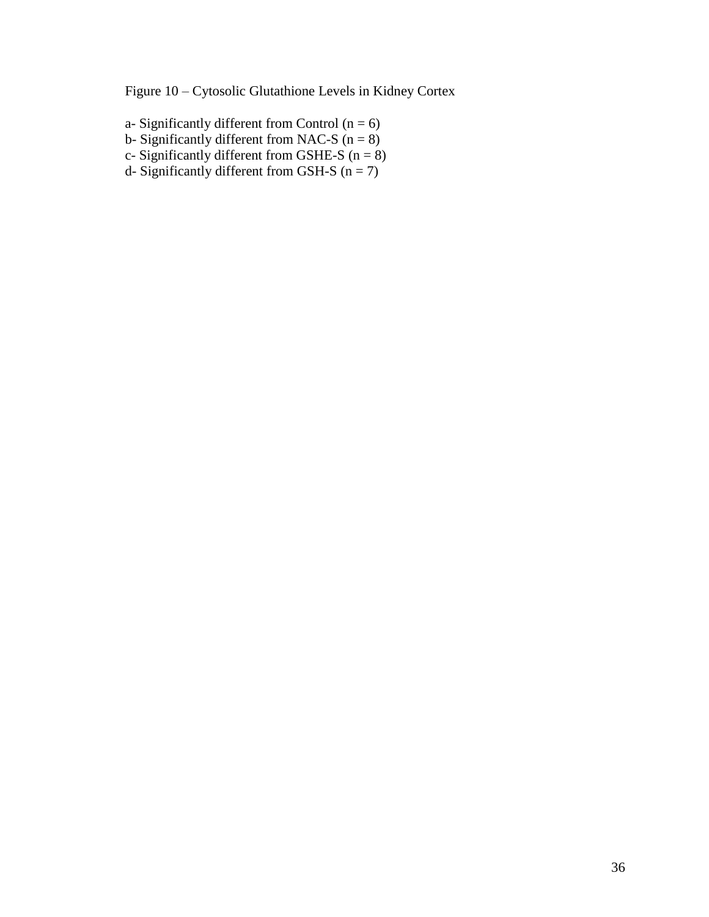Figure 10 – Cytosolic Glutathione Levels in Kidney Cortex

- a- Significantly different from Control  $(n = 6)$
- b- Significantly different from NAC-S  $(n = 8)$
- c- Significantly different from GSHE-S  $(n = 8)$
- d- Significantly different from GSH-S  $(n = 7)$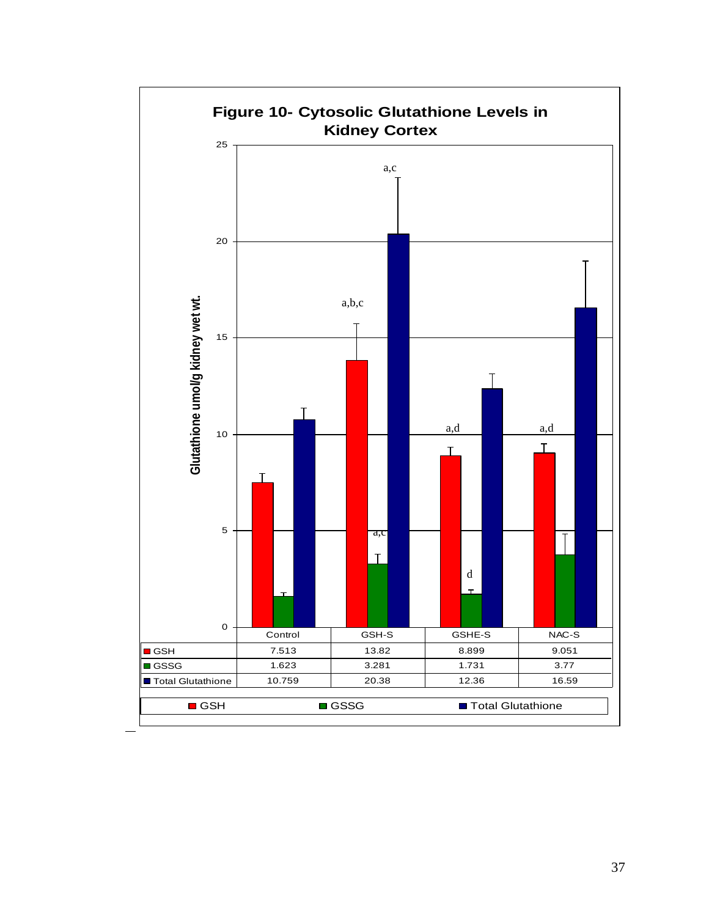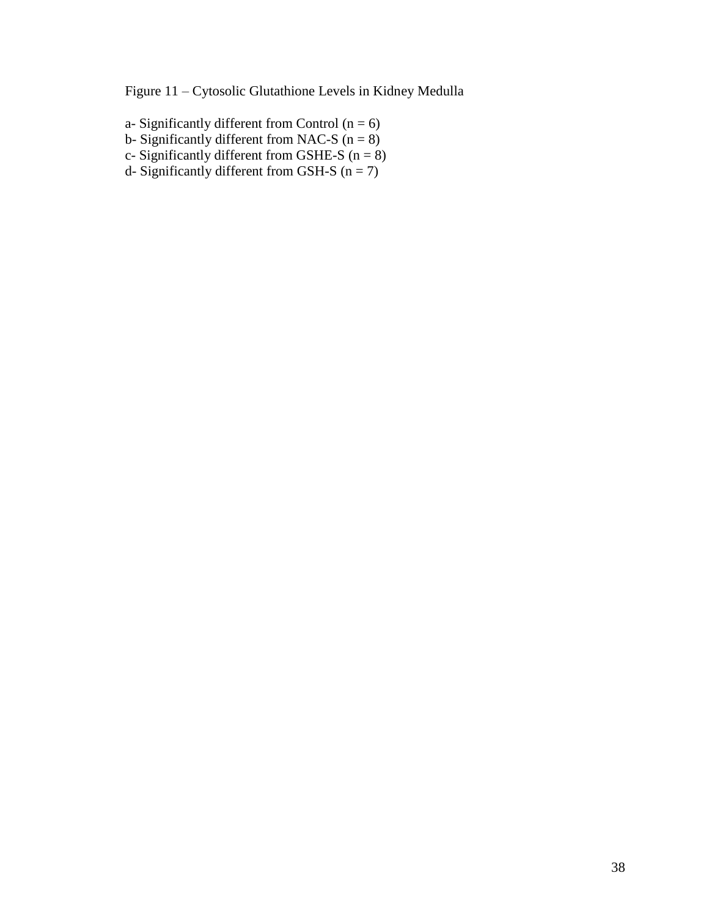Figure 11 – Cytosolic Glutathione Levels in Kidney Medulla

- a- Significantly different from Control  $(n = 6)$
- b- Significantly different from NAC-S  $(n = 8)$
- c- Significantly different from GSHE-S  $(n = 8)$
- d- Significantly different from GSH-S  $(n = 7)$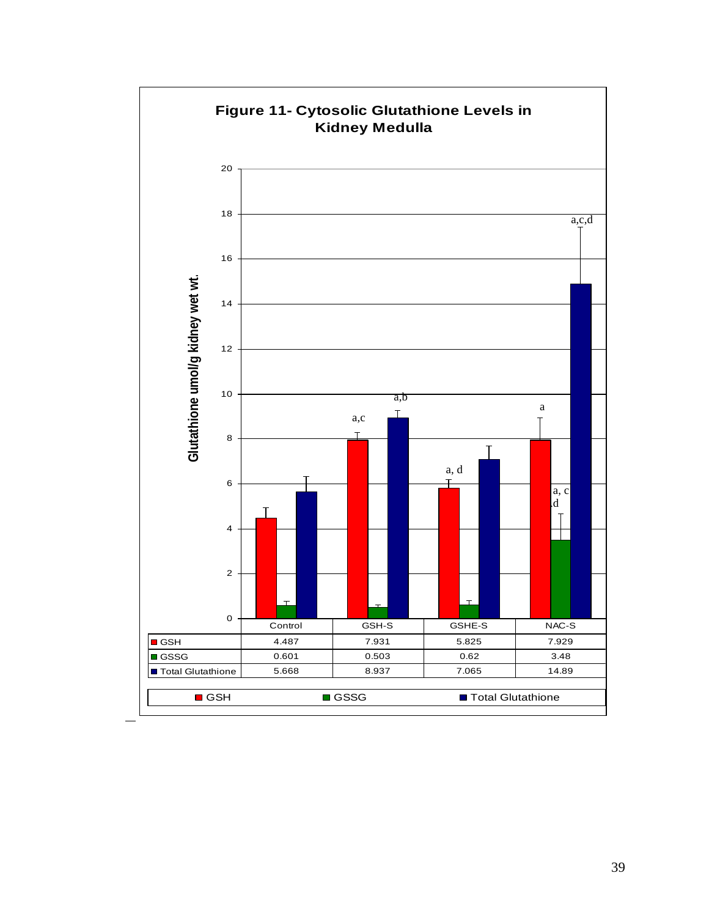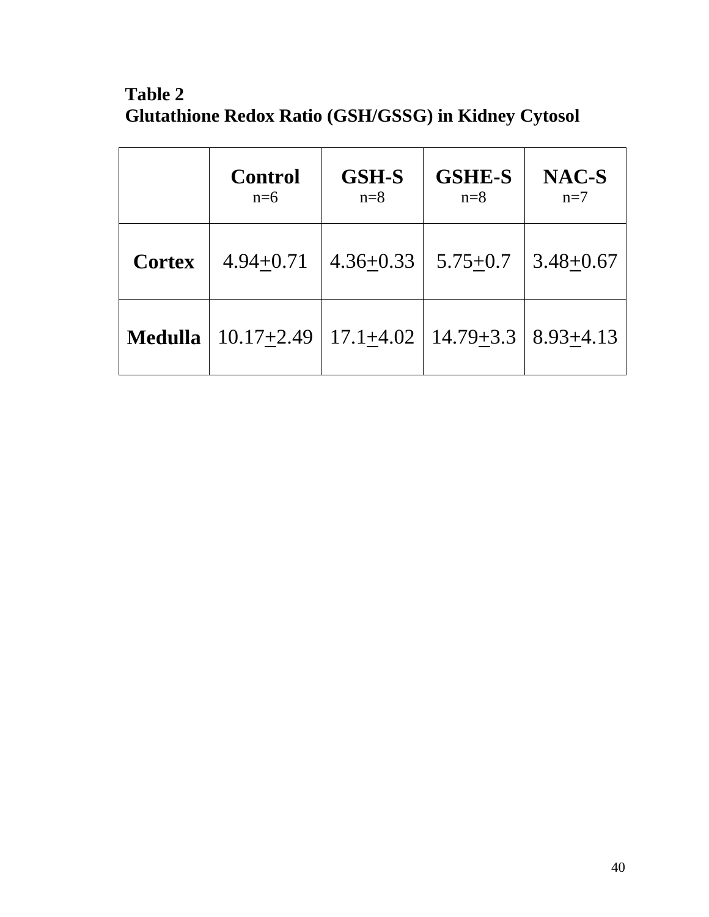**Table 2 Glutathione Redox Ratio (GSH/GSSG) in Kidney Cytosol**

|                | <b>Control</b><br>$n=6$ | <b>GSH-S</b><br>$n=8$ | <b>GSHE-S</b><br>$n=8$        | NAC-S<br>$n=7$ |
|----------------|-------------------------|-----------------------|-------------------------------|----------------|
| <b>Cortex</b>  | $4.94 + 0.71$           | $4.36 + 0.33$         | $5.75 + 0.7$                  | $3.48 + 0.67$  |
| <b>Medulla</b> | $10.17 + 2.49$          |                       | $17.1 + 4.02$   $14.79 + 3.3$ | $8.93 + 4.13$  |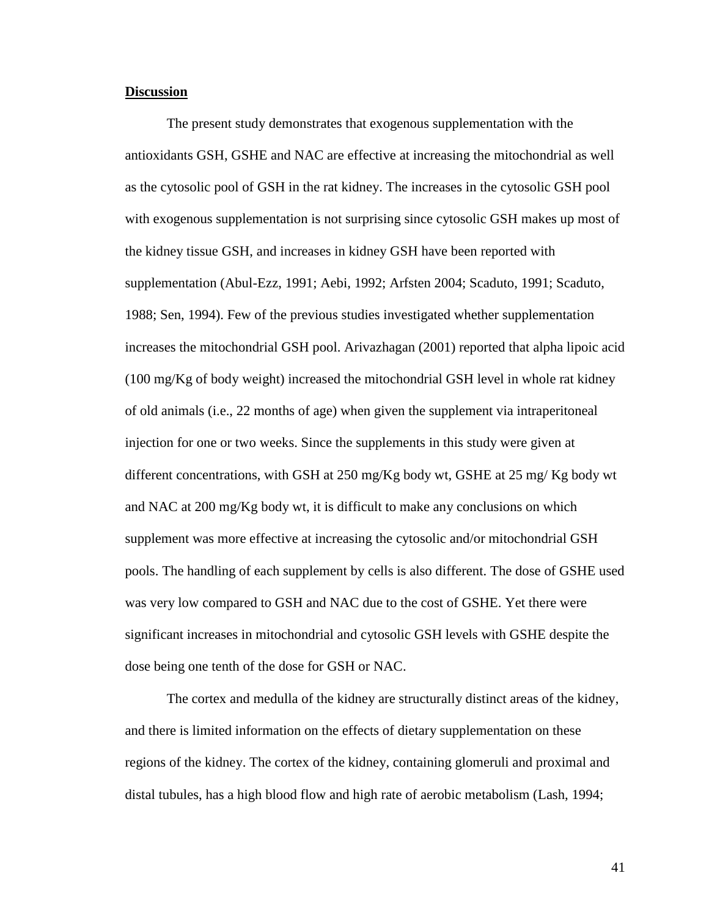#### **Discussion**

The present study demonstrates that exogenous supplementation with the antioxidants GSH, GSHE and NAC are effective at increasing the mitochondrial as well as the cytosolic pool of GSH in the rat kidney. The increases in the cytosolic GSH pool with exogenous supplementation is not surprising since cytosolic GSH makes up most of the kidney tissue GSH, and increases in kidney GSH have been reported with supplementation (Abul-Ezz, 1991; Aebi, 1992; Arfsten 2004; Scaduto, 1991; Scaduto, 1988; Sen, 1994). Few of the previous studies investigated whether supplementation increases the mitochondrial GSH pool. Arivazhagan (2001) reported that alpha lipoic acid (100 mg/Kg of body weight) increased the mitochondrial GSH level in whole rat kidney of old animals (i.e., 22 months of age) when given the supplement via intraperitoneal injection for one or two weeks. Since the supplements in this study were given at different concentrations, with GSH at 250 mg/Kg body wt, GSHE at 25 mg/ Kg body wt and NAC at 200 mg/Kg body wt, it is difficult to make any conclusions on which supplement was more effective at increasing the cytosolic and/or mitochondrial GSH pools. The handling of each supplement by cells is also different. The dose of GSHE used was very low compared to GSH and NAC due to the cost of GSHE. Yet there were significant increases in mitochondrial and cytosolic GSH levels with GSHE despite the dose being one tenth of the dose for GSH or NAC.

The cortex and medulla of the kidney are structurally distinct areas of the kidney, and there is limited information on the effects of dietary supplementation on these regions of the kidney. The cortex of the kidney, containing glomeruli and proximal and distal tubules, has a high blood flow and high rate of aerobic metabolism (Lash, 1994;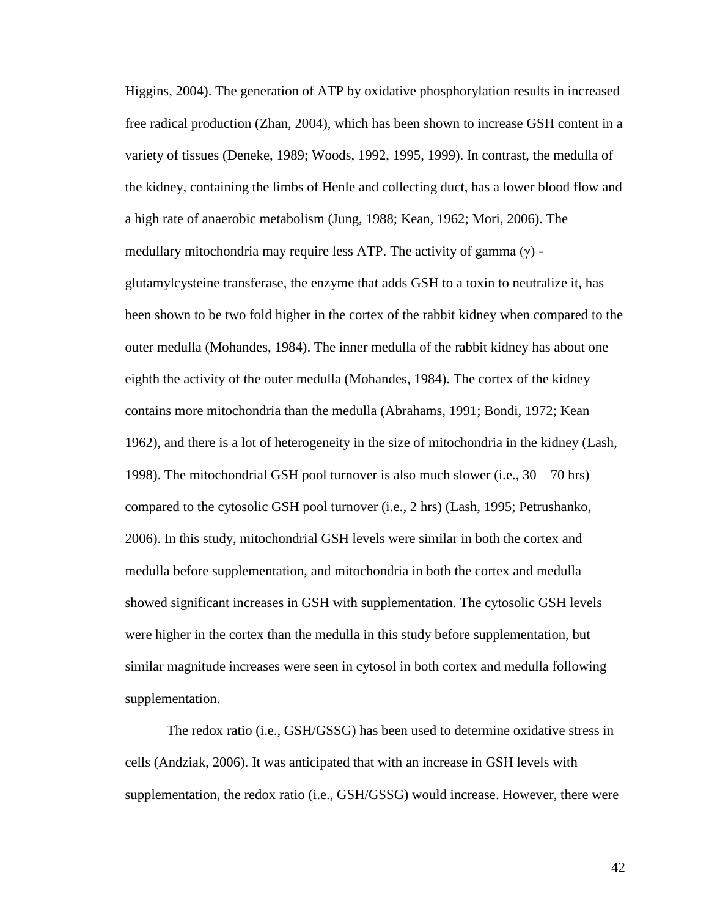Higgins, 2004). The generation of ATP by oxidative phosphorylation results in increased free radical production (Zhan, 2004), which has been shown to increase GSH content in a variety of tissues (Deneke, 1989; Woods, 1992, 1995, 1999). In contrast, the medulla of the kidney, containing the limbs of Henle and collecting duct, has a lower blood flow and a high rate of anaerobic metabolism (Jung, 1988; Kean, 1962; Mori, 2006). The medullary mitochondria may require less ATP. The activity of gamma  $(\gamma)$  glutamylcysteine transferase, the enzyme that adds GSH to a toxin to neutralize it, has been shown to be two fold higher in the cortex of the rabbit kidney when compared to the outer medulla (Mohandes, 1984). The inner medulla of the rabbit kidney has about one eighth the activity of the outer medulla (Mohandes, 1984). The cortex of the kidney contains more mitochondria than the medulla (Abrahams, 1991; Bondi, 1972; Kean 1962), and there is a lot of heterogeneity in the size of mitochondria in the kidney (Lash, 1998). The mitochondrial GSH pool turnover is also much slower (i.e., 30 – 70 hrs) compared to the cytosolic GSH pool turnover (i.e., 2 hrs) (Lash, 1995; Petrushanko, 2006). In this study, mitochondrial GSH levels were similar in both the cortex and medulla before supplementation, and mitochondria in both the cortex and medulla showed significant increases in GSH with supplementation. The cytosolic GSH levels were higher in the cortex than the medulla in this study before supplementation, but similar magnitude increases were seen in cytosol in both cortex and medulla following supplementation.

The redox ratio (i.e., GSH/GSSG) has been used to determine oxidative stress in cells (Andziak, 2006). It was anticipated that with an increase in GSH levels with supplementation, the redox ratio (i.e., GSH/GSSG) would increase. However, there were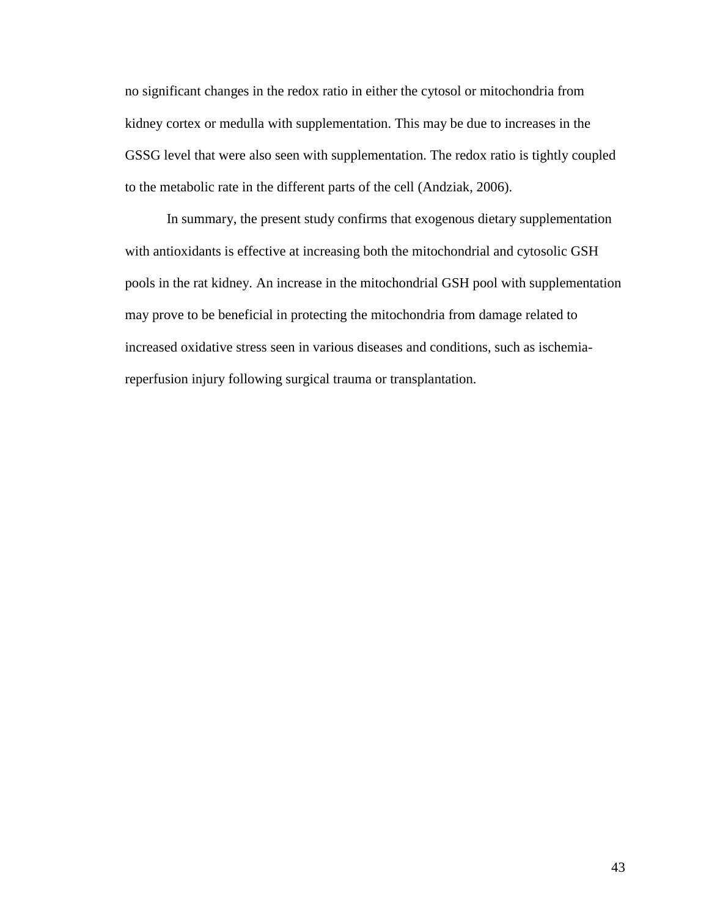no significant changes in the redox ratio in either the cytosol or mitochondria from kidney cortex or medulla with supplementation. This may be due to increases in the GSSG level that were also seen with supplementation. The redox ratio is tightly coupled to the metabolic rate in the different parts of the cell (Andziak, 2006).

In summary, the present study confirms that exogenous dietary supplementation with antioxidants is effective at increasing both the mitochondrial and cytosolic GSH pools in the rat kidney. An increase in the mitochondrial GSH pool with supplementation may prove to be beneficial in protecting the mitochondria from damage related to increased oxidative stress seen in various diseases and conditions, such as ischemiareperfusion injury following surgical trauma or transplantation.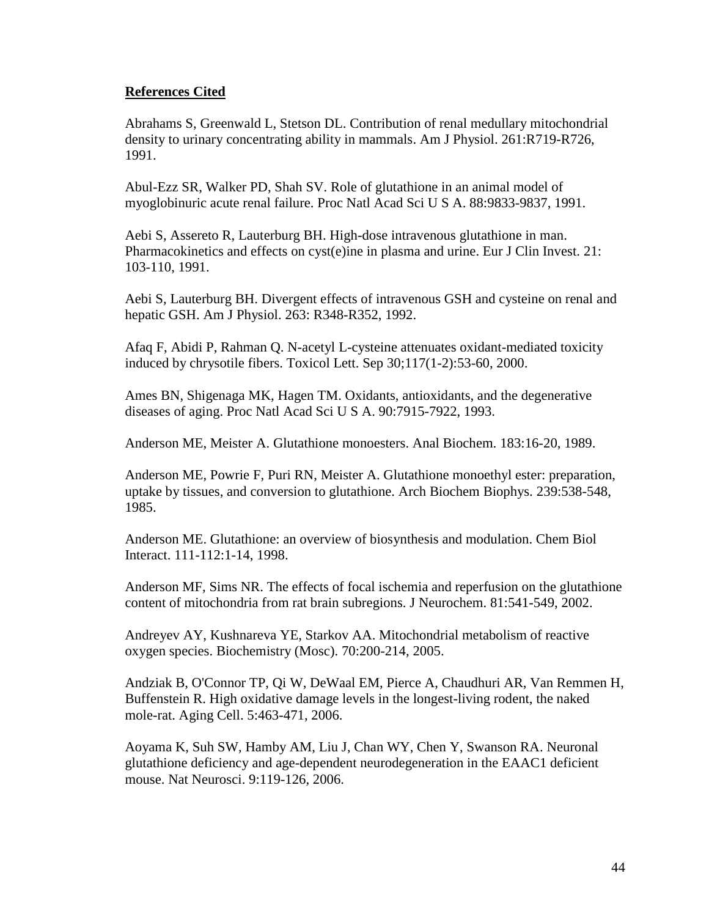# **References Cited**

Abrahams S, Greenwald L, Stetson DL. Contribution of renal medullary mitochondrial density to urinary concentrating ability in mammals. Am J Physiol. 261:R719-R726, 1991.

Abul-Ezz SR, Walker PD, Shah SV. Role of glutathione in an animal model of myoglobinuric acute renal failure. Proc Natl Acad Sci U S A. 88:9833-9837, 1991.

Aebi S, Assereto R, Lauterburg BH. High-dose intravenous glutathione in man. Pharmacokinetics and effects on cyst(e)ine in plasma and urine. Eur J Clin Invest. 21: 103-110, 1991.

Aebi S, Lauterburg BH. Divergent effects of intravenous GSH and cysteine on renal and hepatic GSH. Am J Physiol. 263: R348-R352, 1992.

Afaq F, Abidi P, Rahman Q. N-acetyl L-cysteine attenuates oxidant-mediated toxicity induced by chrysotile fibers. Toxicol Lett. Sep 30;117(1-2):53-60, 2000.

Ames BN, Shigenaga MK, Hagen TM. Oxidants, antioxidants, and the degenerative diseases of aging. Proc Natl Acad Sci U S A. 90:7915-7922, 1993.

Anderson ME, Meister A. Glutathione monoesters. Anal Biochem. 183:16-20, 1989.

Anderson ME, Powrie F, Puri RN, Meister A. Glutathione monoethyl ester: preparation, uptake by tissues, and conversion to glutathione. Arch Biochem Biophys. 239:538-548, 1985.

Anderson ME. Glutathione: an overview of biosynthesis and modulation. Chem Biol Interact. 111-112:1-14, 1998.

Anderson MF, Sims NR. The effects of focal ischemia and reperfusion on the glutathione content of mitochondria from rat brain subregions. J Neurochem. 81:541-549, 2002.

Andreyev AY, Kushnareva YE, Starkov AA. Mitochondrial metabolism of reactive oxygen species. Biochemistry (Mosc). 70:200-214, 2005.

Andziak B, O'Connor TP, Qi W, DeWaal EM, Pierce A, Chaudhuri AR, Van Remmen H, Buffenstein R. High oxidative damage levels in the longest-living rodent, the naked mole-rat. Aging Cell. 5:463-471, 2006.

Aoyama K, Suh SW, Hamby AM, Liu J, Chan WY, Chen Y, Swanson RA. Neuronal glutathione deficiency and age-dependent neurodegeneration in the EAAC1 deficient mouse. Nat Neurosci. 9:119-126, 2006.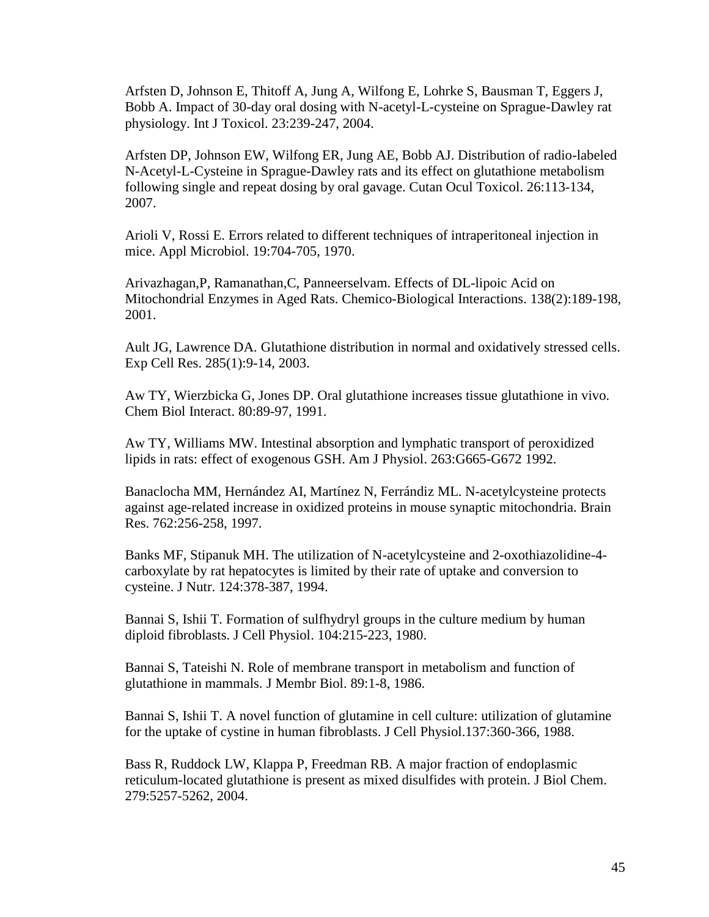Arfsten D, Johnson E, Thitoff A, Jung A, Wilfong E, Lohrke S, Bausman T, Eggers J, Bobb A. Impact of 30-day oral dosing with N-acetyl-L-cysteine on Sprague-Dawley rat physiology. Int J Toxicol. 23:239-247, 2004.

Arfsten DP, Johnson EW, Wilfong ER, Jung AE, Bobb AJ. Distribution of radio-labeled N-Acetyl-L-Cysteine in Sprague-Dawley rats and its effect on glutathione metabolism following single and repeat dosing by oral gavage. Cutan Ocul Toxicol. 26:113-134, 2007.

Arioli V, Rossi E. Errors related to different techniques of intraperitoneal injection in mice. Appl Microbiol. 19:704-705, 1970.

Arivazhagan,P, Ramanathan,C, Panneerselvam. Effects of DL-lipoic Acid on Mitochondrial Enzymes in Aged Rats. Chemico-Biological Interactions. 138(2):189-198, 2001.

Ault JG, Lawrence DA. Glutathione distribution in normal and oxidatively stressed cells. Exp Cell Res. 285(1):9-14, 2003.

Aw TY, Wierzbicka G, Jones DP. Oral glutathione increases tissue glutathione in vivo. Chem Biol Interact. 80:89-97, 1991.

Aw TY, Williams MW. Intestinal absorption and lymphatic transport of peroxidized lipids in rats: effect of exogenous GSH. Am J Physiol. 263:G665-G672 1992.

Banaclocha MM, Hernández AI, Martínez N, Ferrándiz ML. N-acetylcysteine protects against age-related increase in oxidized proteins in mouse synaptic mitochondria. Brain Res. 762:256-258, 1997.

Banks MF, Stipanuk MH. The utilization of N-acetylcysteine and 2-oxothiazolidine-4 carboxylate by rat hepatocytes is limited by their rate of uptake and conversion to cysteine. J Nutr. 124:378-387, 1994.

Bannai S, Ishii T. Formation of sulfhydryl groups in the culture medium by human diploid fibroblasts. J Cell Physiol. 104:215-223, 1980.

Bannai S, Tateishi N. Role of membrane transport in metabolism and function of glutathione in mammals. J Membr Biol. 89:1-8, 1986.

Bannai S, Ishii T. A novel function of glutamine in cell culture: utilization of glutamine for the uptake of cystine in human fibroblasts. J Cell Physiol.137:360-366, 1988.

Bass R, Ruddock LW, Klappa P, Freedman RB. A major fraction of endoplasmic reticulum-located glutathione is present as mixed disulfides with protein. J Biol Chem. 279:5257-5262, 2004.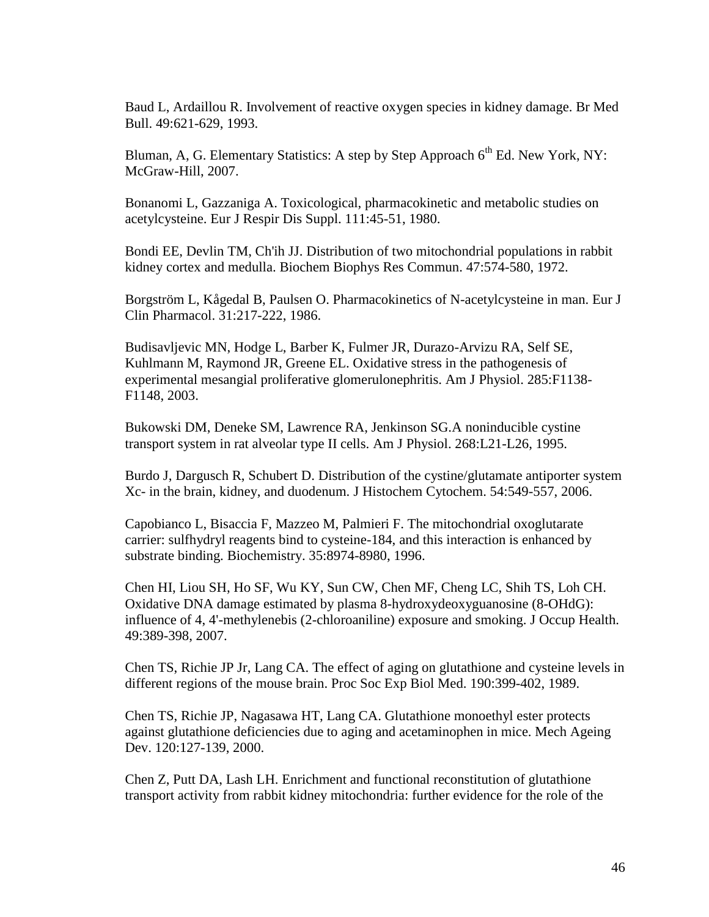Baud L, Ardaillou R. Involvement of reactive oxygen species in kidney damage. Br Med Bull. 49:621-629, 1993.

Bluman, A, G. Elementary Statistics: A step by Step Approach  $6<sup>th</sup>$  Ed. New York, NY: McGraw-Hill, 2007.

Bonanomi L, Gazzaniga A. Toxicological, pharmacokinetic and metabolic studies on acetylcysteine. Eur J Respir Dis Suppl. 111:45-51, 1980.

Bondi EE, Devlin TM, Ch'ih JJ. Distribution of two mitochondrial populations in rabbit kidney cortex and medulla. Biochem Biophys Res Commun. 47:574-580, 1972.

Borgström L, Kågedal B, Paulsen O. Pharmacokinetics of N-acetylcysteine in man. Eur J Clin Pharmacol. 31:217-222, 1986.

Budisavljevic MN, Hodge L, Barber K, Fulmer JR, Durazo-Arvizu RA, Self SE, Kuhlmann M, Raymond JR, Greene EL. Oxidative stress in the pathogenesis of experimental mesangial proliferative glomerulonephritis. Am J Physiol. 285:F1138- F1148, 2003.

Bukowski DM, Deneke SM, Lawrence RA, Jenkinson SG.A noninducible cystine transport system in rat alveolar type II cells. Am J Physiol. 268:L21-L26, 1995.

Burdo J, Dargusch R, Schubert D. Distribution of the cystine/glutamate antiporter system Xc- in the brain, kidney, and duodenum. J Histochem Cytochem. 54:549-557, 2006.

Capobianco L, Bisaccia F, Mazzeo M, Palmieri F. The mitochondrial oxoglutarate carrier: sulfhydryl reagents bind to cysteine-184, and this interaction is enhanced by substrate binding. Biochemistry. 35:8974-8980, 1996.

Chen HI, Liou SH, Ho SF, Wu KY, Sun CW, Chen MF, Cheng LC, Shih TS, Loh CH. Oxidative DNA damage estimated by plasma 8-hydroxydeoxyguanosine (8-OHdG): influence of 4, 4'-methylenebis (2-chloroaniline) exposure and smoking. J Occup Health. 49:389-398, 2007.

Chen TS, Richie JP Jr, Lang CA. The effect of aging on glutathione and cysteine levels in different regions of the mouse brain. Proc Soc Exp Biol Med. 190:399-402, 1989.

Chen TS, Richie JP, Nagasawa HT, Lang CA. Glutathione monoethyl ester protects against glutathione deficiencies due to aging and acetaminophen in mice. Mech Ageing Dev. 120:127-139, 2000.

Chen Z, Putt DA, Lash LH. Enrichment and functional reconstitution of glutathione transport activity from rabbit kidney mitochondria: further evidence for the role of the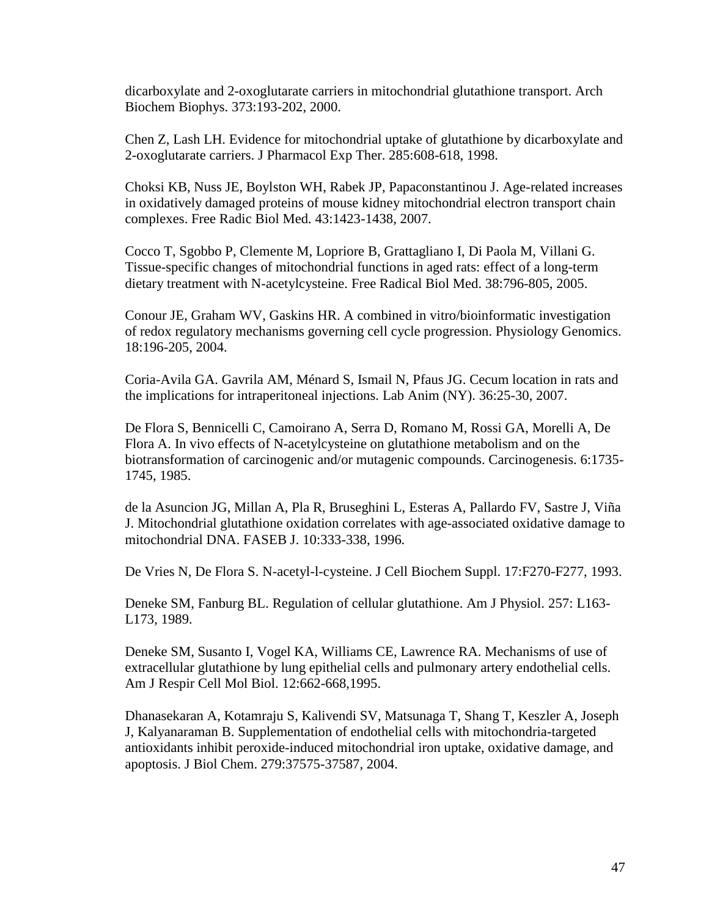dicarboxylate and 2-oxoglutarate carriers in mitochondrial glutathione transport. Arch Biochem Biophys. 373:193-202, 2000.

Chen Z, Lash LH. Evidence for mitochondrial uptake of glutathione by dicarboxylate and 2-oxoglutarate carriers. J Pharmacol Exp Ther. 285:608-618, 1998.

Choksi KB, Nuss JE, Boylston WH, Rabek JP, Papaconstantinou J. Age-related increases in oxidatively damaged proteins of mouse kidney mitochondrial electron transport chain complexes. Free Radic Biol Med. 43:1423-1438, 2007.

Cocco T, Sgobbo P, Clemente M, Lopriore B, Grattagliano I, Di Paola M, Villani G. Tissue-specific changes of mitochondrial functions in aged rats: effect of a long-term dietary treatment with N-acetylcysteine. Free Radical Biol Med. 38:796-805, 2005.

Conour JE, Graham WV, Gaskins HR. A combined in vitro/bioinformatic investigation of redox regulatory mechanisms governing cell cycle progression. Physiology Genomics. 18:196-205, 2004.

Coria-Avila GA. Gavrila AM, Ménard S, Ismail N, Pfaus JG. Cecum location in rats and the implications for intraperitoneal injections. Lab Anim (NY). 36:25-30, 2007.

De Flora S, Bennicelli C, Camoirano A, Serra D, Romano M, Rossi GA, Morelli A, De Flora A. In vivo effects of N-acetylcysteine on glutathione metabolism and on the biotransformation of carcinogenic and/or mutagenic compounds. Carcinogenesis. 6:1735- 1745, 1985.

de la Asuncion JG, Millan A, Pla R, Bruseghini L, Esteras A, Pallardo FV, Sastre J, Viña J. Mitochondrial glutathione oxidation correlates with age-associated oxidative damage to mitochondrial DNA. FASEB J. 10:333-338, 1996.

De Vries N, De Flora S. N-acetyl-l-cysteine. J Cell Biochem Suppl. 17:F270-F277, 1993.

Deneke SM, Fanburg BL. Regulation of cellular glutathione. Am J Physiol. 257: L163- L173, 1989.

Deneke SM, Susanto I, Vogel KA, Williams CE, Lawrence RA. Mechanisms of use of extracellular glutathione by lung epithelial cells and pulmonary artery endothelial cells. Am J Respir Cell Mol Biol. 12:662-668,1995.

Dhanasekaran A, Kotamraju S, Kalivendi SV, Matsunaga T, Shang T, Keszler A, Joseph J, Kalyanaraman B. Supplementation of endothelial cells with mitochondria-targeted antioxidants inhibit peroxide-induced mitochondrial iron uptake, oxidative damage, and apoptosis. J Biol Chem. 279:37575-37587, 2004.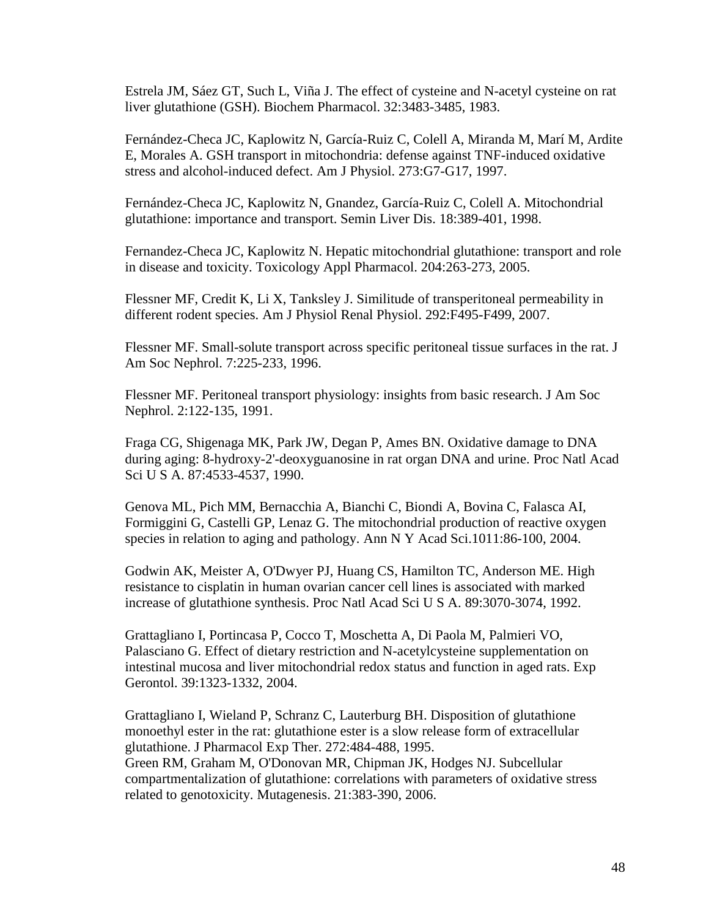Estrela JM, Sáez GT, Such L, Viña J. The effect of cysteine and N-acetyl cysteine on rat liver glutathione (GSH). Biochem Pharmacol. 32:3483-3485, 1983.

Fernández-Checa JC, Kaplowitz N, García-Ruiz C, Colell A, Miranda M, Marí M, Ardite E, Morales A. GSH transport in mitochondria: defense against TNF-induced oxidative stress and alcohol-induced defect. Am J Physiol. 273:G7-G17, 1997.

Fernández-Checa JC, Kaplowitz N, Gnandez, García-Ruiz C, Colell A. Mitochondrial glutathione: importance and transport. Semin Liver Dis. 18:389-401, 1998.

Fernandez-Checa JC, Kaplowitz N. Hepatic mitochondrial glutathione: transport and role in disease and toxicity. Toxicology Appl Pharmacol. 204:263-273, 2005.

Flessner MF, Credit K, Li X, Tanksley J. Similitude of transperitoneal permeability in different rodent species. Am J Physiol Renal Physiol. 292:F495-F499, 2007.

Flessner MF. Small-solute transport across specific peritoneal tissue surfaces in the rat. J Am Soc Nephrol. 7:225-233, 1996.

Flessner MF. Peritoneal transport physiology: insights from basic research. J Am Soc Nephrol. 2:122-135, 1991.

Fraga CG, Shigenaga MK, Park JW, Degan P, Ames BN. Oxidative damage to DNA during aging: 8-hydroxy-2'-deoxyguanosine in rat organ DNA and urine. Proc Natl Acad Sci U S A. 87:4533-4537, 1990.

Genova ML, Pich MM, Bernacchia A, Bianchi C, Biondi A, Bovina C, Falasca AI, Formiggini G, Castelli GP, Lenaz G. The mitochondrial production of reactive oxygen species in relation to aging and pathology. Ann N Y Acad Sci.1011:86-100, 2004.

Godwin AK, Meister A, O'Dwyer PJ, Huang CS, Hamilton TC, Anderson ME. High resistance to cisplatin in human ovarian cancer cell lines is associated with marked increase of glutathione synthesis. Proc Natl Acad Sci U S A. 89:3070-3074, 1992.

Grattagliano I, Portincasa P, Cocco T, Moschetta A, Di Paola M, Palmieri VO, Palasciano G. Effect of dietary restriction and N-acetylcysteine supplementation on intestinal mucosa and liver mitochondrial redox status and function in aged rats. Exp Gerontol. 39:1323-1332, 2004.

Grattagliano I, Wieland P, Schranz C, Lauterburg BH. Disposition of glutathione monoethyl ester in the rat: glutathione ester is a slow release form of extracellular glutathione. J Pharmacol Exp Ther. 272:484-488, 1995. Green RM, Graham M, O'Donovan MR, Chipman JK, Hodges NJ. Subcellular compartmentalization of glutathione: correlations with parameters of oxidative stress related to genotoxicity. Mutagenesis. 21:383-390, 2006.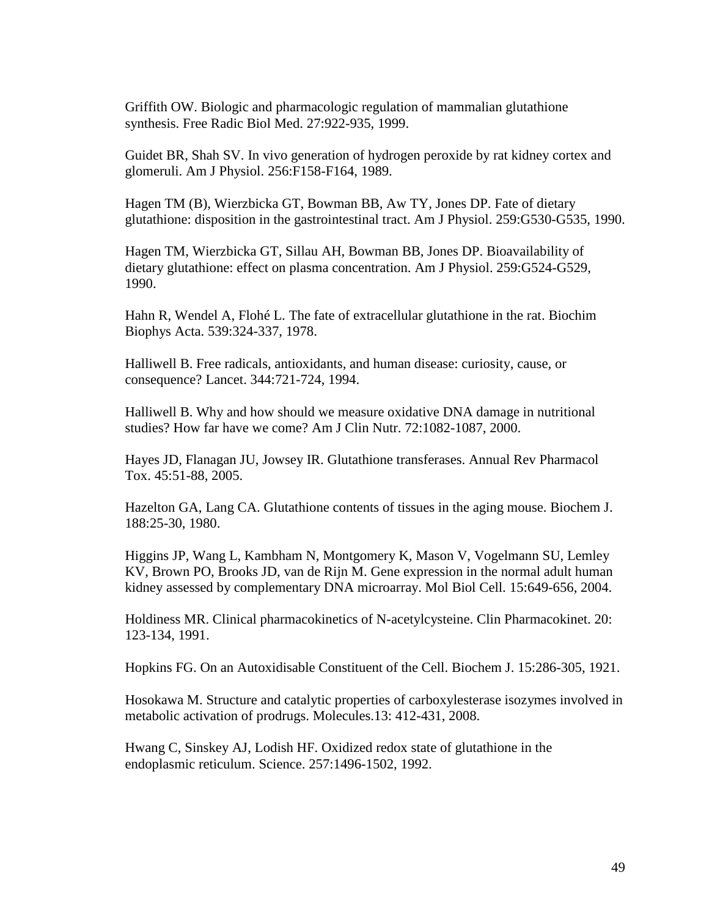Griffith OW. Biologic and pharmacologic regulation of mammalian glutathione synthesis. Free Radic Biol Med. 27:922-935, 1999.

Guidet BR, Shah SV. In vivo generation of hydrogen peroxide by rat kidney cortex and glomeruli. Am J Physiol. 256:F158-F164, 1989.

Hagen TM (B), Wierzbicka GT, Bowman BB, Aw TY, Jones DP. Fate of dietary glutathione: disposition in the gastrointestinal tract. Am J Physiol. 259:G530-G535, 1990.

Hagen TM, Wierzbicka GT, Sillau AH, Bowman BB, Jones DP. Bioavailability of dietary glutathione: effect on plasma concentration. Am J Physiol. 259:G524-G529, 1990.

Hahn R, Wendel A, Flohé L. The fate of extracellular glutathione in the rat. Biochim Biophys Acta. 539:324-337, 1978.

Halliwell B. Free radicals, antioxidants, and human disease: curiosity, cause, or consequence? Lancet. 344:721-724, 1994.

Halliwell B. Why and how should we measure oxidative DNA damage in nutritional studies? How far have we come? Am J Clin Nutr. 72:1082-1087, 2000.

Hayes JD, Flanagan JU, Jowsey IR. Glutathione transferases. Annual Rev Pharmacol Tox. 45:51-88, 2005.

Hazelton GA, Lang CA. Glutathione contents of tissues in the aging mouse. Biochem J. 188:25-30, 1980.

Higgins JP, Wang L, Kambham N, Montgomery K, Mason V, Vogelmann SU, Lemley KV, Brown PO, Brooks JD, van de Rijn M. Gene expression in the normal adult human kidney assessed by complementary DNA microarray. Mol Biol Cell. 15:649-656, 2004.

Holdiness MR. Clinical pharmacokinetics of N-acetylcysteine. Clin Pharmacokinet. 20: 123-134, 1991.

Hopkins FG. On an Autoxidisable Constituent of the Cell. Biochem J. 15:286-305, 1921.

Hosokawa M. Structure and catalytic properties of carboxylesterase isozymes involved in metabolic activation of prodrugs. Molecules.13: 412-431, 2008.

Hwang C, Sinskey AJ, Lodish HF. Oxidized redox state of glutathione in the endoplasmic reticulum. Science. 257:1496-1502, 1992.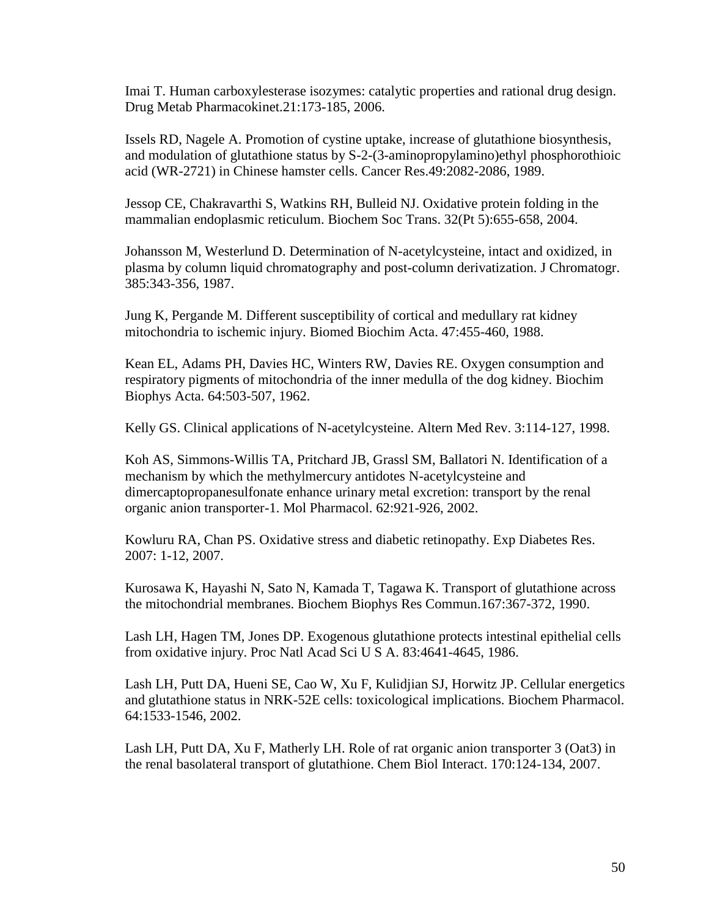Imai T. Human carboxylesterase isozymes: catalytic properties and rational drug design. Drug Metab Pharmacokinet.21:173-185, 2006.

Issels RD, Nagele A. Promotion of cystine uptake, increase of glutathione biosynthesis, and modulation of glutathione status by S-2-(3-aminopropylamino)ethyl phosphorothioic acid (WR-2721) in Chinese hamster cells. Cancer Res.49:2082-2086, 1989.

Jessop CE, Chakravarthi S, Watkins RH, Bulleid NJ. Oxidative protein folding in the mammalian endoplasmic reticulum. Biochem Soc Trans. 32(Pt 5):655-658, 2004.

Johansson M, Westerlund D. Determination of N-acetylcysteine, intact and oxidized, in plasma by column liquid chromatography and post-column derivatization. J Chromatogr. 385:343-356, 1987.

Jung K, Pergande M. Different susceptibility of cortical and medullary rat kidney mitochondria to ischemic injury. Biomed Biochim Acta. 47:455-460, 1988.

Kean EL, Adams PH, Davies HC, Winters RW, Davies RE. Oxygen consumption and respiratory pigments of mitochondria of the inner medulla of the dog kidney. Biochim Biophys Acta. 64:503-507, 1962.

Kelly GS. Clinical applications of N-acetylcysteine. Altern Med Rev. 3:114-127, 1998.

Koh AS, Simmons-Willis TA, Pritchard JB, Grassl SM, Ballatori N. Identification of a mechanism by which the methylmercury antidotes N-acetylcysteine and dimercaptopropanesulfonate enhance urinary metal excretion: transport by the renal organic anion transporter-1. Mol Pharmacol. 62:921-926, 2002.

Kowluru RA, Chan PS. Oxidative stress and diabetic retinopathy. Exp Diabetes Res. 2007: 1-12, 2007.

Kurosawa K, Hayashi N, Sato N, Kamada T, Tagawa K. Transport of glutathione across the mitochondrial membranes. Biochem Biophys Res Commun.167:367-372, 1990.

Lash LH, Hagen TM, Jones DP. Exogenous glutathione protects intestinal epithelial cells from oxidative injury. Proc Natl Acad Sci U S A. 83:4641-4645, 1986.

Lash LH, Putt DA, Hueni SE, Cao W, Xu F, Kulidjian SJ, Horwitz JP. Cellular energetics and glutathione status in NRK-52E cells: toxicological implications. Biochem Pharmacol. 64:1533-1546, 2002.

Lash LH, Putt DA, Xu F, Matherly LH. Role of rat organic anion transporter 3 (Oat3) in the renal basolateral transport of glutathione. Chem Biol Interact. 170:124-134, 2007.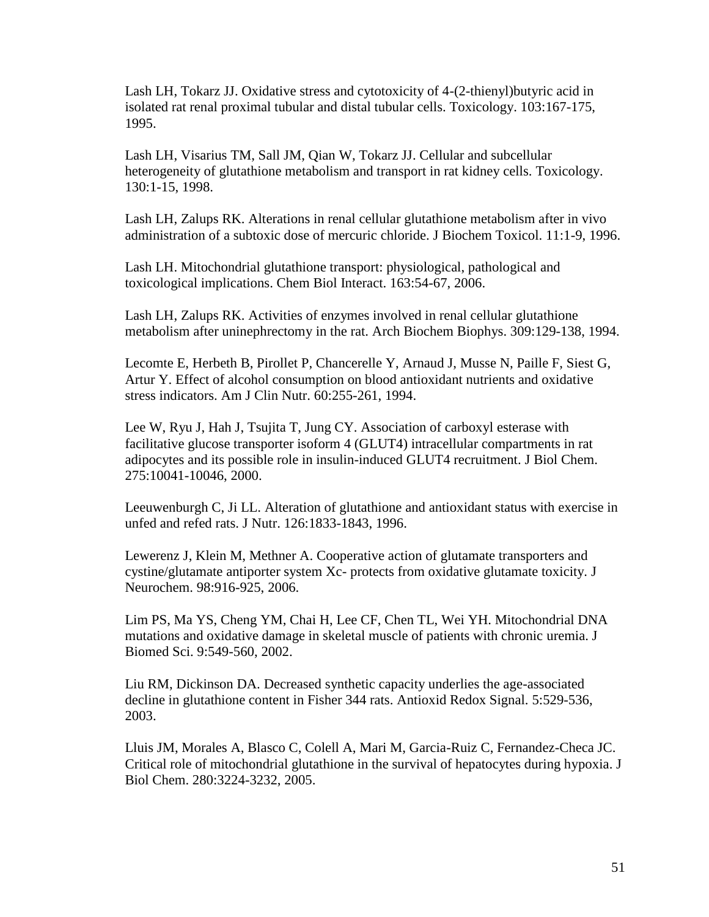Lash LH, Tokarz JJ. Oxidative stress and cytotoxicity of 4-(2-thienyl)butyric acid in isolated rat renal proximal tubular and distal tubular cells. Toxicology. 103:167-175, 1995.

Lash LH, Visarius TM, Sall JM, Qian W, Tokarz JJ. Cellular and subcellular heterogeneity of glutathione metabolism and transport in rat kidney cells. Toxicology. 130:1-15, 1998.

Lash LH, Zalups RK. Alterations in renal cellular glutathione metabolism after in vivo administration of a subtoxic dose of mercuric chloride. J Biochem Toxicol. 11:1-9, 1996.

Lash LH. Mitochondrial glutathione transport: physiological, pathological and toxicological implications. Chem Biol Interact. 163:54-67, 2006.

Lash LH, Zalups RK. Activities of enzymes involved in renal cellular glutathione metabolism after uninephrectomy in the rat. Arch Biochem Biophys. 309:129-138, 1994.

Lecomte E, Herbeth B, Pirollet P, Chancerelle Y, Arnaud J, Musse N, Paille F, Siest G, Artur Y. Effect of alcohol consumption on blood antioxidant nutrients and oxidative stress indicators. Am J Clin Nutr. 60:255-261, 1994.

Lee W, Ryu J, Hah J, Tsujita T, Jung CY. Association of carboxyl esterase with facilitative glucose transporter isoform 4 (GLUT4) intracellular compartments in rat adipocytes and its possible role in insulin-induced GLUT4 recruitment. J Biol Chem. 275:10041-10046, 2000.

Leeuwenburgh C, Ji LL. Alteration of glutathione and antioxidant status with exercise in unfed and refed rats. J Nutr. 126:1833-1843, 1996.

Lewerenz J, Klein M, Methner A. Cooperative action of glutamate transporters and cystine/glutamate antiporter system Xc- protects from oxidative glutamate toxicity. J Neurochem. 98:916-925, 2006.

Lim PS, Ma YS, Cheng YM, Chai H, Lee CF, Chen TL, Wei YH. Mitochondrial DNA mutations and oxidative damage in skeletal muscle of patients with chronic uremia. J Biomed Sci. 9:549-560, 2002.

Liu RM, Dickinson DA. Decreased synthetic capacity underlies the age-associated decline in glutathione content in Fisher 344 rats. Antioxid Redox Signal. 5:529-536, 2003.

Lluis JM, Morales A, Blasco C, Colell A, Mari M, Garcia-Ruiz C, Fernandez-Checa JC. Critical role of mitochondrial glutathione in the survival of hepatocytes during hypoxia. J Biol Chem. 280:3224-3232, 2005.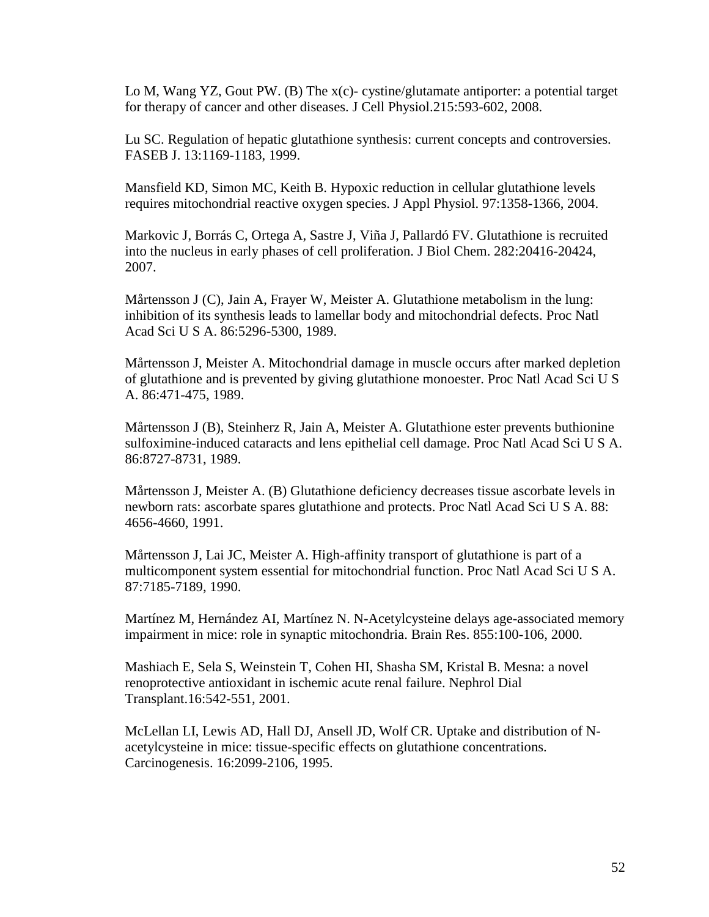Lo M, Wang YZ, Gout PW. (B) The x(c)- cystine/glutamate antiporter: a potential target for therapy of cancer and other diseases. J Cell Physiol.215:593-602, 2008.

Lu SC. Regulation of hepatic glutathione synthesis: current concepts and controversies. FASEB J. 13:1169-1183, 1999.

Mansfield KD, Simon MC, Keith B. Hypoxic reduction in cellular glutathione levels requires mitochondrial reactive oxygen species. J Appl Physiol. 97:1358-1366, 2004.

Markovic J, Borrás C, Ortega A, Sastre J, Viña J, Pallardó FV. Glutathione is recruited into the nucleus in early phases of cell proliferation. J Biol Chem. 282:20416-20424, 2007.

Mårtensson J (C), Jain A, Frayer W, Meister A. Glutathione metabolism in the lung: inhibition of its synthesis leads to lamellar body and mitochondrial defects. Proc Natl Acad Sci U S A. 86:5296-5300, 1989.

Mårtensson J, Meister A. Mitochondrial damage in muscle occurs after marked depletion of glutathione and is prevented by giving glutathione monoester. Proc Natl Acad Sci U S A. 86:471-475, 1989.

Mårtensson J (B), Steinherz R, Jain A, Meister A. Glutathione ester prevents buthionine sulfoximine-induced cataracts and lens epithelial cell damage. Proc Natl Acad Sci U S A. 86:8727-8731, 1989.

Mårtensson J, Meister A. (B) Glutathione deficiency decreases tissue ascorbate levels in newborn rats: ascorbate spares glutathione and protects. Proc Natl Acad Sci U S A. 88: 4656-4660, 1991.

Mårtensson J, Lai JC, Meister A. High-affinity transport of glutathione is part of a multicomponent system essential for mitochondrial function. Proc Natl Acad Sci U S A. 87:7185-7189, 1990.

Martínez M, Hernández AI, Martínez N. N-Acetylcysteine delays age-associated memory impairment in mice: role in synaptic mitochondria. Brain Res. 855:100-106, 2000.

Mashiach E, Sela S, Weinstein T, Cohen HI, Shasha SM, Kristal B. Mesna: a novel renoprotective antioxidant in ischemic acute renal failure. Nephrol Dial Transplant.16:542-551, 2001.

McLellan LI, Lewis AD, Hall DJ, Ansell JD, Wolf CR. Uptake and distribution of Nacetylcysteine in mice: tissue-specific effects on glutathione concentrations. Carcinogenesis. 16:2099-2106, 1995.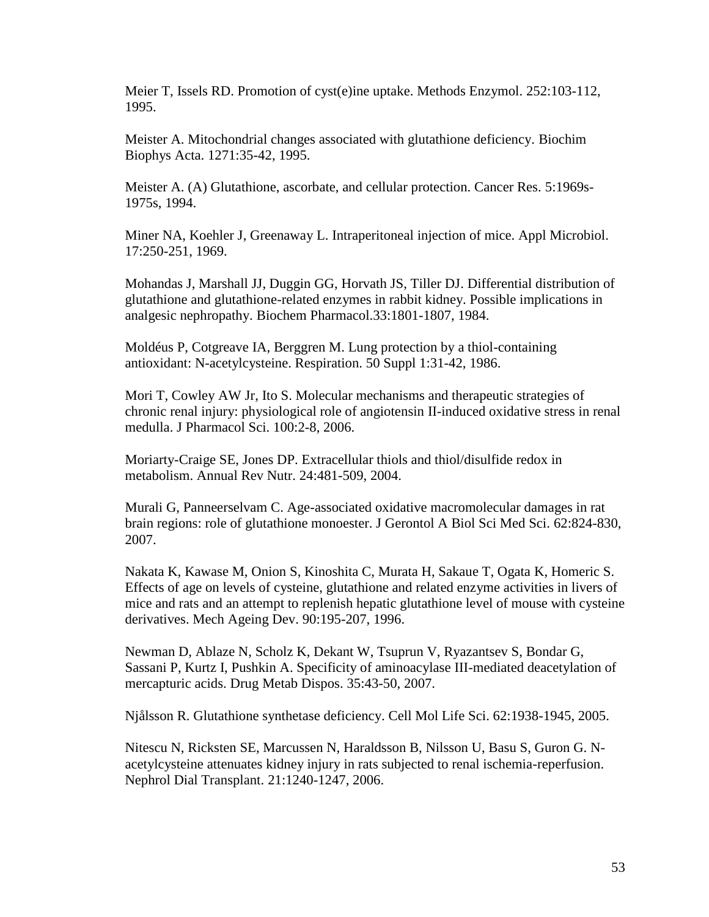Meier T, Issels RD. Promotion of cyst(e)ine uptake. Methods Enzymol. 252:103-112, 1995.

Meister A. Mitochondrial changes associated with glutathione deficiency. Biochim Biophys Acta. 1271:35-42, 1995.

Meister A. (A) Glutathione, ascorbate, and cellular protection. Cancer Res. 5:1969s-1975s, 1994.

Miner NA, Koehler J, Greenaway L. Intraperitoneal injection of mice. Appl Microbiol. 17:250-251, 1969.

Mohandas J, Marshall JJ, Duggin GG, Horvath JS, Tiller DJ. Differential distribution of glutathione and glutathione-related enzymes in rabbit kidney. Possible implications in analgesic nephropathy. Biochem Pharmacol.33:1801-1807, 1984.

Moldéus P, Cotgreave IA, Berggren M. Lung protection by a thiol-containing antioxidant: N-acetylcysteine. Respiration. 50 Suppl 1:31-42, 1986.

Mori T, Cowley AW Jr, Ito S. Molecular mechanisms and therapeutic strategies of chronic renal injury: physiological role of angiotensin II-induced oxidative stress in renal medulla. J Pharmacol Sci. 100:2-8, 2006.

Moriarty-Craige SE, Jones DP. Extracellular thiols and thiol/disulfide redox in metabolism. Annual Rev Nutr. 24:481-509, 2004.

Murali G, Panneerselvam C. Age-associated oxidative macromolecular damages in rat brain regions: role of glutathione monoester. J Gerontol A Biol Sci Med Sci. 62:824-830, 2007.

Nakata K, Kawase M, Onion S, Kinoshita C, Murata H, Sakaue T, Ogata K, Homeric S. Effects of age on levels of cysteine, glutathione and related enzyme activities in livers of mice and rats and an attempt to replenish hepatic glutathione level of mouse with cysteine derivatives. Mech Ageing Dev. 90:195-207, 1996.

Newman D, Ablaze N, Scholz K, Dekant W, Tsuprun V, Ryazantsev S, Bondar G, Sassani P, Kurtz I, Pushkin A. Specificity of aminoacylase III-mediated deacetylation of mercapturic acids. Drug Metab Dispos. 35:43-50, 2007.

Njålsson R. Glutathione synthetase deficiency. Cell Mol Life Sci. 62:1938-1945, 2005.

Nitescu N, Ricksten SE, Marcussen N, Haraldsson B, Nilsson U, Basu S, Guron G. Nacetylcysteine attenuates kidney injury in rats subjected to renal ischemia-reperfusion. Nephrol Dial Transplant. 21:1240-1247, 2006.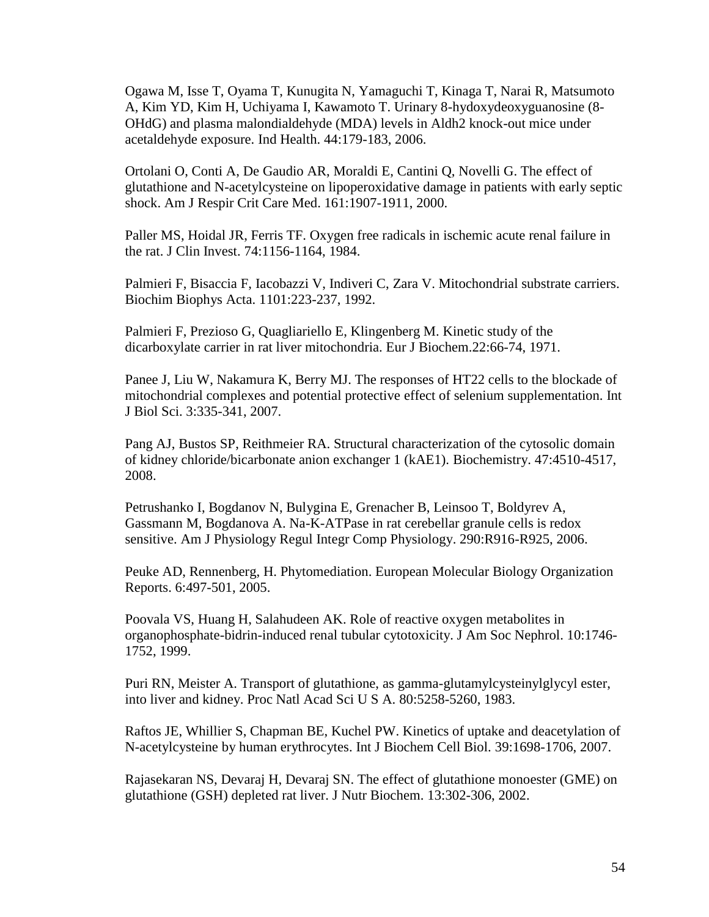Ogawa M, Isse T, Oyama T, Kunugita N, Yamaguchi T, Kinaga T, Narai R, Matsumoto A, Kim YD, Kim H, Uchiyama I, Kawamoto T. Urinary 8-hydoxydeoxyguanosine (8- OHdG) and plasma malondialdehyde (MDA) levels in Aldh2 knock-out mice under acetaldehyde exposure. Ind Health. 44:179-183, 2006.

Ortolani O, Conti A, De Gaudio AR, Moraldi E, Cantini Q, Novelli G. The effect of glutathione and N-acetylcysteine on lipoperoxidative damage in patients with early septic shock. Am J Respir Crit Care Med. 161:1907-1911, 2000.

Paller MS, Hoidal JR, Ferris TF. Oxygen free radicals in ischemic acute renal failure in the rat. J Clin Invest. 74:1156-1164, 1984.

[Palmieri F,](http://www.ncbi.nlm.nih.gov/pubmed?term=%22Palmieri%20F%22%5BAuthor%5D) [Bisaccia F,](http://www.ncbi.nlm.nih.gov/pubmed?term=%22Bisaccia%20F%22%5BAuthor%5D) [Iacobazzi V,](http://www.ncbi.nlm.nih.gov/pubmed?term=%22Iacobazzi%20V%22%5BAuthor%5D) Indiveri C, [Zara V.](http://www.ncbi.nlm.nih.gov/pubmed?term=%22Zara%20V%22%5BAuthor%5D) Mitochondrial substrate carriers. [Biochim Biophys Acta.](javascript:AL_get(this,%20) 1101:223-237, 1992.

Palmieri F, Prezioso G, Quagliariello E, Klingenberg M. Kinetic study of the dicarboxylate carrier in rat liver mitochondria. Eur J Biochem.22:66-74, 1971.

Panee J, Liu W, Nakamura K, Berry MJ. The responses of HT22 cells to the blockade of mitochondrial complexes and potential protective effect of selenium supplementation. Int J Biol Sci. 3:335-341, 2007.

Pang AJ, Bustos SP, Reithmeier RA. Structural characterization of the cytosolic domain of kidney chloride/bicarbonate anion exchanger 1 (kAE1). Biochemistry. 47:4510-4517, 2008.

Petrushanko I, Bogdanov N, Bulygina E, Grenacher B, Leinsoo T, Boldyrev A, Gassmann M, Bogdanova A. Na-K-ATPase in rat cerebellar granule cells is redox sensitive. Am J Physiology Regul Integr Comp Physiology. 290:R916-R925, 2006.

Peuke AD, Rennenberg, H. Phytomediation. European Molecular Biology Organization Reports. 6:497-501, 2005.

Poovala VS, Huang H, Salahudeen AK. Role of reactive oxygen metabolites in organophosphate-bidrin-induced renal tubular cytotoxicity. J Am Soc Nephrol. 10:1746- 1752, 1999.

Puri RN, Meister A. Transport of glutathione, as gamma-glutamylcysteinylglycyl ester, into liver and kidney. Proc Natl Acad Sci U S A. 80:5258-5260, 1983.

Raftos JE, Whillier S, Chapman BE, Kuchel PW. Kinetics of uptake and deacetylation of N-acetylcysteine by human erythrocytes. Int J Biochem Cell Biol. 39:1698-1706, 2007.

Rajasekaran NS, Devaraj H, Devaraj SN. The effect of glutathione monoester (GME) on glutathione (GSH) depleted rat liver. J Nutr Biochem. 13:302-306, 2002.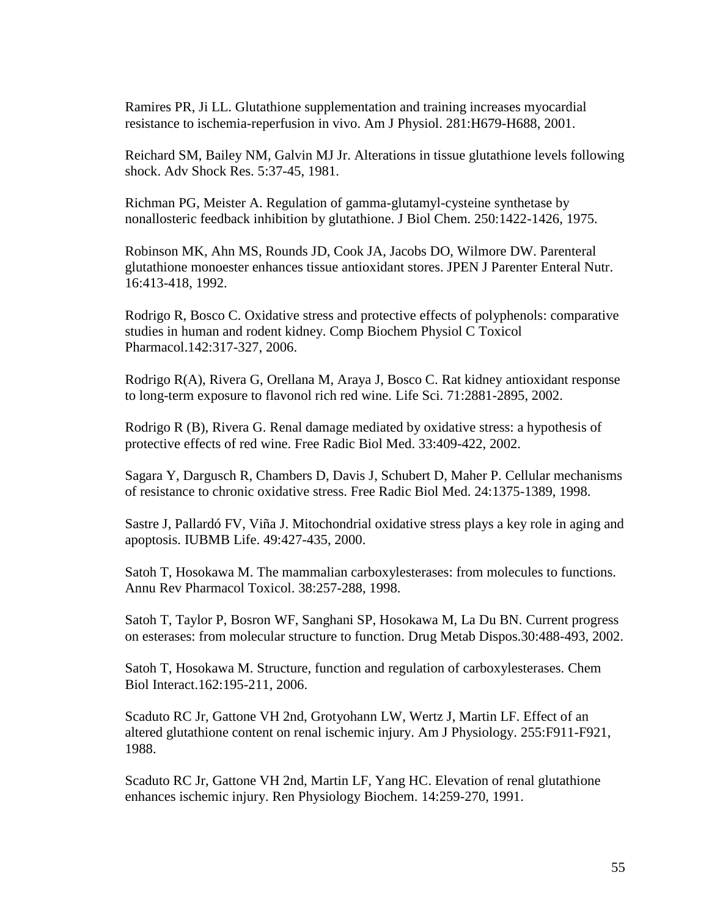Ramires PR, Ji LL. Glutathione supplementation and training increases myocardial resistance to ischemia-reperfusion in vivo. Am J Physiol. 281:H679-H688, 2001.

Reichard SM, Bailey NM, Galvin MJ Jr. Alterations in tissue glutathione levels following shock. Adv Shock Res. 5:37-45, 1981.

Richman PG, Meister A. Regulation of gamma-glutamyl-cysteine synthetase by nonallosteric feedback inhibition by glutathione. J Biol Chem. 250:1422-1426, 1975.

Robinson MK, Ahn MS, Rounds JD, Cook JA, Jacobs DO, Wilmore DW. Parenteral glutathione monoester enhances tissue antioxidant stores. JPEN J Parenter Enteral Nutr. 16:413-418, 1992.

Rodrigo R, Bosco C. Oxidative stress and protective effects of polyphenols: comparative studies in human and rodent kidney. Comp Biochem Physiol C Toxicol Pharmacol.142:317-327, 2006.

Rodrigo R(A), Rivera G, Orellana M, Araya J, Bosco C. Rat kidney antioxidant response to long-term exposure to flavonol rich red wine. Life Sci. 71:2881-2895, 2002.

Rodrigo R (B), Rivera G. Renal damage mediated by oxidative stress: a hypothesis of protective effects of red wine. Free Radic Biol Med. 33:409-422, 2002.

Sagara Y, Dargusch R, Chambers D, Davis J, Schubert D, Maher P. Cellular mechanisms of resistance to chronic oxidative stress. Free Radic Biol Med. 24:1375-1389, 1998.

Sastre J, Pallardó FV, Viña J. Mitochondrial oxidative stress plays a key role in aging and apoptosis. IUBMB Life. 49:427-435, 2000.

Satoh T, Hosokawa M. The mammalian carboxylesterases: from molecules to functions. Annu Rev Pharmacol Toxicol. 38:257-288, 1998.

Satoh T, Taylor P, Bosron WF, Sanghani SP, Hosokawa M, La Du BN. Current progress on esterases: from molecular structure to function. Drug Metab Dispos.30:488-493, 2002.

Satoh T, Hosokawa M. Structure, function and regulation of carboxylesterases. Chem Biol Interact.162:195-211, 2006.

Scaduto RC Jr, Gattone VH 2nd, Grotyohann LW, Wertz J, Martin LF. Effect of an altered glutathione content on renal ischemic injury. Am J Physiology. 255:F911-F921, 1988.

Scaduto RC Jr, Gattone VH 2nd, Martin LF, Yang HC. Elevation of renal glutathione enhances ischemic injury. Ren Physiology Biochem. 14:259-270, 1991.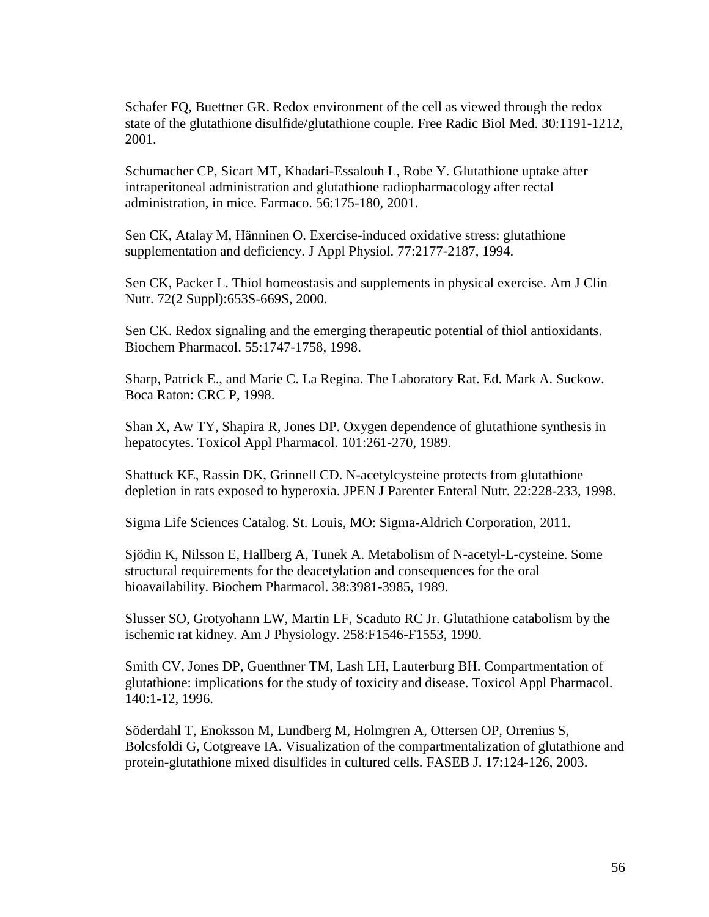Schafer FQ, Buettner GR. Redox environment of the cell as viewed through the redox state of the glutathione disulfide/glutathione couple. Free Radic Biol Med. 30:1191-1212, 2001.

Schumacher CP, Sicart MT, Khadari-Essalouh L, Robe Y. Glutathione uptake after intraperitoneal administration and glutathione radiopharmacology after rectal administration, in mice. Farmaco. 56:175-180, 2001.

Sen CK, Atalay M, Hänninen O. Exercise-induced oxidative stress: glutathione supplementation and deficiency. J Appl Physiol. 77:2177-2187, 1994.

Sen CK, Packer L. Thiol homeostasis and supplements in physical exercise. Am J Clin Nutr. 72(2 Suppl):653S-669S, 2000.

Sen CK. Redox signaling and the emerging therapeutic potential of thiol antioxidants. Biochem Pharmacol. 55:1747-1758, 1998.

Sharp, Patrick E., and Marie C. La Regina. The Laboratory Rat. Ed. Mark A. Suckow. Boca Raton: CRC P, 1998.

Shan X, Aw TY, Shapira R, Jones DP. Oxygen dependence of glutathione synthesis in hepatocytes. Toxicol Appl Pharmacol. 101:261-270, 1989.

Shattuck KE, Rassin DK, Grinnell CD. N-acetylcysteine protects from glutathione depletion in rats exposed to hyperoxia. JPEN J Parenter Enteral Nutr. 22:228-233, 1998.

Sigma Life Sciences Catalog. St. Louis, MO: Sigma-Aldrich Corporation, 2011.

Sjödin K, Nilsson E, Hallberg A, Tunek A. Metabolism of N-acetyl-L-cysteine. Some structural requirements for the deacetylation and consequences for the oral bioavailability. Biochem Pharmacol. 38:3981-3985, 1989.

Slusser SO, Grotyohann LW, Martin LF, Scaduto RC Jr. Glutathione catabolism by the ischemic rat kidney. Am J Physiology. 258:F1546-F1553, 1990.

Smith CV, Jones DP, Guenthner TM, Lash LH, Lauterburg BH. Compartmentation of glutathione: implications for the study of toxicity and disease. Toxicol Appl Pharmacol. 140:1-12, 1996.

Söderdahl T, Enoksson M, Lundberg M, Holmgren A, Ottersen OP, Orrenius S, Bolcsfoldi G, Cotgreave IA. Visualization of the compartmentalization of glutathione and protein-glutathione mixed disulfides in cultured cells. FASEB J. 17:124-126, 2003.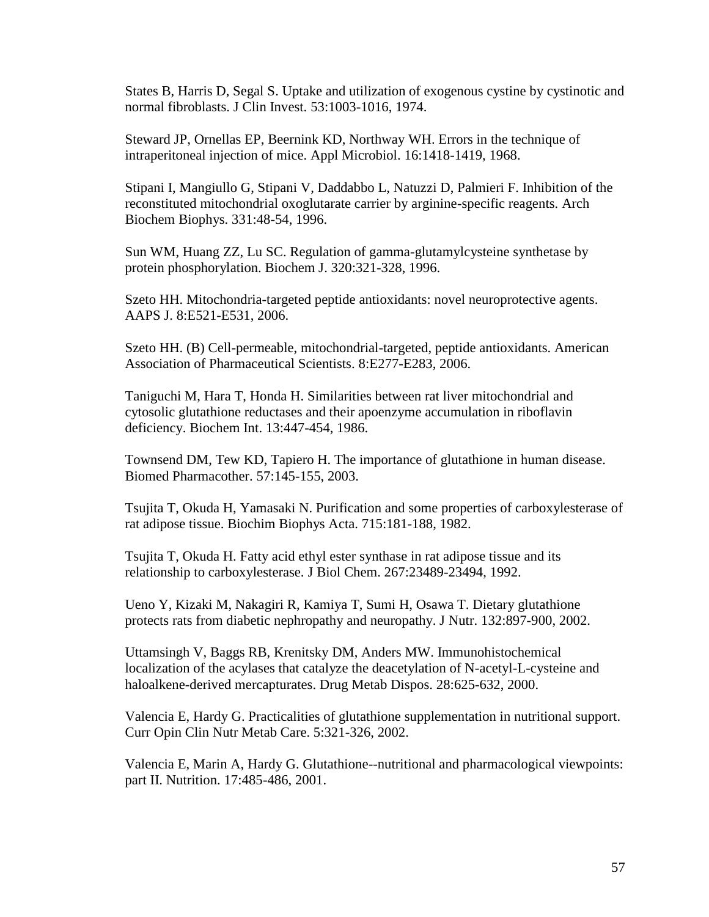States B, Harris D, Segal S. Uptake and utilization of exogenous cystine by cystinotic and normal fibroblasts. J Clin Invest. 53:1003-1016, 1974.

Steward JP, Ornellas EP, Beernink KD, Northway WH. Errors in the technique of intraperitoneal injection of mice. Appl Microbiol. 16:1418-1419, 1968.

Stipani I, Mangiullo G, Stipani V, Daddabbo L, Natuzzi D, Palmieri F. Inhibition of the reconstituted mitochondrial oxoglutarate carrier by arginine-specific reagents. Arch Biochem Biophys. 331:48-54, 1996.

Sun WM, Huang ZZ, Lu SC. Regulation of gamma-glutamylcysteine synthetase by protein phosphorylation. Biochem J. 320:321-328, 1996.

Szeto HH. Mitochondria-targeted peptide antioxidants: novel neuroprotective agents. AAPS J. 8:E521-E531, 2006.

Szeto HH. (B) Cell-permeable, mitochondrial-targeted, peptide antioxidants. American Association of Pharmaceutical Scientists. 8:E277-E283, 2006.

Taniguchi M, Hara T, Honda H. Similarities between rat liver mitochondrial and cytosolic glutathione reductases and their apoenzyme accumulation in riboflavin deficiency. Biochem Int. 13:447-454, 1986.

Townsend DM, Tew KD, Tapiero H. The importance of glutathione in human disease. Biomed Pharmacother. 57:145-155, 2003.

Tsujita T, Okuda H, Yamasaki N. Purification and some properties of carboxylesterase of rat adipose tissue. Biochim Biophys Acta. 715:181-188, 1982.

Tsujita T, Okuda H. Fatty acid ethyl ester synthase in rat adipose tissue and its relationship to carboxylesterase. J Biol Chem. 267:23489-23494, 1992.

Ueno Y, Kizaki M, Nakagiri R, Kamiya T, Sumi H, Osawa T. Dietary glutathione protects rats from diabetic nephropathy and neuropathy. J Nutr. 132:897-900, 2002.

Uttamsingh V, Baggs RB, Krenitsky DM, Anders MW. Immunohistochemical localization of the acylases that catalyze the deacetylation of N-acetyl-L-cysteine and haloalkene-derived mercapturates. Drug Metab Dispos. 28:625-632, 2000.

Valencia E, Hardy G. Practicalities of glutathione supplementation in nutritional support. Curr Opin Clin Nutr Metab Care. 5:321-326, 2002.

Valencia E, Marin A, Hardy G. Glutathione--nutritional and pharmacological viewpoints: part II. Nutrition. 17:485-486, 2001.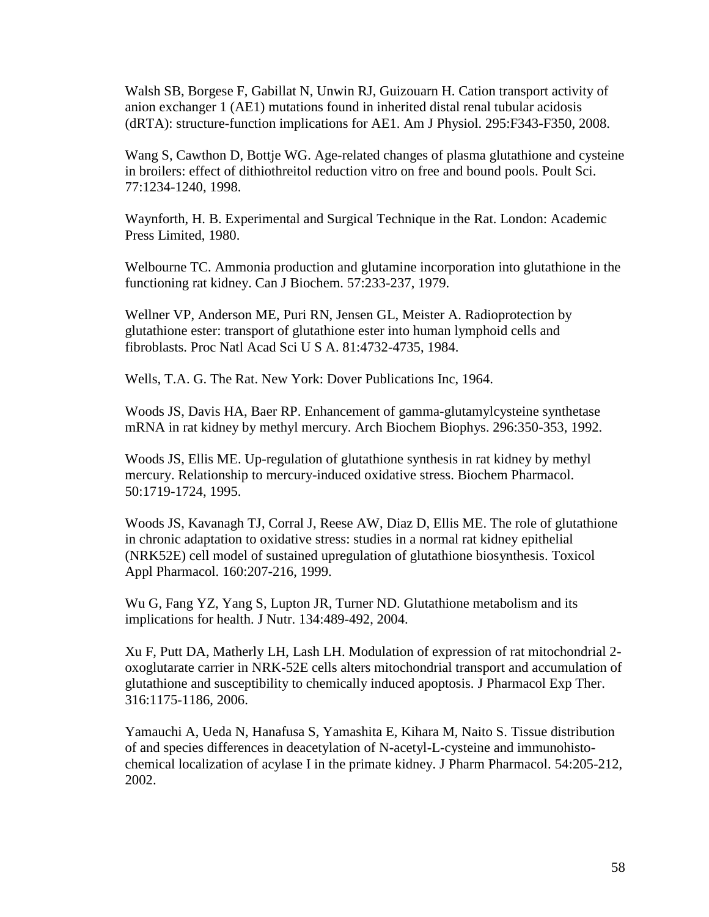Walsh SB, Borgese F, Gabillat N, Unwin RJ, Guizouarn H. Cation transport activity of anion exchanger 1 (AE1) mutations found in inherited distal renal tubular acidosis (dRTA): structure-function implications for AE1. Am J Physiol. 295:F343-F350, 2008.

Wang S, Cawthon D, Bottje WG. Age-related changes of plasma glutathione and cysteine in broilers: effect of dithiothreitol reduction vitro on free and bound pools. Poult Sci. 77:1234-1240, 1998.

Waynforth, H. B. Experimental and Surgical Technique in the Rat. London: Academic Press Limited, 1980.

Welbourne TC. Ammonia production and glutamine incorporation into glutathione in the functioning rat kidney. Can J Biochem. 57:233-237, 1979.

Wellner VP, Anderson ME, Puri RN, Jensen GL, Meister A. Radioprotection by glutathione ester: transport of glutathione ester into human lymphoid cells and fibroblasts. Proc Natl Acad Sci U S A. 81:4732-4735, 1984.

Wells, T.A. G. The Rat. New York: Dover Publications Inc, 1964.

Woods JS, Davis HA, Baer RP. Enhancement of gamma-glutamylcysteine synthetase mRNA in rat kidney by methyl mercury. Arch Biochem Biophys. 296:350-353, 1992.

Woods JS, Ellis ME. Up-regulation of glutathione synthesis in rat kidney by methyl mercury. Relationship to mercury-induced oxidative stress. Biochem Pharmacol. 50:1719-1724, 1995.

Woods JS, Kavanagh TJ, Corral J, Reese AW, Diaz D, Ellis ME. The role of glutathione in chronic adaptation to oxidative stress: studies in a normal rat kidney epithelial (NRK52E) cell model of sustained upregulation of glutathione biosynthesis. Toxicol Appl Pharmacol. 160:207-216, 1999.

Wu G, Fang YZ, Yang S, Lupton JR, Turner ND. Glutathione metabolism and its implications for health. J Nutr. 134:489-492, 2004.

Xu F, Putt DA, Matherly LH, Lash LH. Modulation of expression of rat mitochondrial 2 oxoglutarate carrier in NRK-52E cells alters mitochondrial transport and accumulation of glutathione and susceptibility to chemically induced apoptosis. J Pharmacol Exp Ther. 316:1175-1186, 2006.

Yamauchi A, Ueda N, Hanafusa S, Yamashita E, Kihara M, Naito S. Tissue distribution of and species differences in deacetylation of N-acetyl-L-cysteine and immunohistochemical localization of acylase I in the primate kidney. J Pharm Pharmacol. 54:205-212, 2002.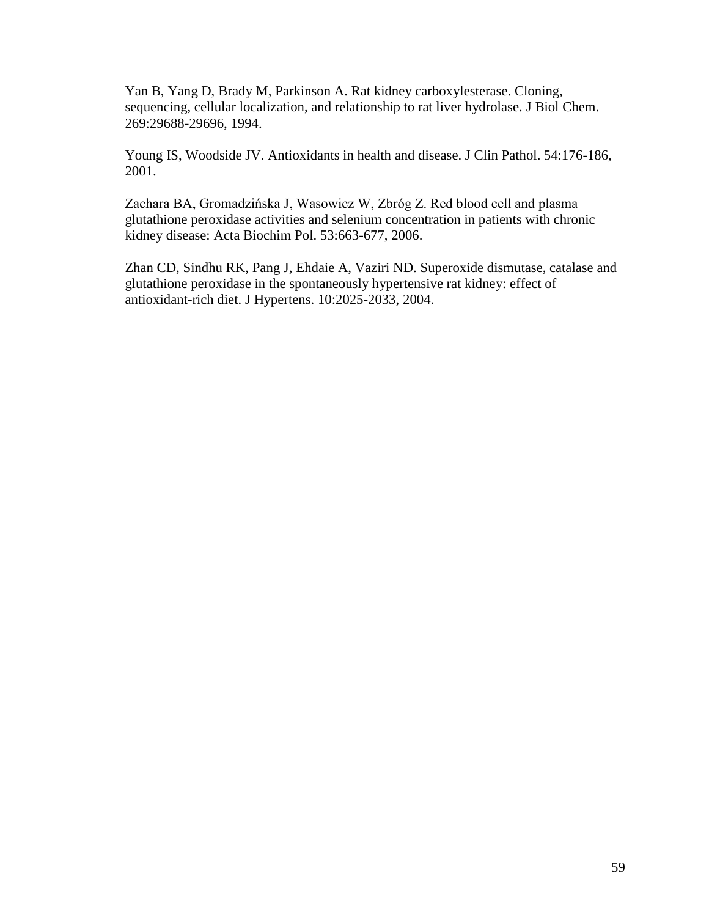Yan B, Yang D, Brady M, Parkinson A. Rat kidney carboxylesterase. Cloning, sequencing, cellular localization, and relationship to rat liver hydrolase. J Biol Chem. 269:29688-29696, 1994.

Young IS, Woodside JV. Antioxidants in health and disease. J Clin Pathol. 54:176-186, 2001.

Zachara BA, Gromadzińska J, Wasowicz W, Zbróg Z. Red blood cell and plasma glutathione peroxidase activities and selenium concentration in patients with chronic kidney disease: Acta Biochim Pol. 53:663-677, 2006.

Zhan CD, Sindhu RK, Pang J, Ehdaie A, Vaziri ND. Superoxide dismutase, catalase and glutathione peroxidase in the spontaneously hypertensive rat kidney: effect of antioxidant-rich diet. J Hypertens. 10:2025-2033, 2004.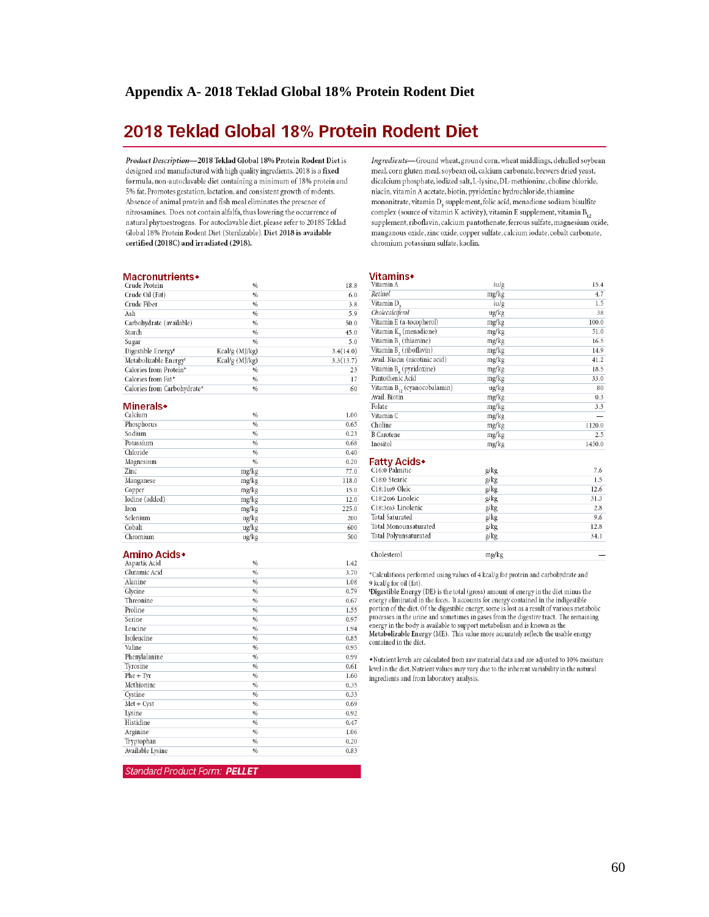# 2018 Teklad Global 18% Protein Rodent Diet

Product Description-2018 Teklad Global 18% Protein Rodent Diet is designed and manufactured with high quality ingredients. 2018 is a fixed formula, non-autoclavable diet containing a minimum of 18% protein and 5% fat. Promotes gestation, lactation, and consistent growth of rodents. Absence of animal protein and fish meal eliminates the presence of nitrosamines. Does not contain alfalfa, thus lowering the occurrence of natural phytoestrogens. For autoclavable diet, please refer to 2018S Teklad Global 18% Protein Rodent Diet (Sterilizable). Diet 2018 is available certified (2018C) and irradiated (2918).

#### Macronutrients+

|                | 18.8          |
|----------------|---------------|
| %              | 6.0           |
| %              | 3.8           |
| %              | 5.9           |
| $\frac{9}{6}$  | 50.0          |
| %              | 45.0          |
| $\frac{9}{6}$  | 5.0           |
| Kcal/g (MJ/kg) | 3.4(14.0)     |
| Kcal/g (MJ/kg) | 3.3(13.7)     |
| $\frac{96}{6}$ | 23            |
| %              | 17            |
| %              | 60            |
|                | $\frac{9}{6}$ |

#### **Minerals**

| Calcium        | $\frac{9}{6}$ | 1.00  |
|----------------|---------------|-------|
| Phosphorus     | $\%$          | 0.65  |
| Sodium         | $\frac{9}{6}$ | 0.23  |
| Potassium      | $\%$          | 0.68  |
| Chloride       | $\frac{9}{6}$ | 0.40  |
| Magnesium      | $\%$          | 0.20  |
| Zinc           | mg/kg         | 77.0  |
| Manganese      | mg/kg         | 118.0 |
| Copper         | mg/kg         | 15.0  |
| Iodine (added) | mg/kg         | 12.0  |
| Iron           | mg/kg         | 225.0 |
| Selenium       | ug/kg         | 200   |
| Cobalt         | ug/kg         | 600   |
| Chromium       | ug/kg         | 500   |

ug/kg

#### Amino Acids<sup>+</sup>

| Aspartic Acid    | $\frac{96}{2}$ | 1.42 |
|------------------|----------------|------|
| Glutamic Acid    | $\frac{9}{6}$  | 3.70 |
| Alanine          | %              | 1.08 |
| Glycine          | $\frac{9}{6}$  | 0.79 |
| Threonine        | %              | 0.67 |
| Proline          | $\frac{9}{6}$  | 1.55 |
| Serine           | $\frac{9}{6}$  | 0.97 |
| Leucine          | %              | 1.94 |
| Isoleucine       | $\frac{9}{6}$  | 0.85 |
| Valine           | $\%$           | 0.95 |
| Phenylalanine    | %              | 0.99 |
| Tyrosine         | %              | 0.61 |
| $Phe + Tyr$      | %              | 1.60 |
| Methionine       | $\frac{9}{6}$  | 0.35 |
| Cystine          | $\frac{9}{6}$  | 0.33 |
| $Met + Cyst$     | %              | 0.69 |
| Lysine           | $\frac{9}{6}$  | 0.92 |
| Histidine        | %              | 0.47 |
| Arginine         | $\frac{9}{6}$  | 1.06 |
| Tryptophan       | $\frac{9}{6}$  | 0.20 |
| Available Lysine | $\frac{9}{6}$  | 0.83 |
|                  |                |      |

Standard Product Form: PELLET

Ingredients-Ground wheat, ground corn, wheat middlings, dehulled soybean meal, corn gluten meal, soybean oil, calcium carbonate, brewers dried yeast, dicalcium phosphate, iodized salt, L-lysine, DL-methionine, choline chloride, niacin, vitamin A acetate, biotin, pyridoxine hydrochloride, thiamine mononitrate, vitamin D, supplement, folic acid, menadione sodium bisulfite complex (source of vitamin K activity), vitamin E supplement, vitamin  $B_{12}$ supplement, riboflavin, calcium pantothenate, ferrous sulfate, magnesium oxide, manganous oxide, zinc oxide, copper sulfate, calcium iodate, cobalt carbonate, chromium potassium sulfate, kaolin.

#### **Vitamins**

| Vitamin A                                | iu/g  | 15.4   |
|------------------------------------------|-------|--------|
| Retinol                                  | mg/kg | 4.7    |
| Vitamin D,                               | iu/g  | 1.5    |
| Cholecalciferol                          | ug/kg | 38     |
| Vitamin E (a-tocopherol)                 | mg/kg | 100.0  |
| Vitamin K, (menadione)                   | mg/kg | 51.0   |
| Vitamin B, (thiamine)                    | mg/kg | 16.5   |
| Vitamin B, (riboflavin)                  | mg/kg | 14.9   |
| Avail. Niacin (nicotinic acid)           | mg/kg | 41.2   |
| Vitamin B <sub>6</sub> (pyridoxine)      | mg/kg | 18.5   |
| Pantothenic Acid                         | mg/kg | 33.0   |
| Vitamin B <sub>12</sub> (cyanocobalamin) | ug/kg | 80     |
| Avail. Biotin                            | mg/kg | 0.3    |
| Folate                                   | mg/kg | 3.3    |
| Vitamin C                                | mg/kg |        |
| Choline                                  | mg/kg | 1120.0 |
| <b>B</b> Carotene                        | mg/kg | 2.5    |
| Inositol                                 | mg/kg | 1450.0 |

#### **Fatty Acids**

Cholesterol

| C16:0 Palmitic         | g/kg | 7.6  |
|------------------------|------|------|
| C18:0 Stearic          | g/kg | 1.5  |
| C18:109 Oleic          | g/kg | 12.6 |
| C18:2006 Linoleic      | g/kg | 31.3 |
| C18:3003 Linolenic     | g/kg | 2.8  |
| <b>Total Saturated</b> | g/kg | 9.6  |
| Total Monounsaturated  | g/kg | 12.8 |
| Total Polyunsaturated  | g/kg | 34.1 |
|                        |      |      |

mg/kg

\*Calculations performed using values of 4 kcal/g for protein and carbohydrate and

9 kcal/g for oil (fat). The star given transverse in the ottal (gross) amount of energy in the diet minus the energy eliminated in the feces. It accounts for energy contained in the indigestible

portion of the diet. Of the digestible energy, some is lost as a result of various metabolic processes in the urine and sometimes in gases from the digestive tract. The remaining energy in the body is available to support metabolism and is known as the  $\texttt{Metabolizable}$  Energy (ME). This value more accurately reflects the usable energy contained in the diet.

 $\blacklozenge$  Nutrient levels are calculated from raw material data and are adjusted to 10% moisture level in the diet. Nutrient values may vary due to the inherent variability in the natural ingredients and from laboratory analysis.